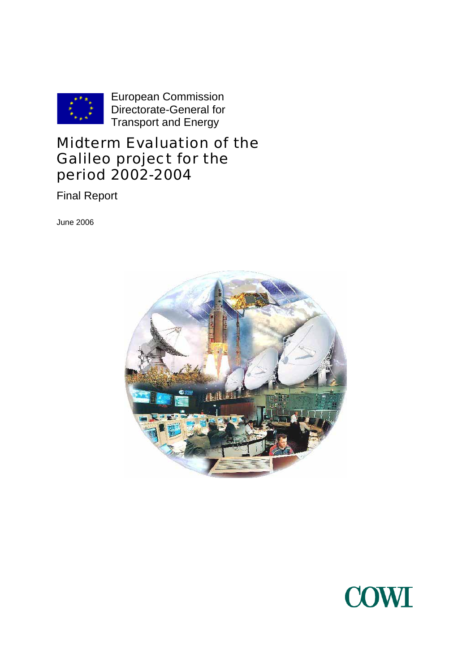

European Commission Directorate-General for Transport and Energy

## Midterm Evaluation of the Galileo project for the period 2002-2004

Final Report

June 2006



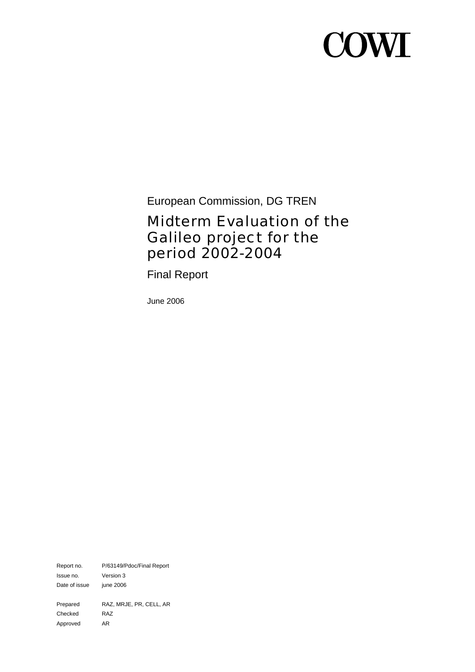# **COWT**

European Commission, DG TREN

## Midterm Evaluation of the Galileo project for the period 2002-2004

Final Report

June 2006

Report no. P/63149/Pdoc/Final Report Issue no. Version 3 Date of issue june 2006 Prepared RAZ, MRJE, PR, CELL, AR Checked RAZ Approved AR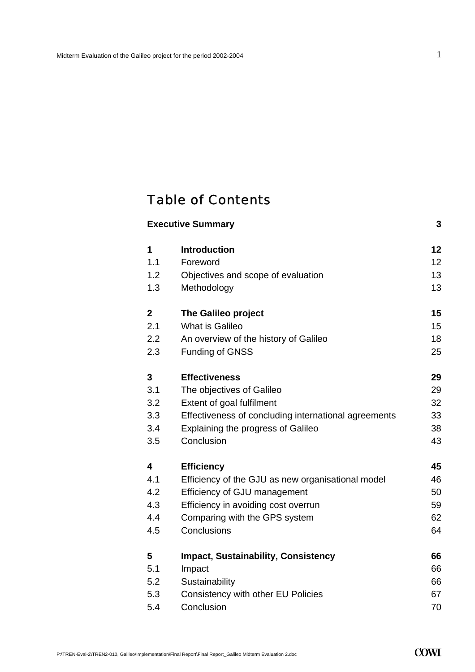## Table of Contents

|                         | <b>Executive Summary</b>                             | 3  |
|-------------------------|------------------------------------------------------|----|
| 1                       | <b>Introduction</b>                                  | 12 |
| 1.1                     | Foreword                                             | 12 |
| 1.2                     | Objectives and scope of evaluation                   | 13 |
| 1.3                     | Methodology                                          | 13 |
| $\boldsymbol{2}$        | The Galileo project                                  | 15 |
| 2.1                     | What is Galileo                                      | 15 |
| 2.2                     | An overview of the history of Galileo                | 18 |
| 2.3                     | <b>Funding of GNSS</b>                               | 25 |
| 3                       | <b>Effectiveness</b>                                 | 29 |
| 3.1                     | The objectives of Galileo                            | 29 |
| 3.2                     | Extent of goal fulfilment                            | 32 |
| 3.3                     | Effectiveness of concluding international agreements | 33 |
| 3.4                     | <b>Explaining the progress of Galileo</b>            | 38 |
| 3.5                     | Conclusion                                           | 43 |
| $\overline{\mathbf{4}}$ | <b>Efficiency</b>                                    | 45 |
| 4.1                     | Efficiency of the GJU as new organisational model    | 46 |
| 4.2                     | Efficiency of GJU management                         | 50 |
| 4.3                     | Efficiency in avoiding cost overrun                  | 59 |
| 4.4                     | Comparing with the GPS system                        | 62 |
| 4.5                     | Conclusions                                          | 64 |
| 5                       | <b>Impact, Sustainability, Consistency</b>           | 66 |
| 5.1                     | Impact                                               | 66 |
| 5.2                     | Sustainability                                       | 66 |
| 5.3                     | Consistency with other EU Policies                   | 67 |
| 5.4                     | Conclusion                                           | 70 |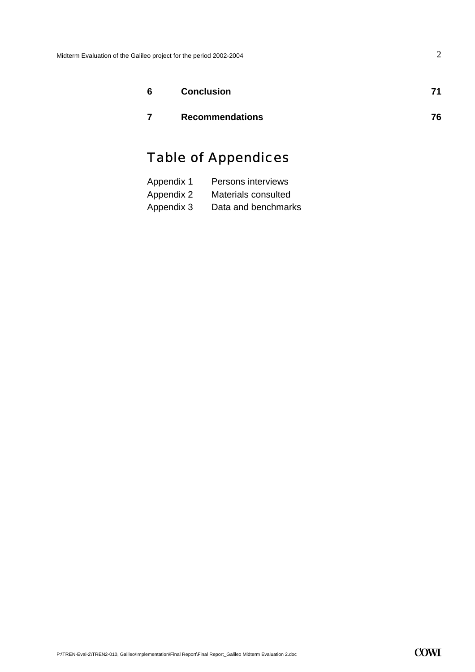| 6 | <b>Conclusion</b>      | 71 |
|---|------------------------|----|
|   | <b>Recommendations</b> | 76 |

## Table of Appendices

| Appendix 1 | Persons interviews  |
|------------|---------------------|
| Appendix 2 | Materials consulted |
| Appendix 3 | Data and benchmarks |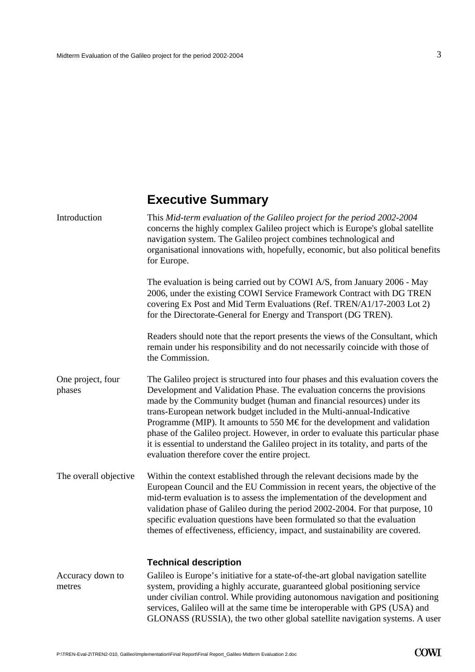## **Executive Summary**

<span id="page-4-0"></span>

| Introduction                | This Mid-term evaluation of the Galileo project for the period 2002-2004<br>concerns the highly complex Galileo project which is Europe's global satellite<br>navigation system. The Galileo project combines technological and<br>organisational innovations with, hopefully, economic, but also political benefits<br>for Europe.                                                                                                                                                                                                                                                                                        |
|-----------------------------|----------------------------------------------------------------------------------------------------------------------------------------------------------------------------------------------------------------------------------------------------------------------------------------------------------------------------------------------------------------------------------------------------------------------------------------------------------------------------------------------------------------------------------------------------------------------------------------------------------------------------|
|                             | The evaluation is being carried out by COWI A/S, from January 2006 - May<br>2006, under the existing COWI Service Framework Contract with DG TREN<br>covering Ex Post and Mid Term Evaluations (Ref. TREN/A1/17-2003 Lot 2)<br>for the Directorate-General for Energy and Transport (DG TREN).                                                                                                                                                                                                                                                                                                                             |
|                             | Readers should note that the report presents the views of the Consultant, which<br>remain under his responsibility and do not necessarily coincide with those of<br>the Commission.                                                                                                                                                                                                                                                                                                                                                                                                                                        |
| One project, four<br>phases | The Galileo project is structured into four phases and this evaluation covers the<br>Development and Validation Phase. The evaluation concerns the provisions<br>made by the Community budget (human and financial resources) under its<br>trans-European network budget included in the Multi-annual-Indicative<br>Programme (MIP). It amounts to 550 M€ for the development and validation<br>phase of the Galileo project. However, in order to evaluate this particular phase<br>it is essential to understand the Galileo project in its totality, and parts of the<br>evaluation therefore cover the entire project. |
| The overall objective       | Within the context established through the relevant decisions made by the<br>European Council and the EU Commission in recent years, the objective of the<br>mid-term evaluation is to assess the implementation of the development and<br>validation phase of Galileo during the period 2002-2004. For that purpose, 10<br>specific evaluation questions have been formulated so that the evaluation<br>themes of effectiveness, efficiency, impact, and sustainability are covered.                                                                                                                                      |
|                             | <b>Technical description</b>                                                                                                                                                                                                                                                                                                                                                                                                                                                                                                                                                                                               |
| Accuracy down to<br>metres  | Galileo is Europe's initiative for a state-of-the-art global navigation satellite<br>system, providing a highly accurate, guaranteed global positioning service<br>under civilian control. While providing autonomous navigation and positioning<br>services, Galileo will at the same time be interoperable with GPS (USA) and<br>GLONASS (RUSSIA), the two other global satellite navigation systems. A user                                                                                                                                                                                                             |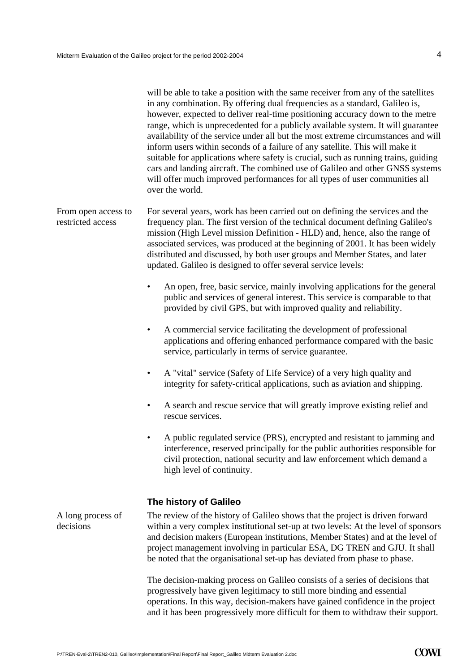|                                          | will be able to take a position with the same receiver from any of the satellites<br>in any combination. By offering dual frequencies as a standard, Galileo is,<br>however, expected to deliver real-time positioning accuracy down to the metre<br>range, which is unprecedented for a publicly available system. It will guarantee<br>availability of the service under all but the most extreme circumstances and will<br>inform users within seconds of a failure of any satellite. This will make it<br>suitable for applications where safety is crucial, such as running trains, guiding<br>cars and landing aircraft. The combined use of Galileo and other GNSS systems<br>will offer much improved performances for all types of user communities all<br>over the world. |
|------------------------------------------|-------------------------------------------------------------------------------------------------------------------------------------------------------------------------------------------------------------------------------------------------------------------------------------------------------------------------------------------------------------------------------------------------------------------------------------------------------------------------------------------------------------------------------------------------------------------------------------------------------------------------------------------------------------------------------------------------------------------------------------------------------------------------------------|
| From open access to<br>restricted access | For several years, work has been carried out on defining the services and the<br>frequency plan. The first version of the technical document defining Galileo's<br>mission (High Level mission Definition - HLD) and, hence, also the range of<br>associated services, was produced at the beginning of 2001. It has been widely<br>distributed and discussed, by both user groups and Member States, and later<br>updated. Galileo is designed to offer several service levels:                                                                                                                                                                                                                                                                                                    |
|                                          | An open, free, basic service, mainly involving applications for the general<br>$\bullet$<br>public and services of general interest. This service is comparable to that<br>provided by civil GPS, but with improved quality and reliability.                                                                                                                                                                                                                                                                                                                                                                                                                                                                                                                                        |
|                                          | A commercial service facilitating the development of professional<br>$\bullet$<br>applications and offering enhanced performance compared with the basic<br>service, particularly in terms of service guarantee.                                                                                                                                                                                                                                                                                                                                                                                                                                                                                                                                                                    |
|                                          | A "vital" service (Safety of Life Service) of a very high quality and<br>٠<br>integrity for safety-critical applications, such as aviation and shipping.                                                                                                                                                                                                                                                                                                                                                                                                                                                                                                                                                                                                                            |
|                                          | A search and rescue service that will greatly improve existing relief and<br>$\bullet$<br>rescue services.                                                                                                                                                                                                                                                                                                                                                                                                                                                                                                                                                                                                                                                                          |
|                                          | A public regulated service (PRS), encrypted and resistant to jamming and<br>interference, reserved principally for the public authorities responsible for<br>civil protection, national security and law enforcement which demand a<br>high level of continuity.                                                                                                                                                                                                                                                                                                                                                                                                                                                                                                                    |
|                                          | The history of Galileo                                                                                                                                                                                                                                                                                                                                                                                                                                                                                                                                                                                                                                                                                                                                                              |
| A long process of<br>decisions           | The review of the history of Galileo shows that the project is driven forward<br>within a very complex institutional set-up at two levels: At the level of sponsors<br>and decision makers (European institutions, Member States) and at the level of<br>project management involving in particular ESA, DG TREN and GJU. It shall<br>be noted that the organisational set-up has deviated from phase to phase.                                                                                                                                                                                                                                                                                                                                                                     |
|                                          | The decision-making process on Galileo consists of a series of decisions that<br>progressively have given legitimacy to still more binding and essential                                                                                                                                                                                                                                                                                                                                                                                                                                                                                                                                                                                                                            |

operations. In this way, decision-makers have gained confidence in the project and it has been progressively more difficult for them to withdraw their support.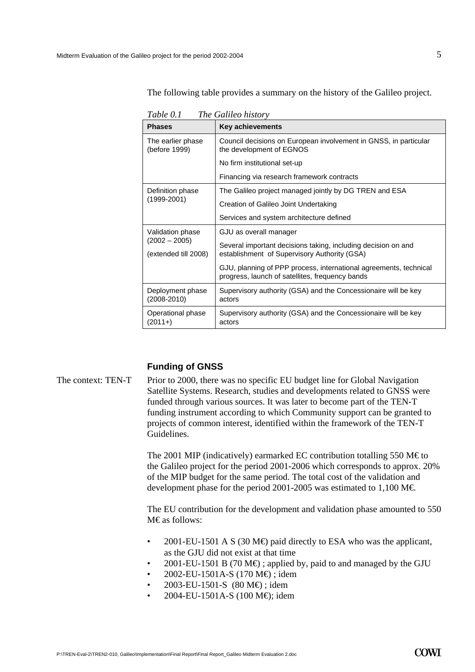The following table provides a summary on the history of the Galileo project.

| Lapie V. L<br><i>rne</i> Gauleo history |                                                                                                                      |  |
|-----------------------------------------|----------------------------------------------------------------------------------------------------------------------|--|
| <b>Phases</b>                           | <b>Key achievements</b>                                                                                              |  |
| The earlier phase<br>(before 1999)      | Council decisions on European involvement in GNSS, in particular<br>the development of EGNOS                         |  |
|                                         | No firm institutional set-up                                                                                         |  |
|                                         | Financing via research framework contracts                                                                           |  |
| Definition phase                        | The Galileo project managed jointly by DG TREN and ESA                                                               |  |
| (1999-2001)                             | Creation of Galileo Joint Undertaking                                                                                |  |
|                                         | Services and system architecture defined                                                                             |  |
| Validation phase                        | GJU as overall manager                                                                                               |  |
| $(2002 - 2005)$<br>(extended till 2008) | Several important decisions taking, including decision on and<br>establishment of Supervisory Authority (GSA)        |  |
|                                         | GJU, planning of PPP process, international agreements, technical<br>progress, launch of satellites, frequency bands |  |
| Deployment phase<br>$(2008 - 2010)$     | Supervisory authority (GSA) and the Concessionaire will be key<br>actors                                             |  |
| Operational phase<br>$(2011+)$          | Supervisory authority (GSA) and the Concessionaire will be key<br>actors                                             |  |

*Table 0.1 The Galileo history* 

#### **Funding of GNSS**

The context: TEN-T Prior to 2000, there was no specific EU budget line for Global Navigation Satellite Systems. Research, studies and developments related to GNSS were funded through various sources. It was later to become part of the TEN-T funding instrument according to which Community support can be granted to projects of common interest, identified within the framework of the TEN-T Guidelines.

> The 2001 MIP (indicatively) earmarked EC contribution totalling 550 M $\epsilon$ to the Galileo project for the period 2001-2006 which corresponds to approx. 20% of the MIP budget for the same period. The total cost of the validation and development phase for the period 2001-2005 was estimated to 1,100 M $\in$ .

> The EU contribution for the development and validation phase amounted to 550 M€as follows:

- 2001-EU-1501 A S (30 M $\oplus$  paid directly to ESA who was the applicant, as the GJU did not exist at that time
- 2001-EU-1501 B (70 M $\oplus$ ); applied by, paid to and managed by the GJU
- 2002-EU-1501A-S (170 M $\bigoplus$ ); idem
- 2003-EU-1501-S (80 M€) ; idem
- 2004-EU-1501A-S (100 M€); idem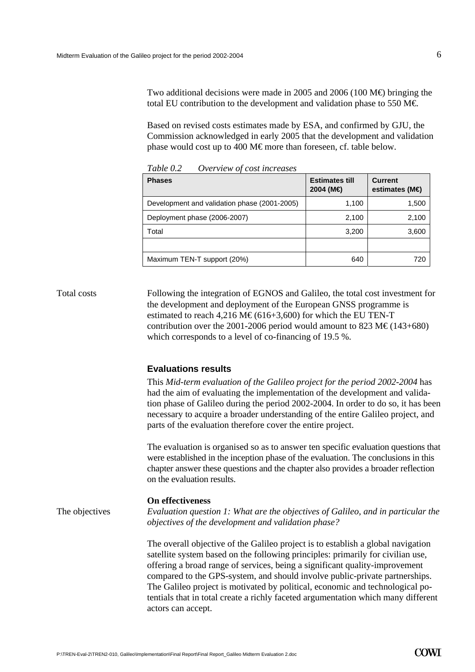Two additional decisions were made in 2005 and 2006 (100 M $\oplus$  bringing the total EU contribution to the development and validation phase to 550 M€.

Based on revised costs estimates made by ESA, and confirmed by GJU, the Commission acknowledged in early 2005 that the development and validation phase would cost up to 400 M€ more than foreseen, cf. table below.

| <b>Phases</b>                                | <b>Estimates till</b><br>2004 (M€) | <b>Current</b><br>estimates (M $\bigoplus$ |
|----------------------------------------------|------------------------------------|--------------------------------------------|
| Development and validation phase (2001-2005) | 1,100                              | 1,500                                      |
| Deployment phase (2006-2007)                 | 2,100                              | 2,100                                      |
| Total                                        | 3,200                              | 3,600                                      |
|                                              |                                    |                                            |
| Maximum TEN-T support (20%)                  | 640                                | 720                                        |

*Table 0.2 Overview of cost increases* 

Total costs Following the integration of EGNOS and Galileo, the total cost investment for the development and deployment of the European GNSS programme is estimated to reach 4,216 M€ (616+3,600) for which the EU TEN-T contribution over the 2001-2006 period would amount to 823 M€ (143+680) which corresponds to a level of co-financing of 19.5 %.

#### **Evaluations results**

|                | This Mid-term evaluation of the Galileo project for the period 2002-2004 has<br>had the aim of evaluating the implementation of the development and valida-<br>tion phase of Galileo during the period 2002-2004. In order to do so, it has been<br>necessary to acquire a broader understanding of the entire Galileo project, and<br>parts of the evaluation therefore cover the entire project.                                                                                                                            |
|----------------|-------------------------------------------------------------------------------------------------------------------------------------------------------------------------------------------------------------------------------------------------------------------------------------------------------------------------------------------------------------------------------------------------------------------------------------------------------------------------------------------------------------------------------|
|                | The evaluation is organised so as to answer ten specific evaluation questions that<br>were established in the inception phase of the evaluation. The conclusions in this<br>chapter answer these questions and the chapter also provides a broader reflection<br>on the evaluation results.                                                                                                                                                                                                                                   |
|                | On effectiveness                                                                                                                                                                                                                                                                                                                                                                                                                                                                                                              |
| The objectives | Evaluation question 1: What are the objectives of Galileo, and in particular the<br>objectives of the development and validation phase?                                                                                                                                                                                                                                                                                                                                                                                       |
|                | The overall objective of the Galileo project is to establish a global navigation<br>satellite system based on the following principles: primarily for civilian use,<br>offering a broad range of services, being a significant quality-improvement<br>compared to the GPS-system, and should involve public-private partnerships.<br>The Galileo project is motivated by political, economic and technological po-<br>tentials that in total create a richly faceted argumentation which many different<br>actors can accept. |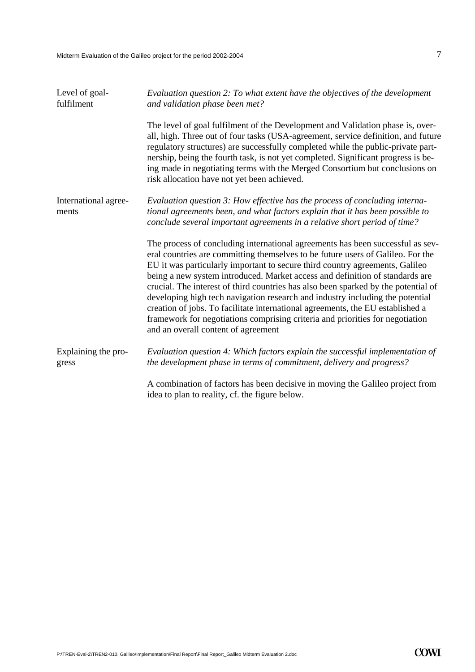| Level of goal-<br>fulfilment  | Evaluation question 2: To what extent have the objectives of the development<br>and validation phase been met?                                                                                                                                                                                                                                                                                                                                                                                                                                                                                                                                                                                                     |
|-------------------------------|--------------------------------------------------------------------------------------------------------------------------------------------------------------------------------------------------------------------------------------------------------------------------------------------------------------------------------------------------------------------------------------------------------------------------------------------------------------------------------------------------------------------------------------------------------------------------------------------------------------------------------------------------------------------------------------------------------------------|
|                               | The level of goal fulfilment of the Development and Validation phase is, over-<br>all, high. Three out of four tasks (USA-agreement, service definition, and future<br>regulatory structures) are successfully completed while the public-private part-<br>nership, being the fourth task, is not yet completed. Significant progress is be-<br>ing made in negotiating terms with the Merged Consortium but conclusions on<br>risk allocation have not yet been achieved.                                                                                                                                                                                                                                         |
| International agree-<br>ments | Evaluation question 3: How effective has the process of concluding interna-<br>tional agreements been, and what factors explain that it has been possible to<br>conclude several important agreements in a relative short period of time?                                                                                                                                                                                                                                                                                                                                                                                                                                                                          |
|                               | The process of concluding international agreements has been successful as sev-<br>eral countries are committing themselves to be future users of Galileo. For the<br>EU it was particularly important to secure third country agreements, Galileo<br>being a new system introduced. Market access and definition of standards are<br>crucial. The interest of third countries has also been sparked by the potential of<br>developing high tech navigation research and industry including the potential<br>creation of jobs. To facilitate international agreements, the EU established a<br>framework for negotiations comprising criteria and priorities for negotiation<br>and an overall content of agreement |
| Explaining the pro-<br>gress  | Evaluation question 4: Which factors explain the successful implementation of<br>the development phase in terms of commitment, delivery and progress?                                                                                                                                                                                                                                                                                                                                                                                                                                                                                                                                                              |
|                               | A combination of factors has been decisive in moving the Galileo project from<br>idea to plan to reality, cf. the figure below.                                                                                                                                                                                                                                                                                                                                                                                                                                                                                                                                                                                    |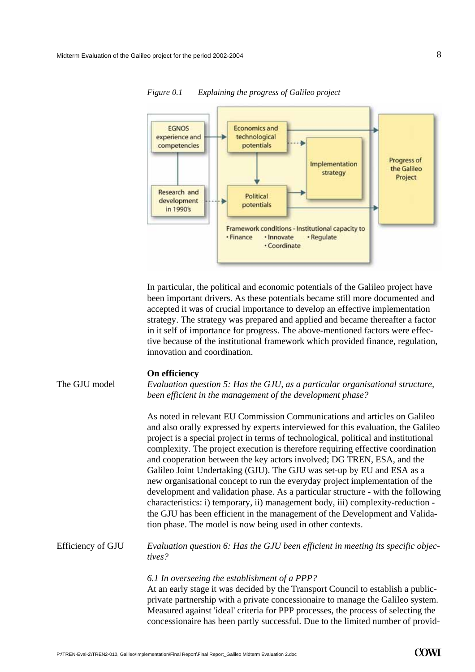

*Figure 0.1 Explaining the progress of Galileo project* 

In particular, the political and economic potentials of the Galileo project have been important drivers. As these potentials became still more documented and accepted it was of crucial importance to develop an effective implementation strategy. The strategy was prepared and applied and became thereafter a factor in it self of importance for progress. The above-mentioned factors were effective because of the institutional framework which provided finance, regulation, innovation and coordination.

#### **On efficiency**

The GJU model *Evaluation question 5: Has the GJU, as a particular organisational structure, been efficient in the management of the development phase?*

> As noted in relevant EU Commission Communications and articles on Galileo and also orally expressed by experts interviewed for this evaluation, the Galileo project is a special project in terms of technological, political and institutional complexity. The project execution is therefore requiring effective coordination and cooperation between the key actors involved; DG TREN, ESA, and the Galileo Joint Undertaking (GJU). The GJU was set-up by EU and ESA as a new organisational concept to run the everyday project implementation of the development and validation phase. As a particular structure - with the following characteristics: i) temporary, ii) management body, iii) complexity-reduction the GJU has been efficient in the management of the Development and Validation phase. The model is now being used in other contexts.

*Evaluation question 6: Has the GJU been efficient in meeting its specific objectives?* Efficiency of GJU

#### *6.1 In overseeing the establishment of a PPP?*

At an early stage it was decided by the Transport Council to establish a publicprivate partnership with a private concessionaire to manage the Galileo system. Measured against 'ideal' criteria for PPP processes, the process of selecting the concessionaire has been partly successful. Due to the limited number of provid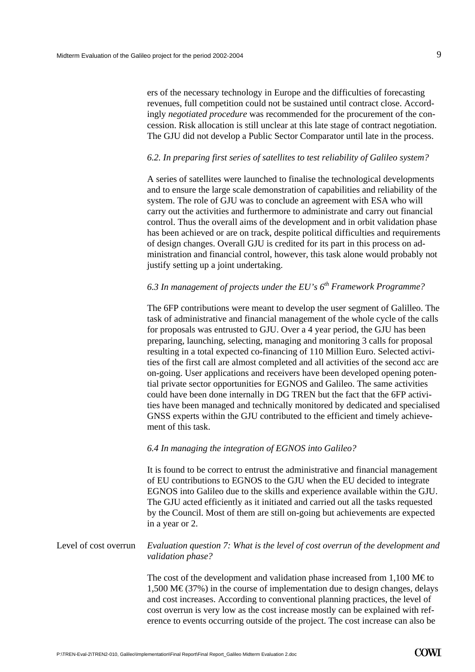ers of the necessary technology in Europe and the difficulties of forecasting revenues, full competition could not be sustained until contract close. Accordingly *negotiated procedure* was recommended for the procurement of the concession. Risk allocation is still unclear at this late stage of contract negotiation. The GJU did not develop a Public Sector Comparator until late in the process.

#### *6.2. In preparing first series of satellites to test reliability of Galileo system?*

A series of satellites were launched to finalise the technological developments and to ensure the large scale demonstration of capabilities and reliability of the system. The role of GJU was to conclude an agreement with ESA who will carry out the activities and furthermore to administrate and carry out financial control. Thus the overall aims of the development and in orbit validation phase has been achieved or are on track, despite political difficulties and requirements of design changes. Overall GJU is credited for its part in this process on administration and financial control, however, this task alone would probably not justify setting up a joint undertaking.

#### *6.3 In management of projects under the EU's 6th Framework Programme?*

The 6FP contributions were meant to develop the user segment of Galilleo. The task of administrative and financial management of the whole cycle of the calls for proposals was entrusted to GJU. Over a 4 year period, the GJU has been preparing, launching, selecting, managing and monitoring 3 calls for proposal resulting in a total expected co-financing of 110 Million Euro. Selected activities of the first call are almost completed and all activities of the second acc are on-going. User applications and receivers have been developed opening potential private sector opportunities for EGNOS and Galileo. The same activities could have been done internally in DG TREN but the fact that the 6FP activities have been managed and technically monitored by dedicated and specialised GNSS experts within the GJU contributed to the efficient and timely achievement of this task.

#### *6.4 In managing the integration of EGNOS into Galileo?*

It is found to be correct to entrust the administrative and financial management of EU contributions to EGNOS to the GJU when the EU decided to integrate EGNOS into Galileo due to the skills and experience available within the GJU. The GJU acted efficiently as it initiated and carried out all the tasks requested by the Council. Most of them are still on-going but achievements are expected in a year or 2.

#### *Evaluation question 7: What is the level of cost overrun of the development and validation phase?*  Level of cost overrun

The cost of the development and validation phase increased from  $1,100 \text{ M}\epsilon$  to  $1,500 \text{ M} \in (37\%)$  in the course of implementation due to design changes, delays and cost increases. According to conventional planning practices, the level of cost overrun is very low as the cost increase mostly can be explained with reference to events occurring outside of the project. The cost increase can also be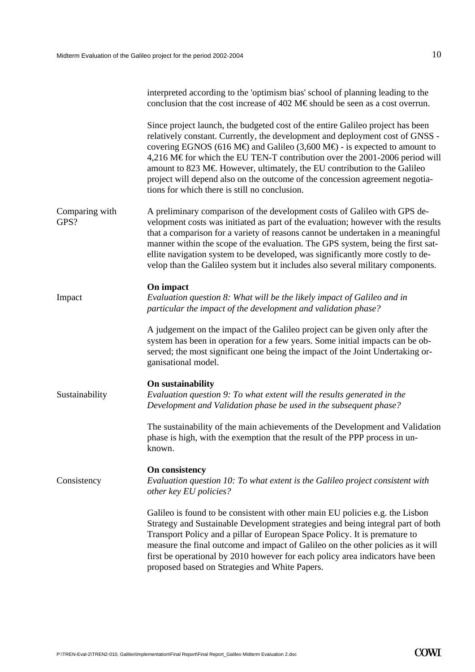|                        | interpreted according to the 'optimism bias' school of planning leading to the<br>conclusion that the cost increase of 402 M€should be seen as a cost overrun.                                                                                                                                                                                                                                                                                                                                                                                        |
|------------------------|-------------------------------------------------------------------------------------------------------------------------------------------------------------------------------------------------------------------------------------------------------------------------------------------------------------------------------------------------------------------------------------------------------------------------------------------------------------------------------------------------------------------------------------------------------|
|                        | Since project launch, the budgeted cost of the entire Galileo project has been<br>relatively constant. Currently, the development and deployment cost of GNSS -<br>covering EGNOS (616 M $\oplus$ and Galileo (3,600 M $\oplus$ - is expected to amount to<br>4,216 M€for which the EU TEN-T contribution over the 2001-2006 period will<br>amount to 823 M€ However, ultimately, the EU contribution to the Galileo<br>project will depend also on the outcome of the concession agreement negotia-<br>tions for which there is still no conclusion. |
| Comparing with<br>GPS? | A preliminary comparison of the development costs of Galileo with GPS de-<br>velopment costs was initiated as part of the evaluation; however with the results<br>that a comparison for a variety of reasons cannot be undertaken in a meaningful<br>manner within the scope of the evaluation. The GPS system, being the first sat-<br>ellite navigation system to be developed, was significantly more costly to de-<br>velop than the Galileo system but it includes also several military components.                                             |
| Impact                 | On impact<br>Evaluation question 8: What will be the likely impact of Galileo and in<br>particular the impact of the development and validation phase?                                                                                                                                                                                                                                                                                                                                                                                                |
|                        | A judgement on the impact of the Galileo project can be given only after the<br>system has been in operation for a few years. Some initial impacts can be ob-<br>served; the most significant one being the impact of the Joint Undertaking or-<br>ganisational model.                                                                                                                                                                                                                                                                                |
| Sustainability         | On sustainability<br>Evaluation question 9: To what extent will the results generated in the<br>Development and Validation phase be used in the subsequent phase?                                                                                                                                                                                                                                                                                                                                                                                     |
|                        | The sustainability of the main achievements of the Development and Validation<br>phase is high, with the exemption that the result of the PPP process in un-<br>known.                                                                                                                                                                                                                                                                                                                                                                                |
| Consistency            | On consistency<br>Evaluation question 10: To what extent is the Galileo project consistent with<br>other key EU policies?                                                                                                                                                                                                                                                                                                                                                                                                                             |
|                        | Galileo is found to be consistent with other main EU policies e.g. the Lisbon<br>Strategy and Sustainable Development strategies and being integral part of both<br>Transport Policy and a pillar of European Space Policy. It is premature to<br>measure the final outcome and impact of Galileo on the other policies as it will<br>first be operational by 2010 however for each policy area indicators have been<br>proposed based on Strategies and White Papers.                                                                                |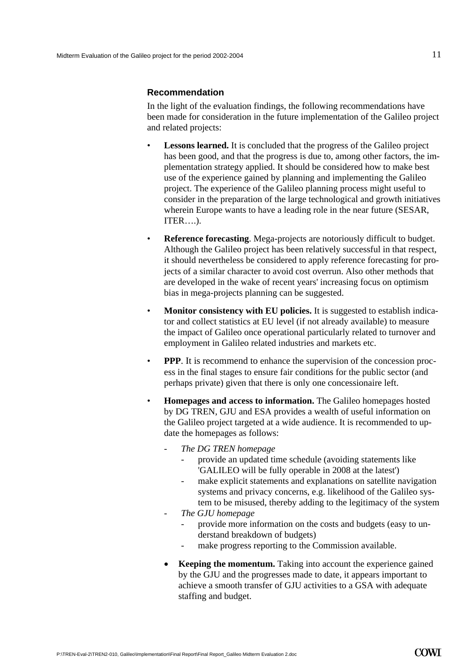#### **Recommendation**

In the light of the evaluation findings, the following recommendations have been made for consideration in the future implementation of the Galileo project and related projects:

- **Lessons learned.** It is concluded that the progress of the Galileo project has been good, and that the progress is due to, among other factors, the implementation strategy applied. It should be considered how to make best use of the experience gained by planning and implementing the Galileo project. The experience of the Galileo planning process might useful to consider in the preparation of the large technological and growth initiatives wherein Europe wants to have a leading role in the near future (SESAR, ITER….).
- **Reference forecasting**. Mega-projects are notoriously difficult to budget. Although the Galileo project has been relatively successful in that respect, it should nevertheless be considered to apply reference forecasting for projects of a similar character to avoid cost overrun. Also other methods that are developed in the wake of recent years' increasing focus on optimism bias in mega-projects planning can be suggested.
- **Monitor consistency with EU policies.** It is suggested to establish indicator and collect statistics at EU level (if not already available) to measure the impact of Galileo once operational particularly related to turnover and employment in Galileo related industries and markets etc.
- **PPP**. It is recommend to enhance the supervision of the concession process in the final stages to ensure fair conditions for the public sector (and perhaps private) given that there is only one concessionaire left.
- **Homepages and access to information.** The Galileo homepages hosted by DG TREN, GJU and ESA provides a wealth of useful information on the Galileo project targeted at a wide audience. It is recommended to update the homepages as follows:
	- *The DG TREN homepage*
		- provide an updated time schedule (avoiding statements like 'GALILEO will be fully operable in 2008 at the latest')
		- make explicit statements and explanations on satellite navigation systems and privacy concerns, e.g. likelihood of the Galileo system to be misused, thereby adding to the legitimacy of the system
	- *The GJU homepage* 
		- provide more information on the costs and budgets (easy to understand breakdown of budgets)
		- make progress reporting to the Commission available.
	- **Keeping the momentum.** Taking into account the experience gained by the GJU and the progresses made to date, it appears important to achieve a smooth transfer of GJU activities to a GSA with adequate staffing and budget.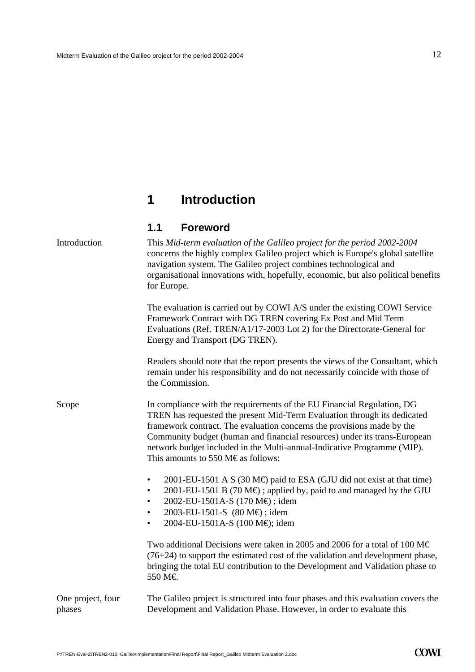## <span id="page-13-0"></span>**1 Introduction**

#### **1.1 Foreword**

| Introduction                | This Mid-term evaluation of the Galileo project for the period 2002-2004<br>concerns the highly complex Galileo project which is Europe's global satellite<br>navigation system. The Galileo project combines technological and<br>organisational innovations with, hopefully, economic, but also political benefits<br>for Europe.                                                                                                  |
|-----------------------------|--------------------------------------------------------------------------------------------------------------------------------------------------------------------------------------------------------------------------------------------------------------------------------------------------------------------------------------------------------------------------------------------------------------------------------------|
|                             | The evaluation is carried out by COWI A/S under the existing COWI Service<br>Framework Contract with DG TREN covering Ex Post and Mid Term<br>Evaluations (Ref. TREN/A1/17-2003 Lot 2) for the Directorate-General for<br>Energy and Transport (DG TREN).                                                                                                                                                                            |
|                             | Readers should note that the report presents the views of the Consultant, which<br>remain under his responsibility and do not necessarily coincide with those of<br>the Commission.                                                                                                                                                                                                                                                  |
| Scope                       | In compliance with the requirements of the EU Financial Regulation, DG<br>TREN has requested the present Mid-Term Evaluation through its dedicated<br>framework contract. The evaluation concerns the provisions made by the<br>Community budget (human and financial resources) under its trans-European<br>network budget included in the Multi-annual-Indicative Programme (MIP).<br>This amounts to 550 M $\epsilon$ as follows: |
|                             | 2001-EU-1501 A S (30 M $\oplus$ paid to ESA (GJU did not exist at that time)<br>$\bullet$<br>2001-EU-1501 B (70 M€); applied by, paid to and managed by the GJU<br>$\bullet$<br>2002-EU-1501A-S (170 M€); idem<br>٠<br>2003-EU-1501-S (80 M€); idem<br>$\bullet$<br>2004-EU-1501A-S (100 M€); idem<br>$\bullet$                                                                                                                      |
|                             | Two additional Decisions were taken in 2005 and 2006 for a total of 100 M $\epsilon$<br>$(76+24)$ to support the estimated cost of the validation and development phase,<br>bringing the total EU contribution to the Development and Validation phase to<br>550 M€                                                                                                                                                                  |
| One project, four<br>phases | The Galileo project is structured into four phases and this evaluation covers the<br>Development and Validation Phase. However, in order to evaluate this                                                                                                                                                                                                                                                                            |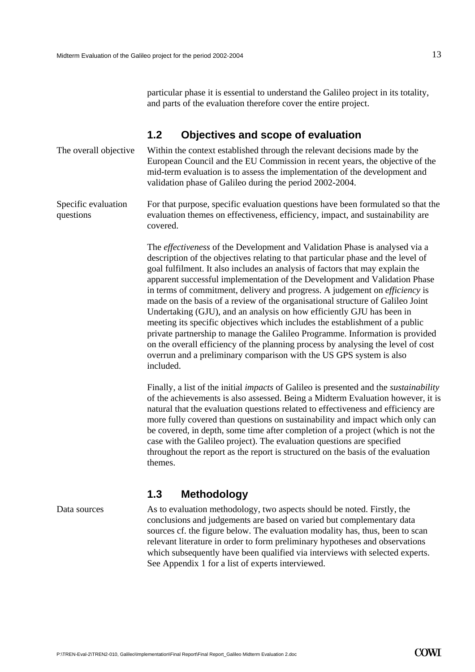particular phase it is essential to understand the Galileo project in its totality, and parts of the evaluation therefore cover the entire project.

#### **1.2 Objectives and scope of evaluation**

<span id="page-14-0"></span>Within the context established through the relevant decisions made by the European Council and the EU Commission in recent years, the objective of the mid-term evaluation is to assess the implementation of the development and validation phase of Galileo during the period 2002-2004. The overall objective

For that purpose, specific evaluation questions have been formulated so that the evaluation themes on effectiveness, efficiency, impact, and sustainability are covered. Specific evaluation questions

> The *effectiveness* of the Development and Validation Phase is analysed via a description of the objectives relating to that particular phase and the level of goal fulfilment. It also includes an analysis of factors that may explain the apparent successful implementation of the Development and Validation Phase in terms of commitment, delivery and progress. A judgement on *efficiency* is made on the basis of a review of the organisational structure of Galileo Joint Undertaking (GJU), and an analysis on how efficiently GJU has been in meeting its specific objectives which includes the establishment of a public private partnership to manage the Galileo Programme. Information is provided on the overall efficiency of the planning process by analysing the level of cost overrun and a preliminary comparison with the US GPS system is also included.

Finally, a list of the initial *impacts* of Galileo is presented and the *sustainability* of the achievements is also assessed. Being a Midterm Evaluation however, it is natural that the evaluation questions related to effectiveness and efficiency are more fully covered than questions on sustainability and impact which only can be covered, in depth, some time after completion of a project (which is not the case with the Galileo project). The evaluation questions are specified throughout the report as the report is structured on the basis of the evaluation themes.

#### **1.3 Methodology**

Data sources

As to evaluation methodology, two aspects should be noted. Firstly, the conclusions and judgements are based on varied but complementary data sources cf. the figure below. The evaluation modality has, thus, been to scan relevant literature in order to form preliminary hypotheses and observations which subsequently have been qualified via interviews with selected experts. See Appendix 1 for a list of experts interviewed.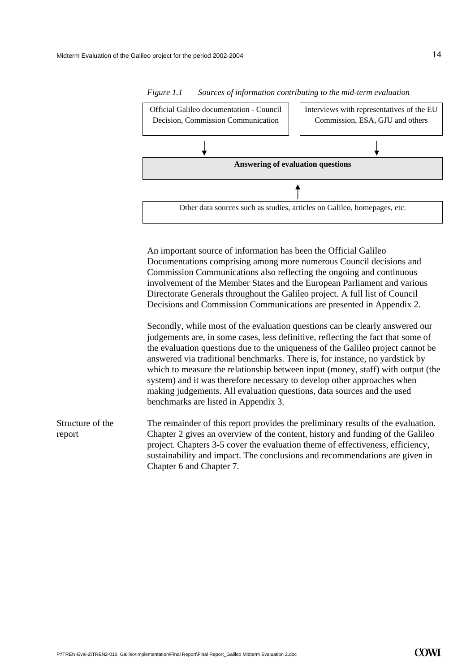

*Figure 1.1 Sources of information contributing to the mid-term evaluation* 

An important source of information has been the Official Galileo Documentations comprising among more numerous Council decisions and Commission Communications also reflecting the ongoing and continuous involvement of the Member States and the European Parliament and various Directorate Generals throughout the Galileo project. A full list of Council Decisions and Commission Communications are presented in Appendix 2.

Secondly, while most of the evaluation questions can be clearly answered our judgements are, in some cases, less definitive, reflecting the fact that some of the evaluation questions due to the uniqueness of the Galileo project cannot be answered via traditional benchmarks. There is, for instance, no yardstick by which to measure the relationship between input (money, staff) with output (the system) and it was therefore necessary to develop other approaches when making judgements. All evaluation questions, data sources and the used benchmarks are listed in Appendix 3.

The remainder of this report provides the preliminary results of the evaluation. Chapter 2 gives an overview of the content, history and funding of the Galileo project. Chapters 3-5 cover the evaluation theme of effectiveness, efficiency, sustainability and impact. The conclusions and recommendations are given in Chapter 6 and Chapter 7. Structure of the report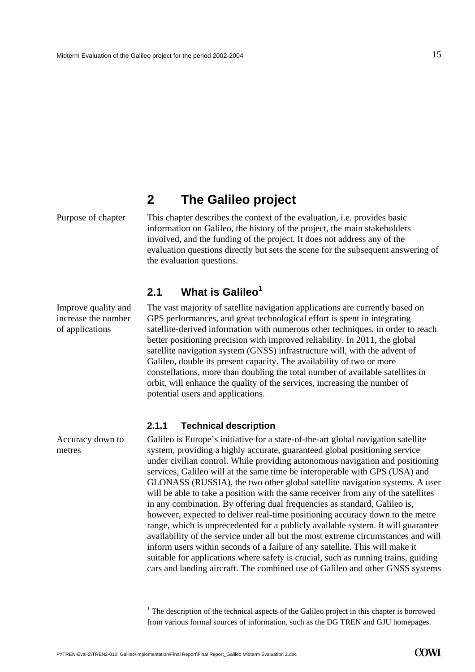## **2 The Galileo project**

Improve quality and increase the number of applications

Accuracy down to metres

<span id="page-16-0"></span>Purpose of chapter This chapter describes the context of the evaluation, i.e. provides basic information on Galileo, the history of the project, the main stakeholders involved, and the funding of the project. It does not address any of the evaluation questions directly but sets the scene for the subsequent answering of the evaluation questions.

#### **2.1 What is Galileo[1](#page-16-1)**

The vast majority of satellite navigation applications are currently based on GPS performances, and great technological effort is spent in integrating satellite-derived information with numerous other techniques, in order to reach better positioning precision with improved reliability. In 2011, the global satellite navigation system (GNSS) infrastructure will, with the advent of Galileo, double its present capacity. The availability of two or more constellations, more than doubling the total number of available satellites in orbit, will enhance the quality of the services, increasing the number of potential users and applications.

#### **2.1.1 Technical description**

Galileo is Europe's initiative for a state-of-the-art global navigation satellite system, providing a highly accurate, guaranteed global positioning service under civilian control. While providing autonomous navigation and positioning services, Galileo will at the same time be interoperable with GPS (USA) and GLONASS (RUSSIA), the two other global satellite navigation systems. A user will be able to take a position with the same receiver from any of the satellites in any combination. By offering dual frequencies as standard, Galileo is, however, expected to deliver real-time positioning accuracy down to the metre range, which is unprecedented for a publicly available system. It will guarantee availability of the service under all but the most extreme circumstances and will inform users within seconds of a failure of any satellite. This will make it suitable for applications where safety is crucial, such as running trains, guiding cars and landing aircraft. The combined use of Galileo and other GNSS systems

 $\overline{a}$ 

<span id="page-16-1"></span> $<sup>1</sup>$  The description of the technical aspects of the Galileo project in this chapter is borrowed</sup> from various formal sources of information, such as the DG TREN and GJU homepages.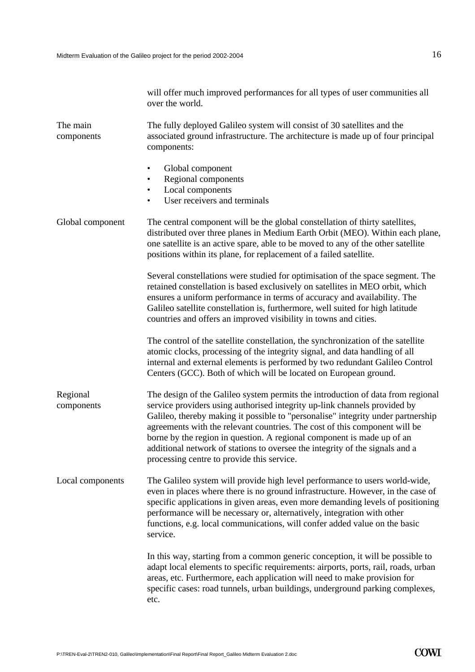| will offer much improved performances for all types of user communities all |  |
|-----------------------------------------------------------------------------|--|
| over the world.                                                             |  |

The fully deployed Galileo system will consist of 30 satellites and the associated ground infrastructure. The architecture is made up of four principal components: The main components

- Global component
- Regional components
- Local components
- User receivers and terminals

Global component The central component will be the global constellation of thirty satellites, distributed over three planes in Medium Earth Orbit (MEO). Within each plane, one satellite is an active spare, able to be moved to any of the other satellite positions within its plane, for replacement of a failed satellite. Several constellations were studied for optimisation of the space segment. The

retained constellation is based exclusively on satellites in MEO orbit, which ensures a uniform performance in terms of accuracy and availability. The Galileo satellite constellation is, furthermore, well suited for high latitude countries and offers an improved visibility in towns and cities.

The control of the satellite constellation, the synchronization of the satellite atomic clocks, processing of the integrity signal, and data handling of all internal and external elements is performed by two redundant Galileo Control Centers (GCC). Both of which will be located on European ground.

- The design of the Galileo system permits the introduction of data from regional service providers using authorised integrity up-link channels provided by Galileo, thereby making it possible to "personalise" integrity under partnership agreements with the relevant countries. The cost of this component will be borne by the region in question. A regional component is made up of an additional network of stations to oversee the integrity of the signals and a processing centre to provide this service. Regional components
- The Galileo system will provide high level performance to users world-wide, even in places where there is no ground infrastructure. However, in the case of specific applications in given areas, even more demanding levels of positioning performance will be necessary or, alternatively, integration with other functions, e.g. local communications, will confer added value on the basic service. Local components

In this way, starting from a common generic conception, it will be possible to adapt local elements to specific requirements: airports, ports, rail, roads, urban areas, etc. Furthermore, each application will need to make provision for specific cases: road tunnels, urban buildings, underground parking complexes, etc.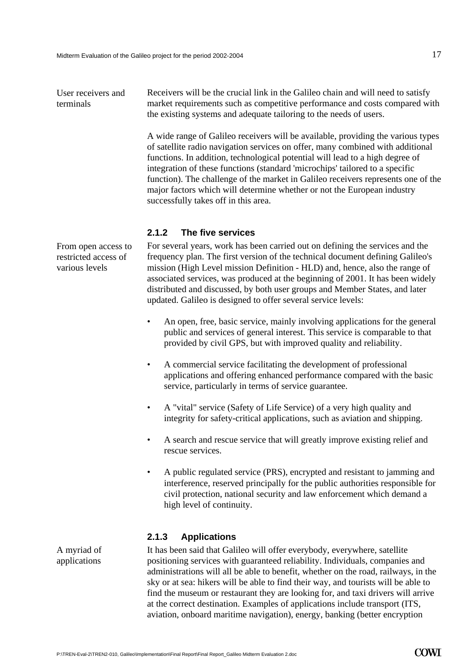Receivers will be the crucial link in the Galileo chain and will need to satisfy market requirements such as competitive performance and costs compared with the existing systems and adequate tailoring to the needs of users. User receivers and terminals

> A wide range of Galileo receivers will be available, providing the various types of satellite radio navigation services on offer, many combined with additional functions. In addition, technological potential will lead to a high degree of integration of these functions (standard 'microchips' tailored to a specific function). The challenge of the market in Galileo receivers represents one of the major factors which will determine whether or not the European industry successfully takes off in this area.

#### **2.1.2 The five services**

For several years, work has been carried out on defining the services and the frequency plan. The first version of the technical document defining Galileo's mission (High Level mission Definition - HLD) and, hence, also the range of associated services, was produced at the beginning of 2001. It has been widely distributed and discussed, by both user groups and Member States, and later updated. Galileo is designed to offer several service levels:

- An open, free, basic service, mainly involving applications for the general public and services of general interest. This service is comparable to that provided by civil GPS, but with improved quality and reliability.
- A commercial service facilitating the development of professional applications and offering enhanced performance compared with the basic service, particularly in terms of service guarantee.
- A "vital" service (Safety of Life Service) of a very high quality and integrity for safety-critical applications, such as aviation and shipping.
- A search and rescue service that will greatly improve existing relief and rescue services.
- A public regulated service (PRS), encrypted and resistant to jamming and interference, reserved principally for the public authorities responsible for civil protection, national security and law enforcement which demand a high level of continuity.

#### **2.1.3 Applications**

It has been said that Galileo will offer everybody, everywhere, satellite positioning services with guaranteed reliability. Individuals, companies and administrations will all be able to benefit, whether on the road, railways, in the sky or at sea: hikers will be able to find their way, and tourists will be able to find the museum or restaurant they are looking for, and taxi drivers will arrive at the correct destination. Examples of applications include transport (ITS, aviation, onboard maritime navigation), energy, banking (better encryption

From open access to restricted access of various levels

A myriad of applications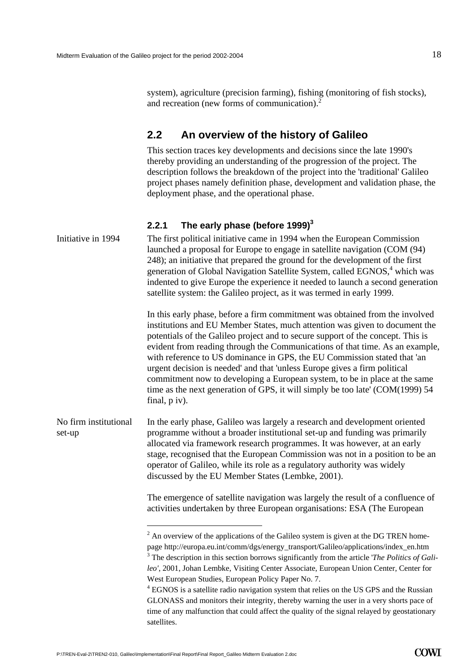<span id="page-19-0"></span>system), agriculture (precision farming), fishing (monitoring of fish stocks), and recreation (new forms of communication).<sup>[2](#page-19-1)</sup>

#### **2.2 An overview of the history of Galileo**

This section traces key developments and decisions since the late 1990's thereby providing an understanding of the progression of the project. The description follows the breakdown of the project into the 'traditional' Galileo project phases namely definition phase, development and validation phase, the deployment phase, and the operational phase.

#### **2.2.1 The early phase (before 1999)[3](#page-19-2)**

| Initiative in 1994              | The first political initiative came in 1994 when the European Commission<br>launched a proposal for Europe to engage in satellite navigation (COM (94)<br>248); an initiative that prepared the ground for the development of the first<br>generation of Global Navigation Satellite System, called EGNOS, <sup>4</sup> which was<br>indented to give Europe the experience it needed to launch a second generation<br>satellite system: the Galileo project, as it was termed in early 1999.                                                                                                                                                                                                                                          |
|---------------------------------|----------------------------------------------------------------------------------------------------------------------------------------------------------------------------------------------------------------------------------------------------------------------------------------------------------------------------------------------------------------------------------------------------------------------------------------------------------------------------------------------------------------------------------------------------------------------------------------------------------------------------------------------------------------------------------------------------------------------------------------|
|                                 | In this early phase, before a firm commitment was obtained from the involved<br>institutions and EU Member States, much attention was given to document the<br>potentials of the Galileo project and to secure support of the concept. This is<br>evident from reading through the Communications of that time. As an example,<br>with reference to US dominance in GPS, the EU Commission stated that 'an<br>urgent decision is needed' and that 'unless Europe gives a firm political<br>commitment now to developing a European system, to be in place at the same<br>time as the next generation of GPS, it will simply be too late' (COM(1999) 54<br>final, p iv).                                                                |
| No firm institutional<br>set-up | In the early phase, Galileo was largely a research and development oriented<br>programme without a broader institutional set-up and funding was primarily<br>allocated via framework research programmes. It was however, at an early<br>stage, recognised that the European Commission was not in a position to be an<br>operator of Galileo, while its role as a regulatory authority was widely<br>discussed by the EU Member States (Lembke, 2001).                                                                                                                                                                                                                                                                                |
|                                 | The emergence of satellite navigation was largely the result of a confluence of<br>activities undertaken by three European organisations: ESA (The European                                                                                                                                                                                                                                                                                                                                                                                                                                                                                                                                                                            |
|                                 | $2$ An overview of the applications of the Galileo system is given at the DG TREN home-<br>page http://europa.eu.int/comm/dgs/energy_transport/Galileo/applications/index_en.htm<br>$3$ The description in this section borrows significantly from the article <i>The Politics of Gali</i> -<br>leo', 2001, Johan Lembke, Visiting Center Associate, European Union Center, Center for<br>West European Studies, European Policy Paper No. 7.<br>$4$ EGNOS is a satellite radio navigation system that relies on the US GPS and the Russian<br>GLONASS and monitors their integrity, thereby warning the user in a very shorts pace of<br>time of any malfunction that could affect the quality of the signal relayed by geostationary |

<span id="page-19-3"></span><span id="page-19-2"></span><span id="page-19-1"></span>satellites.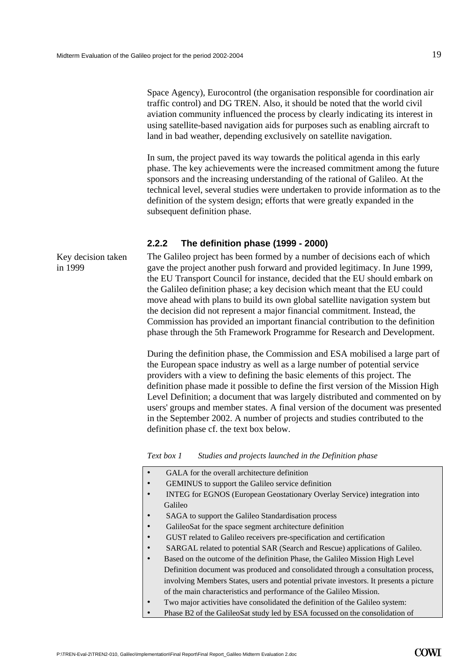Key decision taken

in 1999

Space Agency), Eurocontrol (the organisation responsible for coordination air traffic control) and DG TREN. Also, it should be noted that the world civil aviation community influenced the process by clearly indicating its interest in using satellite-based navigation aids for purposes such as enabling aircraft to land in bad weather, depending exclusively on satellite navigation.

In sum, the project paved its way towards the political agenda in this early phase. The key achievements were the increased commitment among the future sponsors and the increasing understanding of the rational of Galileo. At the technical level, several studies were undertaken to provide information as to the definition of the system design; efforts that were greatly expanded in the subsequent definition phase.

#### **2.2.2 The definition phase (1999 - 2000)**

The Galileo project has been formed by a number of decisions each of which gave the project another push forward and provided legitimacy. In June 1999, the EU Transport Council for instance, decided that the EU should embark on the Galileo definition phase; a key decision which meant that the EU could move ahead with plans to build its own global satellite navigation system but the decision did not represent a major financial commitment. Instead, the Commission has provided an important financial contribution to the definition phase through the 5th Framework Programme for Research and Development.

During the definition phase, the Commission and ESA mobilised a large part of the European space industry as well as a large number of potential service providers with a view to defining the basic elements of this project. The definition phase made it possible to define the first version of the Mission High Level Definition; a document that was largely distributed and commented on by users' groups and member states. A final version of the document was presented in the September 2002. A number of projects and studies contributed to the definition phase cf. the text box below.

*Text box 1 Studies and projects launched in the Definition phase* 

- GALA for the overall architecture definition
- GEMINUS to support the Galileo service definition
- INTEG for EGNOS (European Geostationary Overlay Service) integration into Galileo
- SAGA to support the Galileo Standardisation process
- GalileoSat for the space segment architecture definition
- GUST related to Galileo receivers pre-specification and certification
- SARGAL related to potential SAR (Search and Rescue) applications of Galileo.
- Based on the outcome of the definition Phase, the Galileo Mission High Level Definition document was produced and consolidated through a consultation process, involving Members States, users and potential private investors. It presents a picture of the main characteristics and performance of the Galileo Mission.
- Two major activities have consolidated the definition of the Galileo system:
- Phase B2 of the GalileoSat study led by ESA focussed on the consolidation of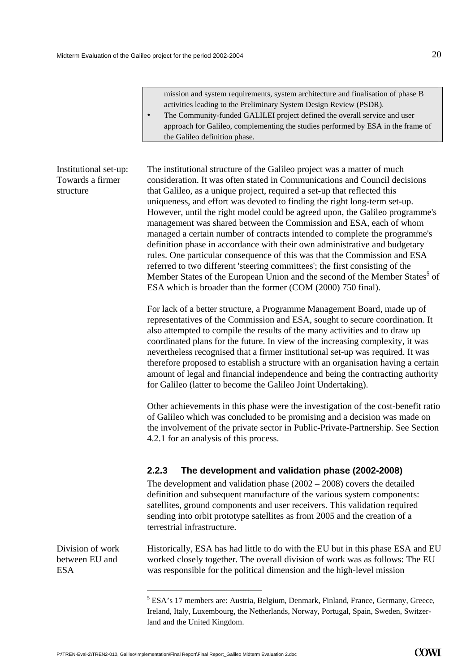mission and system requirements, system architecture and finalisation of phase B activities leading to the Preliminary System Design Review (PSDR).

• The Community-funded GALILEI project defined the overall service and user approach for Galileo, complementing the studies performed by ESA in the frame of the Galileo definition phase.

#### Institutional set-up: Towards a firmer structure

The institutional structure of the Galileo project was a matter of much consideration. It was often stated in Communications and Council decisions that Galileo, as a unique project, required a set-up that reflected this uniqueness, and effort was devoted to finding the right long-term set-up. However, until the right model could be agreed upon, the Galileo programme's management was shared between the Commission and ESA, each of whom managed a certain number of contracts intended to complete the programme's definition phase in accordance with their own administrative and budgetary rules. One particular consequence of this was that the Commission and ESA referred to two different 'steering committees'; the first consisting of the Member States [o](#page-21-0)f the European Union and the second of the Member States<sup>5</sup> of ESA which is broader than the former (COM (2000) 750 final).

For lack of a better structure, a Programme Management Board, made up of representatives of the Commission and ESA, sought to secure coordination. It also attempted to compile the results of the many activities and to draw up coordinated plans for the future. In view of the increasing complexity, it was nevertheless recognised that a firmer institutional set-up was required. It was therefore proposed to establish a structure with an organisation having a certain amount of legal and financial independence and being the contracting authority for Galileo (latter to become the Galileo Joint Undertaking).

Other achievements in this phase were the investigation of the cost-benefit ratio of Galileo which was concluded to be promising and a decision was made on the involvement of the private sector in Public-Private-Partnership. See Section [4.2.1](#page-51-1) for an analysis of this process.

#### **2.2.3 The development and validation phase (2002-2008)**

The development and validation phase (2002 – 2008) covers the detailed definition and subsequent manufacture of the various system components: satellites, ground components and user receivers. This validation required sending into orbit prototype satellites as from 2005 and the creation of a terrestrial infrastructure.

Historically, ESA has had little to do with the EU but in this phase ESA and EU worked closely together. The overall division of work was as follows: The EU was responsible for the political dimension and the high-level mission

Division of work between EU and ESA

 $\overline{a}$ 

<span id="page-21-0"></span><sup>&</sup>lt;sup>5</sup> ESA's 17 members are: Austria, Belgium, Denmark, Finland, France, Germany, Greece, Ireland, Italy, Luxembourg, the Netherlands, Norway, Portugal, Spain, Sweden, Switzerland and the United Kingdom.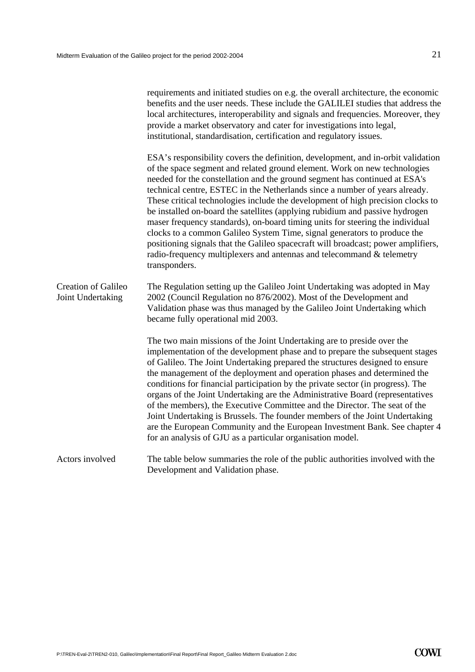|                                          | requirements and initiated studies on e.g. the overall architecture, the economic<br>benefits and the user needs. These include the GALILEI studies that address the<br>local architectures, interoperability and signals and frequencies. Moreover, they<br>provide a market observatory and cater for investigations into legal,<br>institutional, standardisation, certification and regulatory issues.                                                                                                                                                                                                                                                                                                                                                                                                                                |
|------------------------------------------|-------------------------------------------------------------------------------------------------------------------------------------------------------------------------------------------------------------------------------------------------------------------------------------------------------------------------------------------------------------------------------------------------------------------------------------------------------------------------------------------------------------------------------------------------------------------------------------------------------------------------------------------------------------------------------------------------------------------------------------------------------------------------------------------------------------------------------------------|
|                                          | ESA's responsibility covers the definition, development, and in-orbit validation<br>of the space segment and related ground element. Work on new technologies<br>needed for the constellation and the ground segment has continued at ESA's<br>technical centre, ESTEC in the Netherlands since a number of years already.<br>These critical technologies include the development of high precision clocks to<br>be installed on-board the satellites (applying rubidium and passive hydrogen<br>maser frequency standards), on-board timing units for steering the individual<br>clocks to a common Galileo System Time, signal generators to produce the<br>positioning signals that the Galileo spacecraft will broadcast; power amplifiers,<br>radio-frequency multiplexers and antennas and telecommand & telemetry<br>transponders. |
| Creation of Galileo<br>Joint Undertaking | The Regulation setting up the Galileo Joint Undertaking was adopted in May<br>2002 (Council Regulation no 876/2002). Most of the Development and<br>Validation phase was thus managed by the Galileo Joint Undertaking which<br>became fully operational mid 2003.                                                                                                                                                                                                                                                                                                                                                                                                                                                                                                                                                                        |
|                                          | The two main missions of the Joint Undertaking are to preside over the<br>implementation of the development phase and to prepare the subsequent stages<br>of Galileo. The Joint Undertaking prepared the structures designed to ensure<br>the management of the deployment and operation phases and determined the<br>conditions for financial participation by the private sector (in progress). The<br>organs of the Joint Undertaking are the Administrative Board (representatives<br>of the members), the Executive Committee and the Director. The seat of the<br>Joint Undertaking is Brussels. The founder members of the Joint Undertaking<br>are the European Community and the European Investment Bank. See chapter 4<br>for an analysis of GJU as a particular organisation model.                                           |
| Actors involved                          | The table below summaries the role of the public authorities involved with the<br>Development and Validation phase.                                                                                                                                                                                                                                                                                                                                                                                                                                                                                                                                                                                                                                                                                                                       |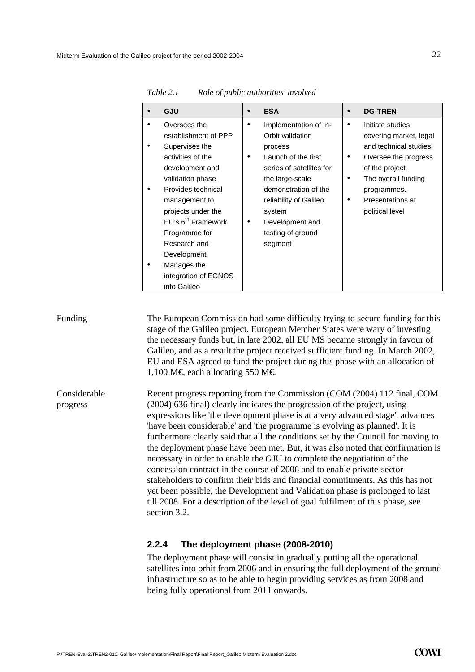| GJU                                                                                                                                                                                                                                                                                                                      | <b>ESA</b>                                                                                                                                                                                                                                          | <b>DG-TREN</b>                                                                                                                                                                                        |
|--------------------------------------------------------------------------------------------------------------------------------------------------------------------------------------------------------------------------------------------------------------------------------------------------------------------------|-----------------------------------------------------------------------------------------------------------------------------------------------------------------------------------------------------------------------------------------------------|-------------------------------------------------------------------------------------------------------------------------------------------------------------------------------------------------------|
| Oversees the<br>establishment of PPP<br>Supervises the<br>activities of the<br>development and<br>validation phase<br>Provides technical<br>management to<br>projects under the<br>EU's 6 <sup>th</sup> Framework<br>Programme for<br>Research and<br>Development<br>Manages the<br>integration of EGNOS<br>into Galileo | Implementation of In-<br>٠<br>Orbit validation<br>process<br>Launch of the first<br>٠<br>series of satellites for<br>the large-scale<br>demonstration of the<br>reliability of Galileo<br>system<br>Development and<br>testing of ground<br>segment | Initiate studies<br>٠<br>covering market, legal<br>and technical studies.<br>Oversee the progress<br>٠<br>of the project<br>The overall funding<br>programmes.<br>Presentations at<br>political level |

*Table 2.1 Role of public authorities' involved* 

#### Funding The European Commission had some difficulty trying to secure funding for this stage of the Galileo project. European Member States were wary of investing the necessary funds but, in late 2002, all EU MS became strongly in favour of Galileo, and as a result the project received sufficient funding. In March 2002, EU and ESA agreed to fund the project during this phase with an allocation of 1,100 M€ each allocating 550 M€ Recent progress reporting from the Commission (COM (2004) 112 final, COM Considerable

(2004) 636 final) clearly indicates the progression of the project, using expressions like 'the development phase is at a very advanced stage', advances 'have been considerable' and 'the programme is evolving as planned'. It is furthermore clearly said that all the conditions set by the Council for moving to the deployment phase have been met. But, it was also noted that confirmation is necessary in order to enable the GJU to complete the negotiation of the concession contract in the course of 2006 and to enable private-sector stakeholders to confirm their bids and financial commitments. As this has not yet been possible, the Development and Validation phase is prolonged to last till 2008. For a description of the level of goal fulfilment of this phase, see section [3.2.](#page-33-1) progress

#### **2.2.4 The deployment phase (2008-2010)**

The deployment phase will consist in gradually putting all the operational satellites into orbit from 2006 and in ensuring the full deployment of the ground infrastructure so as to be able to begin providing services as from 2008 and being fully operational from 2011 onwards.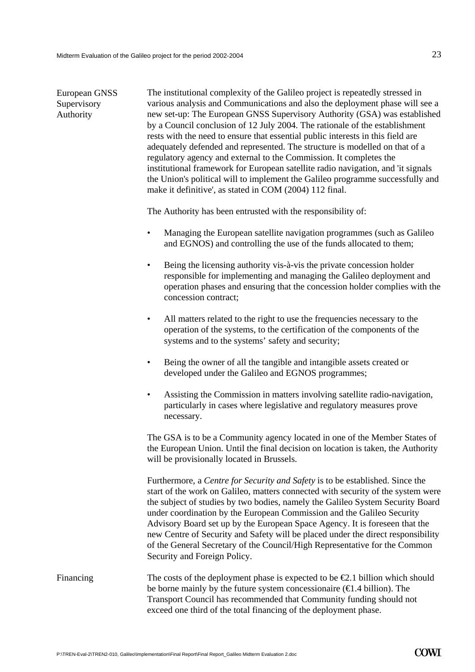| European GNSS<br>Supervisory<br>Authority | The institutional complexity of the Galileo project is repeatedly stressed in<br>various analysis and Communications and also the deployment phase will see a<br>new set-up: The European GNSS Supervisory Authority (GSA) was established<br>by a Council conclusion of 12 July 2004. The rationale of the establishment<br>rests with the need to ensure that essential public interests in this field are<br>adequately defended and represented. The structure is modelled on that of a<br>regulatory agency and external to the Commission. It completes the<br>institutional framework for European satellite radio navigation, and 'it signals<br>the Union's political will to implement the Galileo programme successfully and<br>make it definitive', as stated in COM (2004) 112 final. |
|-------------------------------------------|----------------------------------------------------------------------------------------------------------------------------------------------------------------------------------------------------------------------------------------------------------------------------------------------------------------------------------------------------------------------------------------------------------------------------------------------------------------------------------------------------------------------------------------------------------------------------------------------------------------------------------------------------------------------------------------------------------------------------------------------------------------------------------------------------|
|                                           | The Authority has been entrusted with the responsibility of:                                                                                                                                                                                                                                                                                                                                                                                                                                                                                                                                                                                                                                                                                                                                       |
|                                           | Managing the European satellite navigation programmes (such as Galileo<br>$\bullet$<br>and EGNOS) and controlling the use of the funds allocated to them;                                                                                                                                                                                                                                                                                                                                                                                                                                                                                                                                                                                                                                          |
|                                           | Being the licensing authority vis-à-vis the private concession holder<br>$\bullet$<br>responsible for implementing and managing the Galileo deployment and<br>operation phases and ensuring that the concession holder complies with the<br>concession contract;                                                                                                                                                                                                                                                                                                                                                                                                                                                                                                                                   |
|                                           | All matters related to the right to use the frequencies necessary to the<br>$\bullet$<br>operation of the systems, to the certification of the components of the<br>systems and to the systems' safety and security;                                                                                                                                                                                                                                                                                                                                                                                                                                                                                                                                                                               |
|                                           | Being the owner of all the tangible and intangible assets created or<br>$\bullet$<br>developed under the Galileo and EGNOS programmes;                                                                                                                                                                                                                                                                                                                                                                                                                                                                                                                                                                                                                                                             |
|                                           | Assisting the Commission in matters involving satellite radio-navigation,<br>$\bullet$<br>particularly in cases where legislative and regulatory measures prove<br>necessary.                                                                                                                                                                                                                                                                                                                                                                                                                                                                                                                                                                                                                      |
|                                           | The GSA is to be a Community agency located in one of the Member States of<br>the European Union. Until the final decision on location is taken, the Authority<br>will be provisionally located in Brussels.                                                                                                                                                                                                                                                                                                                                                                                                                                                                                                                                                                                       |
|                                           | Furthermore, a Centre for Security and Safety is to be established. Since the<br>start of the work on Galileo, matters connected with security of the system were<br>the subject of studies by two bodies, namely the Galileo System Security Board<br>under coordination by the European Commission and the Galileo Security<br>Advisory Board set up by the European Space Agency. It is foreseen that the<br>new Centre of Security and Safety will be placed under the direct responsibility<br>of the General Secretary of the Council/High Representative for the Common<br>Security and Foreign Policy.                                                                                                                                                                                     |
| Financing                                 | The costs of the deployment phase is expected to be $\epsilon$ . I billion which should<br>be borne mainly by the future system concessionaire $(\text{ } \in \text{ } 1.4 \text{ billion})$ . The<br>Transport Council has recommended that Community funding should not<br>exceed one third of the total financing of the deployment phase.                                                                                                                                                                                                                                                                                                                                                                                                                                                      |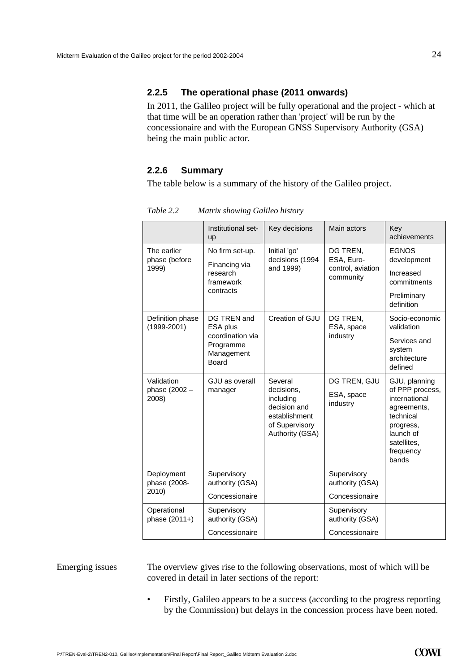#### **2.2.5 The operational phase (2011 onwards)**

In 2011, the Galileo project will be fully operational and the project - which at that time will be an operation rather than 'project' will be run by the concessionaire and with the European GNSS Supervisory Authority (GSA) being the main public actor.

#### **2.2.6 Summary**

The table below is a summary of the history of the Galileo project.

|                                      | Institutional set-<br>up                             | Key decisions                                                                                            | Main actors                            | Key<br>achievements                                                                                                                          |
|--------------------------------------|------------------------------------------------------|----------------------------------------------------------------------------------------------------------|----------------------------------------|----------------------------------------------------------------------------------------------------------------------------------------------|
| The earlier<br>phase (before         | No firm set-up.<br>Financing via                     | Initial 'go'<br>decisions (1994                                                                          | DG TREN,<br>ESA, Euro-                 | <b>EGNOS</b><br>development                                                                                                                  |
| 1999)                                | research<br>framework                                | and 1999)                                                                                                | control, aviation<br>community         | Increased<br>commitments                                                                                                                     |
|                                      | contracts                                            |                                                                                                          |                                        | Preliminary<br>definition                                                                                                                    |
| Definition phase<br>$(1999 - 2001)$  | DG TREN and<br>ESA plus                              | Creation of GJU                                                                                          | DG TREN,<br>ESA, space                 | Socio-economic<br>validation                                                                                                                 |
|                                      | coordination via<br>Programme<br>Management<br>Board |                                                                                                          | industry                               | Services and<br>system<br>architecture<br>defined                                                                                            |
| Validation<br>phase (2002 -<br>2008) | GJU as overall<br>manager                            | Several<br>decisions.<br>including<br>decision and<br>establishment<br>of Supervisory<br>Authority (GSA) | DG TREN, GJU<br>ESA, space<br>industry | GJU, planning<br>of PPP process,<br>international<br>agreements,<br>technical<br>progress,<br>launch of<br>satellites.<br>frequency<br>bands |
| Deployment<br>phase (2008-           | Supervisory<br>authority (GSA)                       |                                                                                                          | Supervisory<br>authority (GSA)         |                                                                                                                                              |
| 2010)                                | Concessionaire                                       |                                                                                                          | Concessionaire                         |                                                                                                                                              |
| Operational<br>phase (2011+)         | Supervisory<br>authority (GSA)                       |                                                                                                          | Supervisory<br>authority (GSA)         |                                                                                                                                              |
|                                      | Concessionaire                                       |                                                                                                          | Concessionaire                         |                                                                                                                                              |

*Table 2.2 Matrix showing Galileo history* 

#### Emerging issues

The overview gives rise to the following observations, most of which will be covered in detail in later sections of the report:

• Firstly, Galileo appears to be a success (according to the progress reporting by the Commission) but delays in the concession process have been noted.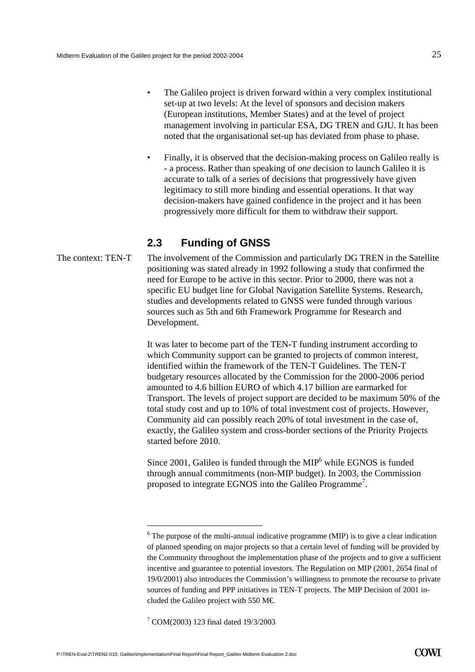- <span id="page-26-0"></span>The Galileo project is driven forward within a very complex institutional set-up at two levels: At the level of sponsors and decision makers (European institutions, Member States) and at the level of project management involving in particular ESA, DG TREN and GJU. It has been noted that the organisational set-up has deviated from phase to phase.
- Finally, it is observed that the decision-making process on Galileo really is - a process. Rather than speaking of *one* decision to launch Galileo it is accurate to talk of a series of decisions that progressively have given legitimacy to still more binding and essential operations. It that way decision-makers have gained confidence in the project and it has been progressively more difficult for them to withdraw their support.

#### **2.3 Funding of GNSS**

The context: TEN-T The involvement of the Commission and particularly DG TREN in the Satellite positioning was stated already in 1992 following a study that confirmed the need for Europe to be active in this sector. Prior to 2000, there was not a specific EU budget line for Global Navigation Satellite Systems. Research, studies and developments related to GNSS were funded through various sources such as [5th and 6th Framework Programme](http://www.cordis.lu/fp5/home.html) for Research and Development.

> It was later to become part of the TEN-T funding instrument according to which Community support can be granted to projects of common interest, identified within the framework of the TEN-T Guidelines. The TEN-T budgetary resources allocated by the Commission for the 2000-2006 period amounted to 4.6 billion EURO of which 4.17 billion are earmarked for Transport. The levels of project support are decided to be maximum 50% of the total study cost and up to 10% of total investment cost of projects. However, Community aid can possibly reach 20% of total investment in the case of, exactly, the Galileo system and cross-border sections of the Priority Projects started before 2010.

Since  $2001$ , Galileo is funded through the MIP<sup>[6](#page-26-1)</sup> while EGNOS is funded through annual commitments (non-MIP budget). In 2003, the Commission proposed to integrate EGNOS into the Galileo Programme<sup>[7](#page-26-2)</sup>.

l

<span id="page-26-1"></span> $6$  The purpose of the multi-annual indicative programme (MIP) is to give a clear indication of planned spending on major projects so that a certain level of funding will be provided by the Community throughout the implementation phase of the projects and to give a sufficient incentive and guarantee to potential investors. The Regulation on MIP (2001, 2654 final of 19/0/2001) also introduces the Commission's willingness to promote the recourse to private sources of funding and PPP initiatives in TEN-T projects. The MIP Decision of 2001 included the Galileo project with 550 M€.

<span id="page-26-2"></span><sup>7</sup> COM(2003) 123 final dated 19/3/2003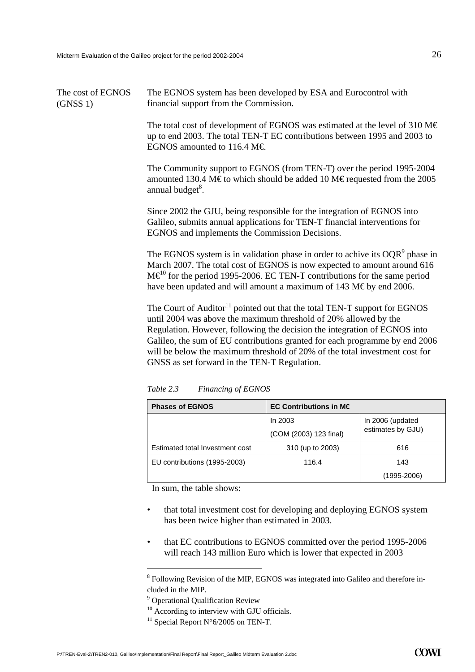| The cost of EGNOS | The EGNOS system has been developed by ESA and Eurocontrol with |
|-------------------|-----------------------------------------------------------------|
| (GNSS 1)          | financial support from the Commission.                          |

The total cost of development of EGNOS was estimated at the level of 310 M $\in$ up to end 2003. The total TEN-T EC contributions between 1995 and 2003 to EGNOS amounted to 116.4 M $\in$ 

The Community support to EGNOS (from TEN-T) over the period 1995-2004 amounted 130.4 M€ to which should be added 10 M€ requested from the 2005 annual budget<sup>8</sup>.

Since 2002 the GJU, being responsible for the integration of EGNOS into Galileo, submits annual applications for TEN-T financial interventions for EGNOS and implements the Commission Decisions.

The EGNOS system is in validation phase in order to achive its  $OQR<sup>9</sup>$  phase in March 2007. The total cost of EGNOS is now expected to amount around 616  $M\epsilon^{0}$  for the period 1995-2006. EC TEN-T contributions for the same period have been updated and will amount a maximum of 143 M€ by end 2006.

The Court of Auditor $11$  pointed out that the total TEN-T support for EGNOS until 2004 was above the maximum threshold of 20% allowed by the Regulation. However, following the decision the integration of EGNOS into Galileo, the sum of EU contributions granted for each programme by end 2006 will be below the maximum threshold of 20% of the total investment cost for GNSS as set forward in the TEN-T Regulation.

| <b>Phases of EGNOS</b>          | EC Contributions in $M \in$ |                                       |  |  |
|---------------------------------|-----------------------------|---------------------------------------|--|--|
|                                 | In $2003$                   | In 2006 (updated<br>estimates by GJU) |  |  |
|                                 | (COM (2003) 123 final)      |                                       |  |  |
| Estimated total Investment cost | 310 (up to 2003)            | 616                                   |  |  |
| EU contributions (1995-2003)    | 116.4                       | 143                                   |  |  |
|                                 |                             | (1995-2006)                           |  |  |

*Table 2.3 Financing of EGNOS* 

In sum, the table shows:

- that total investment cost for developing and deploying EGNOS system has been twice higher than estimated in 2003.
- that EC contributions to EGNOS committed over the period 1995-2006 will reach 143 million Euro which is lower that expected in 2003

 $\overline{a}$ 

<span id="page-27-0"></span><sup>&</sup>lt;sup>8</sup> Following Revision of the MIP, EGNOS was integrated into Galileo and therefore included in the MIP.<br><sup>9</sup> Operational Qualification Review

<span id="page-27-1"></span>

<span id="page-27-2"></span><sup>&</sup>lt;sup>10</sup> According to interview with GJU officials. <sup>11</sup> Special Report N°6/2005 on TEN-T.

<span id="page-27-3"></span>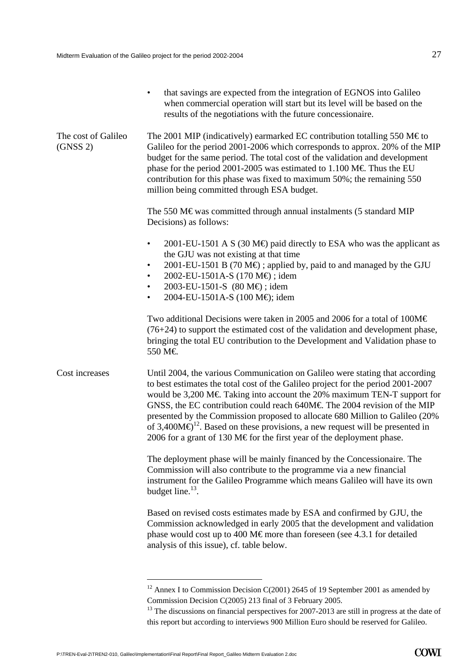|                                 | that savings are expected from the integration of EGNOS into Galileo<br>$\bullet$<br>when commercial operation will start but its level will be based on the<br>results of the negotiations with the future concessionaire.                                                                                                                                                                                                                                                                                                                                                               |  |  |  |  |
|---------------------------------|-------------------------------------------------------------------------------------------------------------------------------------------------------------------------------------------------------------------------------------------------------------------------------------------------------------------------------------------------------------------------------------------------------------------------------------------------------------------------------------------------------------------------------------------------------------------------------------------|--|--|--|--|
| The cost of Galileo<br>(GNSS 2) | The 2001 MIP (indicatively) earmarked EC contribution totalling 550 M $\epsilon$ to<br>Galileo for the period 2001-2006 which corresponds to approx. 20% of the MIP<br>budget for the same period. The total cost of the validation and development<br>phase for the period 2001-2005 was estimated to 1.100 M $\in$ Thus the EU<br>contribution for this phase was fixed to maximum 50%; the remaining 550<br>million being committed through ESA budget.                                                                                                                                |  |  |  |  |
|                                 | The 550 M $\epsilon$ was committed through annual instalments (5 standard MIP<br>Decisions) as follows:                                                                                                                                                                                                                                                                                                                                                                                                                                                                                   |  |  |  |  |
|                                 | 2001-EU-1501 A S (30 M $\oplus$ paid directly to ESA who was the applicant as<br>٠<br>the GJU was not existing at that time<br>2001-EU-1501 B (70 M $\oplus$ ); applied by, paid to and managed by the GJU<br>$\bullet$<br>2002-EU-1501A-S (170 M€); idem<br>$\bullet$<br>2003-EU-1501-S (80 M€); idem<br>$\bullet$<br>2004-EU-1501A-S (100 M€); idem<br>$\bullet$                                                                                                                                                                                                                        |  |  |  |  |
|                                 | Two additional Decisions were taken in 2005 and 2006 for a total of 100M $\in$<br>$(76+24)$ to support the estimated cost of the validation and development phase,<br>bringing the total EU contribution to the Development and Validation phase to<br>550 M€                                                                                                                                                                                                                                                                                                                             |  |  |  |  |
| Cost increases                  | Until 2004, the various Communication on Galileo were stating that according<br>to best estimates the total cost of the Galileo project for the period 2001-2007<br>would be 3,200 M€ Taking into account the 20% maximum TEN-T support for<br>GNSS, the EC contribution could reach 640M $\in$ The 2004 revision of the MIP<br>presented by the Commission proposed to allocate 680 Million to Galileo (20%<br>of 3,400M $\Theta$ <sup>12</sup> . Based on these provisions, a new request will be presented in<br>2006 for a grant of 130 M€for the first year of the deployment phase. |  |  |  |  |
|                                 | The deployment phase will be mainly financed by the Concessionaire. The<br>Commission will also contribute to the programme via a new financial<br>instrument for the Galileo Programme which means Galileo will have its own<br>budget line. <sup>13</sup> .                                                                                                                                                                                                                                                                                                                             |  |  |  |  |
|                                 | Based on revised costs estimates made by ESA and confirmed by GJU, the<br>Commission acknowledged in early 2005 that the development and validation<br>phase would cost up to 400 M€more than foreseen (see 4.3.1 for detailed<br>analysis of this issue), cf. table below.                                                                                                                                                                                                                                                                                                               |  |  |  |  |

 $\overline{a}$ 

<span id="page-28-0"></span> $12$  Annex I to Commission Decision C(2001) 2645 of 19 September 2001 as amended by Commission Decision C(2005) 213 final of 3 February 2005.<br><sup>13</sup> The discussions on financial perspectives for 2007-2013 are still in progress at the date of

<span id="page-28-1"></span>this report but according to interviews 900 Million Euro should be reserved for Galileo.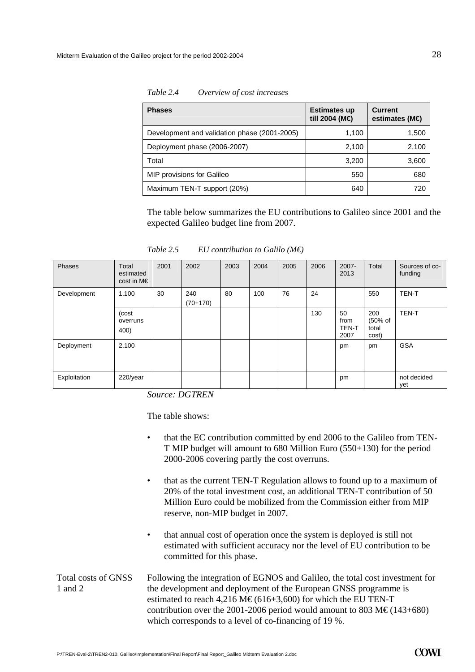| <b>Phases</b>                                | <b>Estimates up</b><br>till 2004 (M€) | <b>Current</b><br>estimates (M $\bigoplus$ |
|----------------------------------------------|---------------------------------------|--------------------------------------------|
| Development and validation phase (2001-2005) | 1,100                                 | 1,500                                      |
| Deployment phase (2006-2007)                 | 2,100                                 | 2,100                                      |
| Total                                        | 3,200                                 | 3,600                                      |
| MIP provisions for Galileo                   | 550                                   | 680                                        |
| Maximum TEN-T support (20%)                  | 640                                   | 720                                        |

*Table 2.4 Overview of cost increases* 

The table below summarizes the EU contributions to Galileo since 2001 and the expected Galileo budget line from 2007.

| Phases       | <b>Total</b><br>estimated<br>$cost$ in M $\epsilon$ | 2001 | 2002              | 2003 | 2004 | 2005 | 2006 | $2007 -$<br>2013                   | Total                            | Sources of co-<br>funding |
|--------------|-----------------------------------------------------|------|-------------------|------|------|------|------|------------------------------------|----------------------------------|---------------------------|
| Development  | 1.100                                               | 30   | 240<br>$(70+170)$ | 80   | 100  | 76   | 24   |                                    | 550                              | <b>TEN-T</b>              |
|              | (cost<br>overruns<br>400)                           |      |                   |      |      |      | 130  | 50<br>from<br><b>TEN-T</b><br>2007 | 200<br>(50% of<br>total<br>cost) | <b>TEN-T</b>              |
| Deployment   | 2.100                                               |      |                   |      |      |      |      | pm                                 | pm                               | <b>GSA</b>                |
| Exploitation | $220$ /year                                         |      |                   |      |      |      |      | pm                                 |                                  | not decided<br>yet        |

*Table 2.5 EU contribution to Galilo (M€)*

*Source: DGTREN* 

The table shows:

- that the EC contribution committed by end 2006 to the Galileo from TEN-T MIP budget will amount to 680 Million Euro (550+130) for the period 2000-2006 covering partly the cost overruns.
- that as the current TEN-T Regulation allows to found up to a maximum of 20% of the total investment cost, an additional TEN-T contribution of 50 Million Euro could be mobilized from the Commission either from MIP reserve, non-MIP budget in 2007.
- that annual cost of operation once the system is deployed is still not estimated with sufficient accuracy nor the level of EU contribution to be committed for this phase.

#### Following the integration of EGNOS and Galileo, the total cost investment for the development and deployment of the European GNSS programme is estimated to reach 4,216 M€ (616+3,600) for which the EU TEN-T contribution over the 2001-2006 period would amount to 803 M€ (143+680) which corresponds to a level of co-financing of 19 %. Total costs of GNSS 1 and 2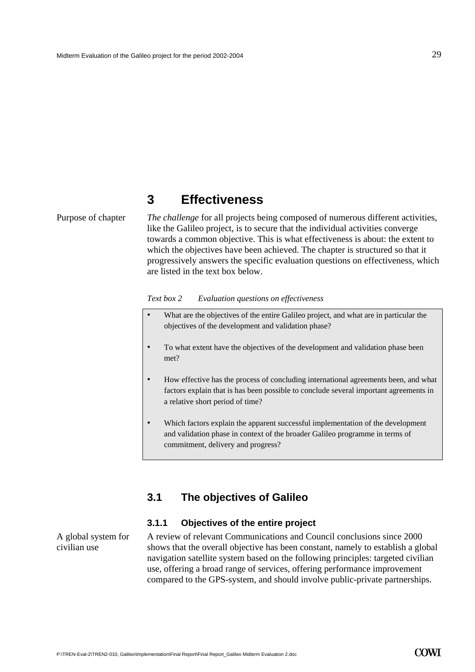### **3 Effectiveness**

<span id="page-30-0"></span>Purpose of chapter *The challenge* for all projects being composed of numerous different activities, like the Galileo project, is to secure that the individual activities converge towards a common objective. This is what effectiveness is about: the extent to which the objectives have been achieved. The chapter is structured so that it progressively answers the specific evaluation questions on effectiveness, which are listed in the text box below.

*Text box 2 Evaluation questions on effectiveness* 

| What are the objectives of the entire Galileo project, and what are in particular the |
|---------------------------------------------------------------------------------------|
| objectives of the development and validation phase?                                   |

- To what extent have the objectives of the development and validation phase been met?
- How effective has the process of concluding international agreements been, and what factors explain that is has been possible to conclude several important agreements in a relative short period of time?
- Which factors explain the apparent successful implementation of the development and validation phase in context of the broader Galileo programme in terms of commitment, delivery and progress?

#### **3.1 The objectives of Galileo**

#### **3.1.1 Objectives of the entire project**

A global system for civilian use

A review of relevant Communications and Council conclusions since 2000 shows that the overall objective has been constant, namely to establish a global navigation satellite system based on the following principles: targeted civilian use, offering a broad range of services, offering performance improvement compared to the GPS-system, and should involve public-private partnerships.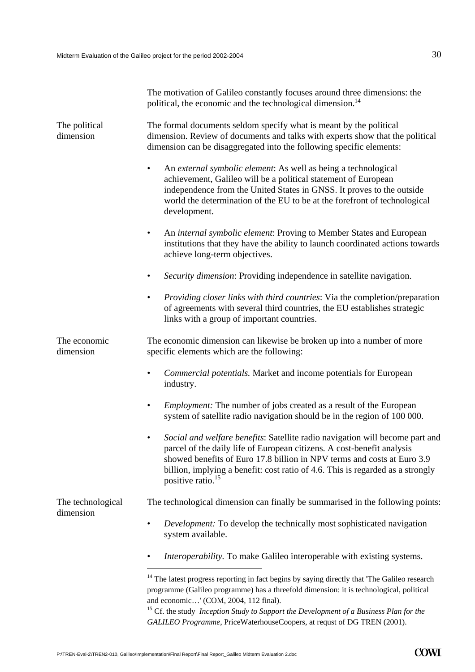The motivation of Galileo constantly focuses around three dimensions: the political, the economic and the technological dimension.<sup>[14](#page-31-0)</sup>

| The political<br>dimension | The formal documents seldom specify what is meant by the political<br>dimension. Review of documents and talks with experts show that the political<br>dimension can be disaggregated into the following specific elements:                                                                                                                                       |  |  |  |  |  |
|----------------------------|-------------------------------------------------------------------------------------------------------------------------------------------------------------------------------------------------------------------------------------------------------------------------------------------------------------------------------------------------------------------|--|--|--|--|--|
|                            | An external symbolic element: As well as being a technological<br>$\bullet$<br>achievement, Galileo will be a political statement of European<br>independence from the United States in GNSS. It proves to the outside<br>world the determination of the EU to be at the forefront of technological<br>development.                                               |  |  |  |  |  |
|                            | An internal symbolic element: Proving to Member States and European<br>$\bullet$<br>institutions that they have the ability to launch coordinated actions towards<br>achieve long-term objectives.                                                                                                                                                                |  |  |  |  |  |
|                            | Security dimension: Providing independence in satellite navigation.<br>$\bullet$                                                                                                                                                                                                                                                                                  |  |  |  |  |  |
|                            | Providing closer links with third countries: Via the completion/preparation<br>$\bullet$<br>of agreements with several third countries, the EU establishes strategic<br>links with a group of important countries.                                                                                                                                                |  |  |  |  |  |
| The economic<br>dimension  | The economic dimension can likewise be broken up into a number of more<br>specific elements which are the following:                                                                                                                                                                                                                                              |  |  |  |  |  |
|                            | Commercial potentials. Market and income potentials for European<br>$\bullet$<br>industry.                                                                                                                                                                                                                                                                        |  |  |  |  |  |
|                            | <i>Employment:</i> The number of jobs created as a result of the European<br>$\bullet$<br>system of satellite radio navigation should be in the region of 100 000.                                                                                                                                                                                                |  |  |  |  |  |
|                            | Social and welfare benefits: Satellite radio navigation will become part and<br>$\bullet$<br>parcel of the daily life of European citizens. A cost-benefit analysis<br>showed benefits of Euro 17.8 billion in NPV terms and costs at Euro 3.9<br>billion, implying a benefit: cost ratio of 4.6. This is regarded as a strongly<br>positive ratio. <sup>15</sup> |  |  |  |  |  |
| The technological          | The technological dimension can finally be summarised in the following points:                                                                                                                                                                                                                                                                                    |  |  |  |  |  |
| dimension                  | <i>Development:</i> To develop the technically most sophisticated navigation<br>$\bullet$<br>system available.                                                                                                                                                                                                                                                    |  |  |  |  |  |
|                            | Interoperability. To make Galileo interoperable with existing systems.                                                                                                                                                                                                                                                                                            |  |  |  |  |  |
|                            | <sup>14</sup> The latest progress reporting in fact begins by saying directly that 'The Galileo research<br>programme (Galileo programme) has a threefold dimension: it is technological, political<br>and economic' (COM, 2004, 112 final).                                                                                                                      |  |  |  |  |  |

<span id="page-31-1"></span><span id="page-31-0"></span><sup>15</sup> Cf. the study *Inception Study to Support the Development of a Business Plan for the GALILEO Programme*, PriceWaterhouseCoopers, at requst of DG TREN (2001).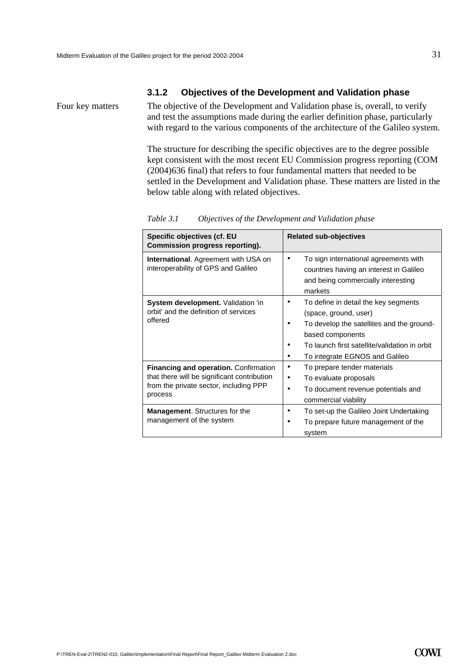#### **3.1.2 Objectives of the Development and Validation phase**

Four key matters The objective of the Development and Validation phase is, overall, to verify and test the assumptions made during the earlier definition phase, particularly with regard to the various components of the architecture of the Galileo system.

> The structure for describing the specific objectives are to the degree possible kept consistent with the most recent EU Commission progress reporting (COM (2004)636 final) that refers to four fundamental matters that needed to be settled in the Development and Validation phase. These matters are listed in the below table along with related objectives.

| Specific objectives (cf. EU<br>Commission progress reporting).                                                                                   | <b>Related sub-objectives</b>                                                                                                                                                                                     |
|--------------------------------------------------------------------------------------------------------------------------------------------------|-------------------------------------------------------------------------------------------------------------------------------------------------------------------------------------------------------------------|
| <b>International.</b> Agreement with USA on<br>interoperability of GPS and Galileo                                                               | To sign international agreements with<br>٠<br>countries having an interest in Galileo<br>and being commercially interesting<br>markets                                                                            |
| System development. Validation 'in<br>orbit' and the definition of services<br>offered                                                           | To define in detail the key segments<br>(space, ground, user)<br>To develop the satellites and the ground-<br>based components<br>To launch first satellite/validation in orbit<br>To integrate EGNOS and Galileo |
| <b>Financing and operation. Confirmation</b><br>that there will be significant contribution<br>from the private sector, including PPP<br>process | To prepare tender materials<br>To evaluate proposals<br>٠<br>To document revenue potentials and<br>commercial viability                                                                                           |
| <b>Management.</b> Structures for the<br>management of the system                                                                                | To set-up the Galileo Joint Undertaking<br>To prepare future management of the<br>system                                                                                                                          |

*Table 3.1 Objectives of the Development and Validation phase*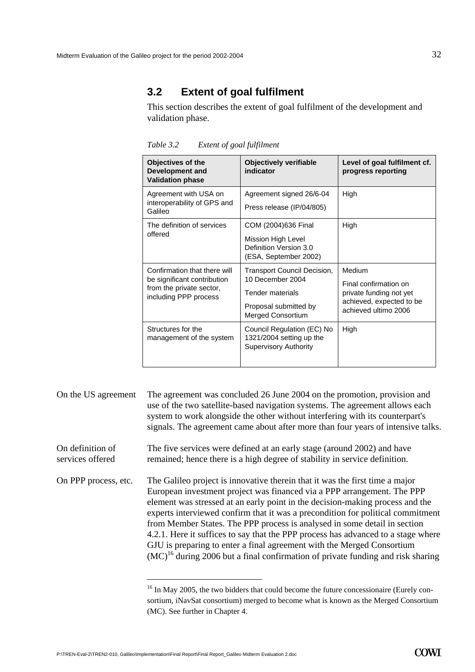#### <span id="page-33-1"></span><span id="page-33-0"></span>**3.2 Extent of goal fulfilment**

This section describes the extent of goal fulfilment of the development and validation phase.

| <b>Objectives of the</b><br><b>Development and</b><br><b>Validation phase</b>                                    | <b>Objectively verifiable</b><br>indicator                                                                                      | Level of goal fulfilment cf.<br>progress reporting                                                             |
|------------------------------------------------------------------------------------------------------------------|---------------------------------------------------------------------------------------------------------------------------------|----------------------------------------------------------------------------------------------------------------|
| Agreement with USA on<br>interoperability of GPS and<br>Galileo                                                  | Agreement signed 26/6-04<br>Press release (IP/04/805)                                                                           | High                                                                                                           |
| The definition of services<br>offered                                                                            | COM (2004)636 Final<br>Mission High Level<br>Definition Version 3.0<br>(ESA, September 2002)                                    | High                                                                                                           |
| Confirmation that there will<br>be significant contribution<br>from the private sector,<br>including PPP process | Transport Council Decision,<br>10 December 2004<br><b>Tender materials</b><br>Proposal submitted by<br><b>Merged Consortium</b> | Medium<br>Final confirmation on<br>private funding not yet<br>achieved, expected to be<br>achieved ultimo 2006 |
| Structures for the<br>management of the system                                                                   | Council Regulation (EC) No<br>1321/2004 setting up the<br><b>Supervisory Authority</b>                                          | High                                                                                                           |

*Table 3.2 Extent of goal fulfilment* 

On the US agreement The agreement was concluded 26 June 2004 on the promotion, provision and use of the two satellite-based navigation systems. The agreement allows each system to work alongside the other without interfering with its counterpart's signals. The agreement came about after more than four years of intensive talks. The five services were defined at an early stage (around 2002) and have remained; hence there is a high degree of stability in service definition. On definition of services offered The Galileo project is innovative therein that it was the first time a major European investment project was financed via a PPP arrangement. The PPP element was stressed at an early point in the decision-making process and the experts interviewed confirm that it was a precondition for political commitment from Member States. The PPP process is analysed in some detail in section [4.2.1.](#page-51-1) Here it suffices to say that the PPP process has advanced to a stage where GJU is preparing to enter a final agreement with the Merged Consortium  $(MC)^{16}$  during 2006 but a final confirmation of private funding and risk sharing On PPP process, etc.

 $\overline{a}$ 

<span id="page-33-2"></span><sup>&</sup>lt;sup>16</sup> In May 2005, the two bidders that could become the future concessionaire (Eurely consortium, iNavSat consortium) merged to become what is known as the Merged Consortium (MC). See further in Chapter 4.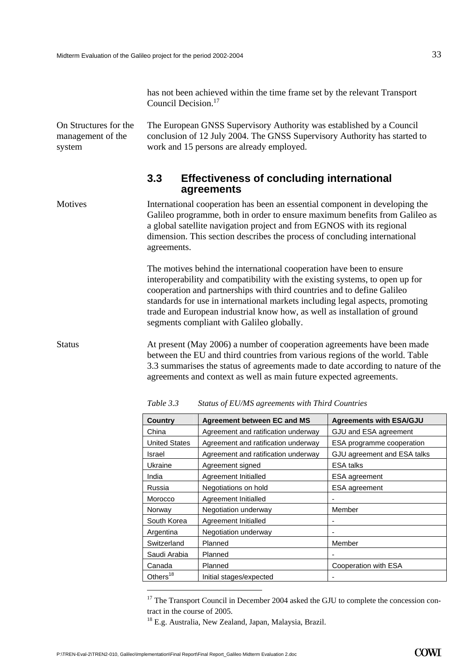has not been achieved within the time frame set by the relevant Transport Council Decision<sup>[17](#page-34-2)</sup>

<span id="page-34-0"></span>On Structures for the management of the system

The European GNSS Supervisory Authority was established by a Council conclusion of 12 July 2004. The GNSS Supervisory Authority has started to work and 15 persons are already employed.

#### **3.3 Effectiveness of concluding international agreements**

International cooperation has been an essential component in developing the Galileo programme, both in order to ensure maximum benefits from Galileo as a global satellite navigation project and from EGNOS with its regional dimension. This section describes the process of concluding international agreements. Motives

> The motives behind the international cooperation have been to ensure interoperability and compatibility with the existing systems, to open up for cooperation and partnerships with third countries and to define Galileo standards for use in international markets including legal aspects, promoting trade and European industrial know how, as well as installation of ground segments compliant with Galileo globally.

Status At present (May 2006) a number of cooperation agreements have been made between the EU and third countries from various regions of the world. [Table](#page-34-1) [3.3](#page-34-1) summarises the status of agreements made to date according to nature of the agreements and context as well as main future expected agreements.

| <b>Country</b>       | <b>Agreement between EC and MS</b>  | <b>Agreements with ESA/GJU</b> |
|----------------------|-------------------------------------|--------------------------------|
| China                | Agreement and ratification underway | GJU and ESA agreement          |
| <b>United States</b> | Agreement and ratification underway | ESA programme cooperation      |
| Israel               | Agreement and ratification underway | GJU agreement and ESA talks    |
| Ukraine              | Agreement signed                    | <b>ESA talks</b>               |
| India                | Agreement Initialled                | <b>ESA</b> agreement           |
| Russia               | Negotiations on hold                | ESA agreement                  |
| Morocco              | Agreement Initialled                |                                |
| Norway               | Negotiation underway                | Member                         |
| South Korea          | Agreement Initialled                |                                |
| Argentina            | Negotiation underway                |                                |
| Switzerland          | Planned                             | Member                         |
| Saudi Arabia         | Planned                             |                                |
| Canada               | Planned                             | Cooperation with ESA           |
| Others <sup>18</sup> | Initial stages/expected             |                                |

<span id="page-34-1"></span>*Table 3.3 Status of EU/MS agreements with Third Countries* 

 $\overline{a}$ 

<span id="page-34-2"></span> $17$  The Transport Council in December 2004 asked the GJU to complete the concession contract in the course of 2005.<br><sup>18</sup> E.g. Australia, New Zealand, Japan, Malaysia, Brazil.

<span id="page-34-3"></span>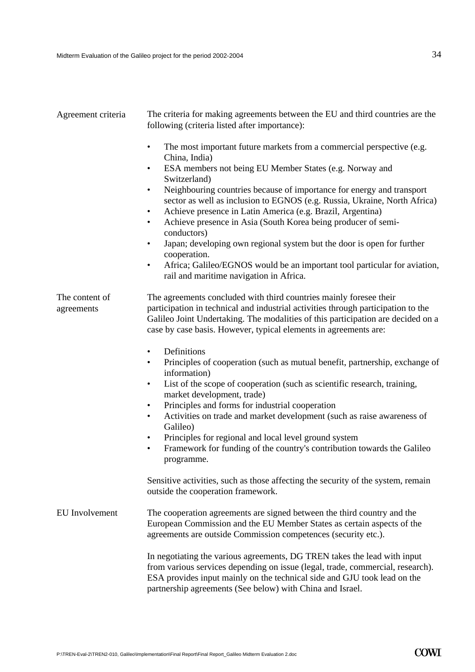| Agreement criteria           | The criteria for making agreements between the EU and third countries are the<br>following (criteria listed after importance):                                                                                                                                                                                                                                                                                                                                                                                                                                                                                                                                                                                                                                                     |  |  |
|------------------------------|------------------------------------------------------------------------------------------------------------------------------------------------------------------------------------------------------------------------------------------------------------------------------------------------------------------------------------------------------------------------------------------------------------------------------------------------------------------------------------------------------------------------------------------------------------------------------------------------------------------------------------------------------------------------------------------------------------------------------------------------------------------------------------|--|--|
|                              | The most important future markets from a commercial perspective (e.g.<br>$\bullet$<br>China, India)<br>ESA members not being EU Member States (e.g. Norway and<br>$\bullet$<br>Switzerland)<br>Neighbouring countries because of importance for energy and transport<br>$\bullet$<br>sector as well as inclusion to EGNOS (e.g. Russia, Ukraine, North Africa)<br>Achieve presence in Latin America (e.g. Brazil, Argentina)<br>$\bullet$<br>Achieve presence in Asia (South Korea being producer of semi-<br>$\bullet$<br>conductors)<br>Japan; developing own regional system but the door is open for further<br>$\bullet$<br>cooperation.<br>Africa; Galileo/EGNOS would be an important tool particular for aviation,<br>$\bullet$<br>rail and maritime navigation in Africa. |  |  |
| The content of<br>agreements | The agreements concluded with third countries mainly foresee their<br>participation in technical and industrial activities through participation to the<br>Galileo Joint Undertaking. The modalities of this participation are decided on a<br>case by case basis. However, typical elements in agreements are:                                                                                                                                                                                                                                                                                                                                                                                                                                                                    |  |  |
|                              | Definitions<br>$\bullet$<br>Principles of cooperation (such as mutual benefit, partnership, exchange of<br>$\bullet$<br>information)<br>List of the scope of cooperation (such as scientific research, training,<br>$\bullet$<br>market development, trade)<br>Principles and forms for industrial cooperation<br>$\bullet$<br>Activities on trade and market development (such as raise awareness of<br>$\bullet$<br>Galileo)<br>Principles for regional and local level ground system<br>$\bullet$<br>Framework for funding of the country's contribution towards the Galileo<br>$\bullet$<br>programme.                                                                                                                                                                         |  |  |
|                              | Sensitive activities, such as those affecting the security of the system, remain<br>outside the cooperation framework.                                                                                                                                                                                                                                                                                                                                                                                                                                                                                                                                                                                                                                                             |  |  |
| <b>EU</b> Involvement        | The cooperation agreements are signed between the third country and the<br>European Commission and the EU Member States as certain aspects of the<br>agreements are outside Commission competences (security etc.).                                                                                                                                                                                                                                                                                                                                                                                                                                                                                                                                                                |  |  |
|                              | In negotiating the various agreements, DG TREN takes the lead with input<br>from various services depending on issue (legal, trade, commercial, research).<br>ESA provides input mainly on the technical side and GJU took lead on the<br>partnership agreements (See below) with China and Israel.                                                                                                                                                                                                                                                                                                                                                                                                                                                                                |  |  |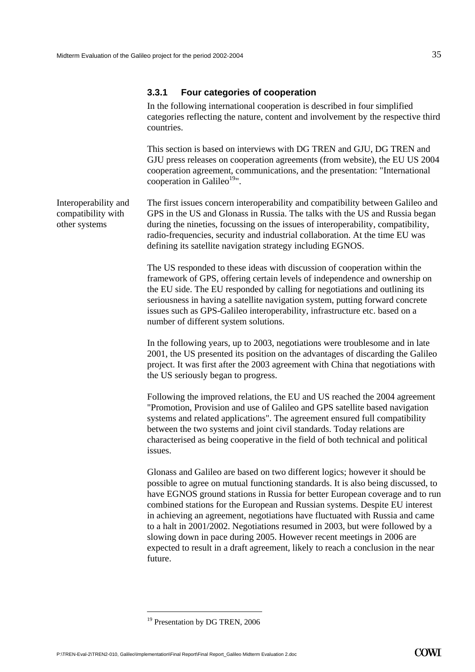#### **3.3.1 Four categories of cooperation**

In the following international cooperation is described in four simplified categories reflecting the nature, content and involvement by the respective third countries.

This section is based on interviews with DG TREN and GJU, DG TREN and GJU press releases on cooperation agreements (from website), the EU US 2004 cooperation agreement, communications, and the presentation: "International cooperation in Galileo $19"$ .

The first issues concern interoperability and compatibility between Galileo and GPS in the US and Glonass in Russia. The talks with the US and Russia began during the nineties, focussing on the issues of interoperability, compatibility, radio-frequencies, security and industrial collaboration. At the time EU was defining its satellite navigation strategy including EGNOS. Interoperability and compatibility with other systems

> The US responded to these ideas with discussion of cooperation within the framework of GPS, offering certain levels of independence and ownership on the EU side. The EU responded by calling for negotiations and outlining its seriousness in having a satellite navigation system, putting forward concrete issues such as GPS-Galileo interoperability, infrastructure etc. based on a number of different system solutions.

In the following years, up to 2003, negotiations were troublesome and in late 2001, the US presented its position on the advantages of discarding the Galileo project. It was first after the 2003 agreement with China that negotiations with the US seriously began to progress.

Following the improved relations, the EU and US reached the 2004 agreement "Promotion, Provision and use of Galileo and GPS satellite based navigation systems and related applications". The agreement ensured full compatibility between the two systems and joint civil standards. Today relations are characterised as being cooperative in the field of both technical and political issues.

Glonass and Galileo are based on two different logics; however it should be possible to agree on mutual functioning standards. It is also being discussed, to have EGNOS ground stations in Russia for better European coverage and to run combined stations for the European and Russian systems. Despite EU interest in achieving an agreement, negotiations have fluctuated with Russia and came to a halt in 2001/2002. Negotiations resumed in 2003, but were followed by a slowing down in pace during 2005. However recent meetings in 2006 are expected to result in a draft agreement, likely to reach a conclusion in the near future.

<span id="page-36-0"></span><sup>&</sup>lt;sup>19</sup> Presentation by DG TREN, 2006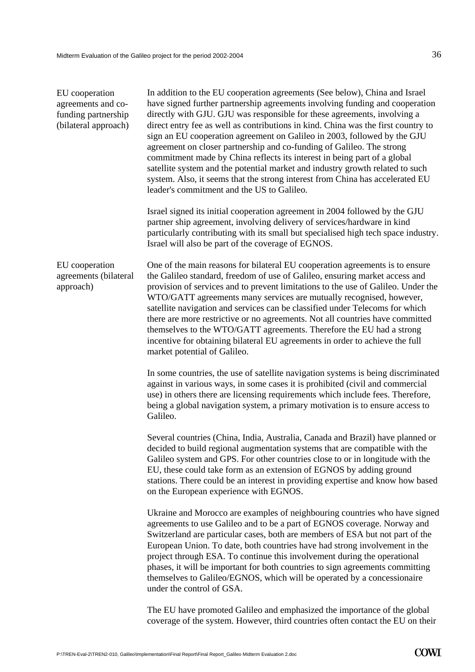| EU cooperation       |
|----------------------|
| agreements and co-   |
| funding partnership  |
| (bilateral approach) |

In addition to the EU cooperation agreements (See below), China and Israel have signed further partnership agreements involving funding and cooperation directly with GJU. GJU was responsible for these agreements, involving a direct entry fee as well as contributions in kind. China was the first country to sign an EU cooperation agreement on Galileo in 2003, followed by the GJU agreement on closer partnership and co-funding of Galileo. The strong commitment made by China reflects its interest in being part of a global satellite system and the potential market and industry growth related to such system. Also, it seems that the strong interest from China has accelerated EU leader's commitment and the US to Galileo.

Israel signed its initial cooperation agreement in 2004 followed by the GJU partner ship agreement, involving delivery of services/hardware in kind particularly contributing with its small but specialised high tech space industry. Israel will also be part of the coverage of EGNOS.

One of the main reasons for bilateral EU cooperation agreements is to ensure the Galileo standard, freedom of use of Galileo, ensuring market access and provision of services and to prevent limitations to the use of Galileo. Under the WTO/GATT agreements many services are mutually recognised, however, satellite navigation and services can be classified under Telecoms for which there are more restrictive or no agreements. Not all countries have committed themselves to the WTO/GATT agreements. Therefore the EU had a strong incentive for obtaining bilateral EU agreements in order to achieve the full market potential of Galileo. EU cooperation agreements (bilateral approach)

> In some countries, the use of satellite navigation systems is being discriminated against in various ways, in some cases it is prohibited (civil and commercial use) in others there are licensing requirements which include fees. Therefore, being a global navigation system, a primary motivation is to ensure access to Galileo.

> Several countries (China, India, Australia, Canada and Brazil) have planned or decided to build regional augmentation systems that are compatible with the Galileo system and GPS. For other countries close to or in longitude with the EU, these could take form as an extension of EGNOS by adding ground stations. There could be an interest in providing expertise and know how based on the European experience with EGNOS.

> Ukraine and Morocco are examples of neighbouring countries who have signed agreements to use Galileo and to be a part of EGNOS coverage. Norway and Switzerland are particular cases, both are members of ESA but not part of the European Union. To date, both countries have had strong involvement in the project through ESA. To continue this involvement during the operational phases, it will be important for both countries to sign agreements committing themselves to Galileo/EGNOS, which will be operated by a concessionaire under the control of GSA.

The EU have promoted Galileo and emphasized the importance of the global coverage of the system. However, third countries often contact the EU on their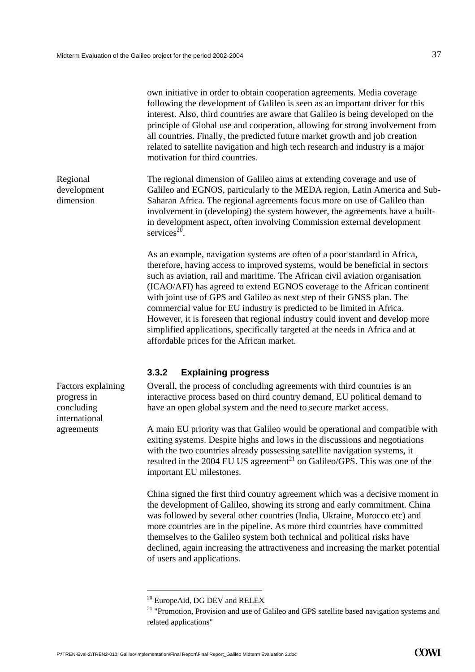|                                                                         | own initiative in order to obtain cooperation agreements. Media coverage<br>following the development of Galileo is seen as an important driver for this<br>interest. Also, third countries are aware that Galileo is being developed on the<br>principle of Global use and cooperation, allowing for strong involvement from<br>all countries. Finally, the predicted future market growth and job creation<br>related to satellite navigation and high tech research and industry is a major<br>motivation for third countries.                                                                                                                                                     |  |
|-------------------------------------------------------------------------|---------------------------------------------------------------------------------------------------------------------------------------------------------------------------------------------------------------------------------------------------------------------------------------------------------------------------------------------------------------------------------------------------------------------------------------------------------------------------------------------------------------------------------------------------------------------------------------------------------------------------------------------------------------------------------------|--|
| Regional<br>development<br>dimension                                    | The regional dimension of Galileo aims at extending coverage and use of<br>Galileo and EGNOS, particularly to the MEDA region, Latin America and Sub-<br>Saharan Africa. The regional agreements focus more on use of Galileo than<br>involvement in (developing) the system however, the agreements have a built-<br>in development aspect, often involving Commission external development<br>services <sup>20</sup> .                                                                                                                                                                                                                                                              |  |
|                                                                         | As an example, navigation systems are often of a poor standard in Africa,<br>therefore, having access to improved systems, would be beneficial in sectors<br>such as aviation, rail and maritime. The African civil aviation organisation<br>(ICAO/AFI) has agreed to extend EGNOS coverage to the African continent<br>with joint use of GPS and Galileo as next step of their GNSS plan. The<br>commercial value for EU industry is predicted to be limited in Africa.<br>However, it is foreseen that regional industry could invent and develop more<br>simplified applications, specifically targeted at the needs in Africa and at<br>affordable prices for the African market. |  |
|                                                                         | 3.3.2<br><b>Explaining progress</b>                                                                                                                                                                                                                                                                                                                                                                                                                                                                                                                                                                                                                                                   |  |
| <b>Factors explaining</b><br>progress in<br>concluding<br>international | Overall, the process of concluding agreements with third countries is an<br>interactive process based on third country demand, EU political demand to<br>have an open global system and the need to secure market access.                                                                                                                                                                                                                                                                                                                                                                                                                                                             |  |
| agreements                                                              | A main EU priority was that Galileo would be operational and compatible with<br>exiting systems. Despite highs and lows in the discussions and negotiations<br>with the two countries already possessing satellite navigation systems, it<br>resulted in the 2004 EU US agreement <sup>21</sup> on Galileo/GPS. This was one of the<br>important EU milestones.                                                                                                                                                                                                                                                                                                                       |  |
|                                                                         | China signed the first third country agreement which was a decisive moment in<br>the development of Galileo, showing its strong and early commitment. China<br>was followed by several other countries (India, Ukraine, Morocco etc) and<br>more countries are in the pipeline. As more third countries have committed<br>themselves to the Galileo system both technical and political risks have<br>declined, again increasing the attractiveness and increasing the market potential<br>of users and applications.                                                                                                                                                                 |  |

<span id="page-38-0"></span><sup>&</sup>lt;sup>20</sup> EuropeAid, DG DEV and RELEX

<span id="page-38-1"></span> $20$  "Promotion, Provision and use of Galileo and GPS satellite based navigation systems and  $21$ related applications"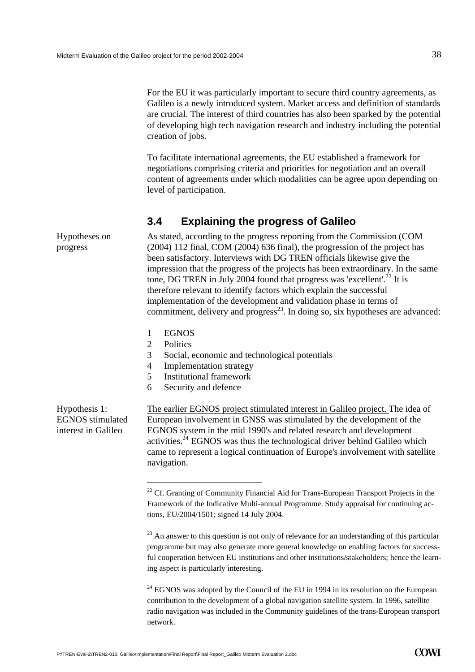For the EU it was particularly important to secure third country agreements, as Galileo is a newly introduced system. Market access and definition of standards are crucial. The interest of third countries has also been sparked by the potential of developing high tech navigation research and industry including the potential creation of jobs.

To facilitate international agreements, the EU established a framework for negotiations comprising criteria and priorities for negotiation and an overall content of agreements under which modalities can be agree upon depending on level of participation.

# **3.4 Explaining the progress of Galileo**

As stated, according to the progress reporting from the Commission (COM (2004) 112 final, COM (2004) 636 final), the progression of the project has been satisfactory. Interviews with DG TREN officials likewise give the impression that the progress of the projects has been extraordinary. In the same tone, DG TREN in July 2004 found that progress was 'excellent'.<sup>22</sup> It is therefore relevant to identify factors which explain the successful implementation of the development and validation phase in terms of commitment, delivery and  $\overline{p}$  progress<sup>23</sup>. In doing so, six hypotheses are advanced:

- 1 EGNOS
- 2 Politics

- 3 Social, economic and technological potentials
- 4 Implementation strategy
- 5 Institutional framework
- 6 Security and defence

Hypothesis 1: EGNOS stimulated interest in Galileo

Hypotheses on

progress

The earlier EGNOS project stimulated interest in Galileo project. The idea of European involvement in GNSS was stimulated by the development of the EGNOS system in the mid 1990's and related research and development activities.<sup> $24$ </sup> EGNOS was thus the technological driver behind Galileo which came to represent a logical continuation of Europe's involvement with satellite navigation.

<span id="page-39-1"></span> $^{23}$  An answer to this question is not only of relevance for an understanding of this particular programme but may also generate more general knowledge on enabling factors for successful cooperation between EU institutions and other institutions/stakeholders; hence the learning aspect is particularly interesting.

<span id="page-39-2"></span> $24$  EGNOS was adopted by the Council of the EU in 1994 in its resolution on the European contribution to the development of a global navigation satellite system. In 1996, satellite radio navigation was included in the Community guidelines of the trans-European transport network.

<span id="page-39-0"></span><sup>&</sup>lt;sup>22</sup> Cf. Granting of Community Financial Aid for Trans-European Transport Projects in the Framework of the Indicative Multi-annual Programme. Study appraisal for continuing actions, EU/2004/1501; signed 14 July 2004.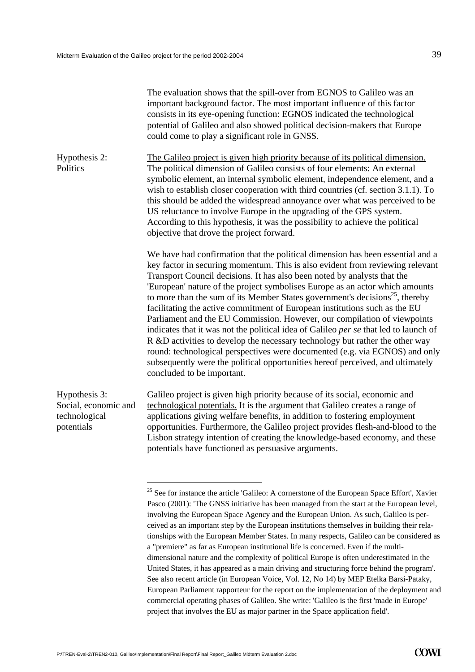|                                                                      | The evaluation shows that the spill-over from EGNOS to Galileo was an<br>important background factor. The most important influence of this factor<br>consists in its eye-opening function: EGNOS indicated the technological<br>potential of Galileo and also showed political decision-makers that Europe<br>could come to play a significant role in GNSS.                                                                                                                                                                                                                                                                                                                                                                                                                                                                                                                                                                                             |
|----------------------------------------------------------------------|----------------------------------------------------------------------------------------------------------------------------------------------------------------------------------------------------------------------------------------------------------------------------------------------------------------------------------------------------------------------------------------------------------------------------------------------------------------------------------------------------------------------------------------------------------------------------------------------------------------------------------------------------------------------------------------------------------------------------------------------------------------------------------------------------------------------------------------------------------------------------------------------------------------------------------------------------------|
| Hypothesis 2:<br>Politics                                            | The Galileo project is given high priority because of its political dimension.<br>The political dimension of Galileo consists of four elements: An external<br>symbolic element, an internal symbolic element, independence element, and a<br>wish to establish closer cooperation with third countries (cf. section 3.1.1). To<br>this should be added the widespread annoyance over what was perceived to be<br>US reluctance to involve Europe in the upgrading of the GPS system.<br>According to this hypothesis, it was the possibility to achieve the political<br>objective that drove the project forward.                                                                                                                                                                                                                                                                                                                                      |
|                                                                      | We have had confirmation that the political dimension has been essential and a<br>key factor in securing momentum. This is also evident from reviewing relevant<br>Transport Council decisions. It has also been noted by analysts that the<br>'European' nature of the project symbolises Europe as an actor which amounts<br>to more than the sum of its Member States government's decisions <sup>25</sup> , thereby<br>facilitating the active commitment of European institutions such as the EU<br>Parliament and the EU Commission. However, our compilation of viewpoints<br>indicates that it was not the political idea of Galileo per se that led to launch of<br>R &D activities to develop the necessary technology but rather the other way<br>round: technological perspectives were documented (e.g. via EGNOS) and only<br>subsequently were the political opportunities hereof perceived, and ultimately<br>concluded to be important. |
| Hypothesis 3:<br>Social, economic and<br>technological<br>potentials | Galileo project is given high priority because of its social, economic and<br>technological potentials. It is the argument that Galileo creates a range of<br>applications giving welfare benefits, in addition to fostering employment<br>opportunities. Furthermore, the Galileo project provides flesh-and-blood to the<br>Lisbon strategy intention of creating the knowledge-based economy, and these<br>potentials have functioned as persuasive arguments.                                                                                                                                                                                                                                                                                                                                                                                                                                                                                        |
|                                                                      |                                                                                                                                                                                                                                                                                                                                                                                                                                                                                                                                                                                                                                                                                                                                                                                                                                                                                                                                                          |

<span id="page-40-0"></span><sup>&</sup>lt;sup>25</sup> See for instance the article 'Galileo: A cornerstone of the European Space Effort', Xavier Pasco (2001): 'The GNSS initiative has been managed from the start at the European level, involving the European Space Agency and the European Union. As such, Galileo is perceived as an important step by the European institutions themselves in building their relationships with the European Member States. In many respects, Galileo can be considered as a "premiere" as far as European institutional life is concerned. Even if the multidimensional nature and the complexity of political Europe is often underestimated in the United States, it has appeared as a main driving and structuring force behind the program'. See also recent article (in European Voice, Vol. 12, No 14) by MEP Etelka Barsi-Pataky, European Parliament rapporteur for the report on the implementation of the deployment and commercial operating phases of Galileo. She write: 'Galileo is the first 'made in Europe' project that involves the EU as major partner in the Space application field'.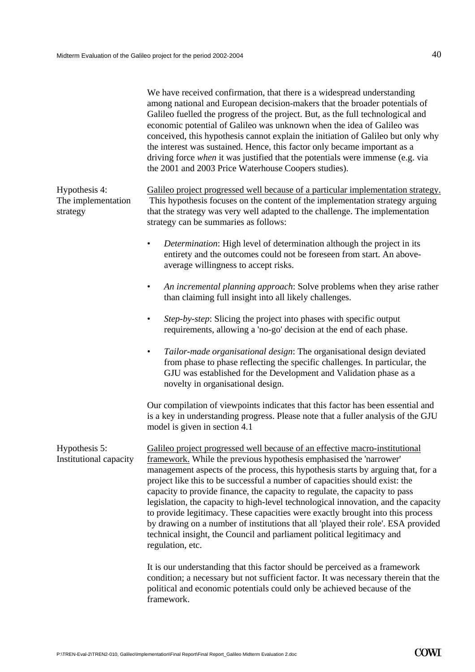|                                                 | We have received confirmation, that there is a widespread understanding<br>among national and European decision-makers that the broader potentials of<br>Galileo fuelled the progress of the project. But, as the full technological and<br>economic potential of Galileo was unknown when the idea of Galileo was<br>conceived, this hypothesis cannot explain the initiation of Galileo but only why<br>the interest was sustained. Hence, this factor only became important as a<br>driving force when it was justified that the potentials were immense (e.g. via<br>the 2001 and 2003 Price Waterhouse Coopers studies).                                                                                                                                  |
|-------------------------------------------------|----------------------------------------------------------------------------------------------------------------------------------------------------------------------------------------------------------------------------------------------------------------------------------------------------------------------------------------------------------------------------------------------------------------------------------------------------------------------------------------------------------------------------------------------------------------------------------------------------------------------------------------------------------------------------------------------------------------------------------------------------------------|
| Hypothesis 4:<br>The implementation<br>strategy | Galileo project progressed well because of a particular implementation strategy.<br>This hypothesis focuses on the content of the implementation strategy arguing<br>that the strategy was very well adapted to the challenge. The implementation<br>strategy can be summaries as follows:                                                                                                                                                                                                                                                                                                                                                                                                                                                                     |
|                                                 | Determination: High level of determination although the project in its<br>٠<br>entirety and the outcomes could not be foreseen from start. An above-<br>average willingness to accept risks.                                                                                                                                                                                                                                                                                                                                                                                                                                                                                                                                                                   |
|                                                 | An incremental planning approach: Solve problems when they arise rather<br>٠<br>than claiming full insight into all likely challenges.                                                                                                                                                                                                                                                                                                                                                                                                                                                                                                                                                                                                                         |
|                                                 | Step-by-step: Slicing the project into phases with specific output<br>٠<br>requirements, allowing a 'no-go' decision at the end of each phase.                                                                                                                                                                                                                                                                                                                                                                                                                                                                                                                                                                                                                 |
|                                                 | Tailor-made organisational design: The organisational design deviated<br>٠<br>from phase to phase reflecting the specific challenges. In particular, the<br>GJU was established for the Development and Validation phase as a<br>novelty in organisational design.                                                                                                                                                                                                                                                                                                                                                                                                                                                                                             |
|                                                 | Our compilation of viewpoints indicates that this factor has been essential and<br>is a key in understanding progress. Please note that a fuller analysis of the GJU<br>model is given in section 4.1                                                                                                                                                                                                                                                                                                                                                                                                                                                                                                                                                          |
| Hypothesis 5:<br>Institutional capacity         | Galileo project progressed well because of an effective macro-institutional<br>framework. While the previous hypothesis emphasised the 'narrower'<br>management aspects of the process, this hypothesis starts by arguing that, for a<br>project like this to be successful a number of capacities should exist: the<br>capacity to provide finance, the capacity to regulate, the capacity to pass<br>legislation, the capacity to high-level technological innovation, and the capacity<br>to provide legitimacy. These capacities were exactly brought into this process<br>by drawing on a number of institutions that all 'played their role'. ESA provided<br>technical insight, the Council and parliament political legitimacy and<br>regulation, etc. |
|                                                 | It is our understanding that this factor should be perceived as a framework<br>condition; a necessary but not sufficient factor. It was necessary therein that the<br>political and economic potentials could only be achieved because of the<br>framework.                                                                                                                                                                                                                                                                                                                                                                                                                                                                                                    |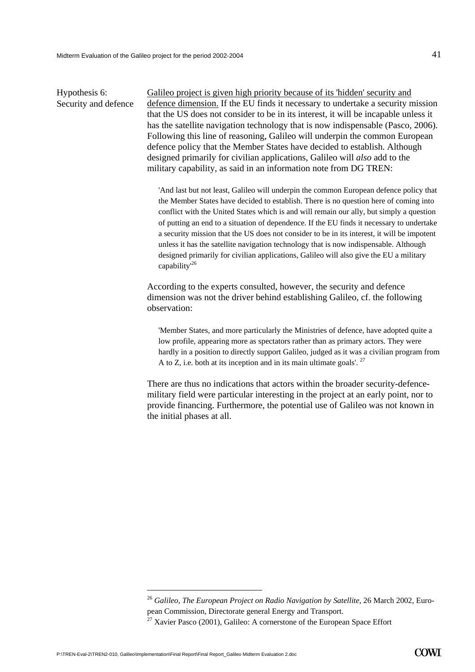Hypothesis 6: Security and defence Galileo project is given high priority because of its 'hidden' security and defence dimension. If the EU finds it necessary to undertake a security mission that the US does not consider to be in its interest, it will be incapable unless it has the satellite navigation technology that is now indispensable (Pasco, 2006). Following this line of reasoning, Galileo will underpin the common European defence policy that the Member States have decided to establish. Although designed primarily for civilian applications, Galileo will *also* add to the military capability, as said in an information note from DG TREN:

'And last but not least, Galileo will underpin the common European defence policy that the Member States have decided to establish. There is no question here of coming into conflict with the United States which is and will remain our ally, but simply a question of putting an end to a situation of dependence. If the EU finds it necessary to undertake a security mission that the US does not consider to be in its interest, it will be impotent unless it has the satellite navigation technology that is now indispensable. Although designed primarily for civilian applications, Galileo will also give the EU a military capability<sup>[26](#page-42-0)</sup>

According to the experts consulted, however, the security and defence dimension was not the driver behind establishing Galileo, cf. the following observation:

'Member States, and more particularly the Ministries of defence, have adopted quite a low profile, appearing more as spectators rather than as primary actors. They were hardly in a position to directly support Galileo, judged as it was a civilian program from A to Z, i.e. both at its inception and in its main ultimate goals'.  $27$ 

There are thus no indications that actors within the broader security-defencemilitary field were particular interesting in the project at an early point, nor to provide financing. Furthermore, the potential use of Galileo was not known in the initial phases at all.

<span id="page-42-0"></span><sup>26</sup> *Galileo, The European Project on Radio Navigation by Satellite*, 26 March 2002, European Commission, Directorate general Energy and Transport.

<span id="page-42-1"></span> $27$  Xavier Pasco (2001), Galileo: A cornerstone of the European Space Effort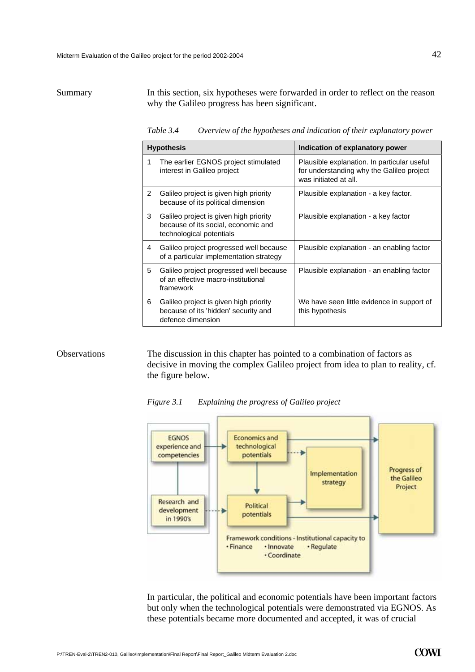#### Summary In this section, six hypotheses were forwarded in order to reflect on the reason why the Galileo progress has been significant.

*Table 3.4 Overview of the hypotheses and indication of their explanatory power*

| <b>Hypothesis</b> |                                                                                                           | Indication of explanatory power                                                                                   |  |
|-------------------|-----------------------------------------------------------------------------------------------------------|-------------------------------------------------------------------------------------------------------------------|--|
| 1                 | The earlier EGNOS project stimulated<br>interest in Galileo project                                       | Plausible explanation. In particular useful<br>for understanding why the Galileo project<br>was initiated at all. |  |
| 2                 | Galileo project is given high priority<br>because of its political dimension                              | Plausible explanation - a key factor.                                                                             |  |
| 3                 | Galileo project is given high priority<br>because of its social, economic and<br>technological potentials | Plausible explanation - a key factor                                                                              |  |
| 4                 | Galileo project progressed well because<br>of a particular implementation strategy                        | Plausible explanation - an enabling factor                                                                        |  |
| 5                 | Galileo project progressed well because<br>of an effective macro-institutional<br>framework               | Plausible explanation - an enabling factor                                                                        |  |
| 6                 | Galileo project is given high priority<br>because of its 'hidden' security and<br>defence dimension       | We have seen little evidence in support of<br>this hypothesis                                                     |  |

#### **Observations**

The discussion in this chapter has pointed to a combination of factors as decisive in moving the complex Galileo project from idea to plan to reality, cf. the figure below.

*Figure 3.1 Explaining the progress of Galileo project* 



In particular, the political and economic potentials have been important factors but only when the technological potentials were demonstrated via EGNOS. As these potentials became more documented and accepted, it was of crucial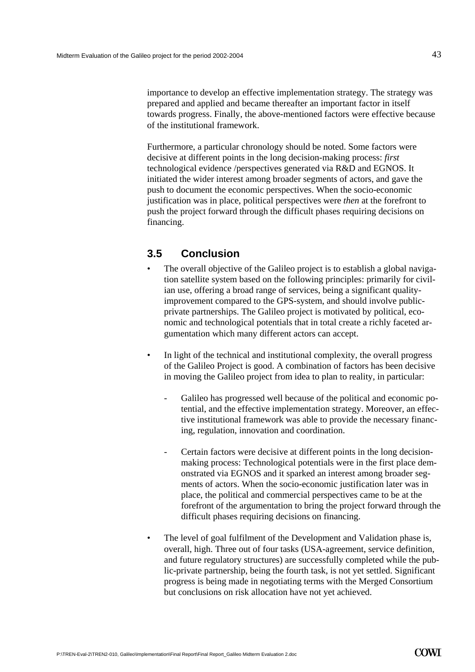importance to develop an effective implementation strategy. The strategy was prepared and applied and became thereafter an important factor in itself towards progress. Finally, the above-mentioned factors were effective because of the institutional framework.

Furthermore, a particular chronology should be noted. Some factors were decisive at different points in the long decision-making process: *first* technological evidence /perspectives generated via R&D and EGNOS. It initiated the wider interest among broader segments of actors, and gave the push to document the economic perspectives. When the socio-economic justification was in place, political perspectives were *then* at the forefront to push the project forward through the difficult phases requiring decisions on financing.

# **3.5 Conclusion**

- The overall objective of the Galileo project is to establish a global navigation satellite system based on the following principles: primarily for civilian use, offering a broad range of services, being a significant qualityimprovement compared to the GPS-system, and should involve publicprivate partnerships. The Galileo project is motivated by political, economic and technological potentials that in total create a richly faceted argumentation which many different actors can accept.
- In light of the technical and institutional complexity, the overall progress of the Galileo Project is good. A combination of factors has been decisive in moving the Galileo project from idea to plan to reality, in particular:
	- Galileo has progressed well because of the political and economic potential, and the effective implementation strategy. Moreover, an effective institutional framework was able to provide the necessary financing, regulation, innovation and coordination.
	- Certain factors were decisive at different points in the long decisionmaking process: Technological potentials were in the first place demonstrated via EGNOS and it sparked an interest among broader segments of actors. When the socio-economic justification later was in place, the political and commercial perspectives came to be at the forefront of the argumentation to bring the project forward through the difficult phases requiring decisions on financing.
- The level of goal fulfilment of the Development and Validation phase is, overall, high. Three out of four tasks (USA-agreement, service definition, and future regulatory structures) are successfully completed while the public-private partnership, being the fourth task, is not yet settled. Significant progress is being made in negotiating terms with the Merged Consortium but conclusions on risk allocation have not yet achieved.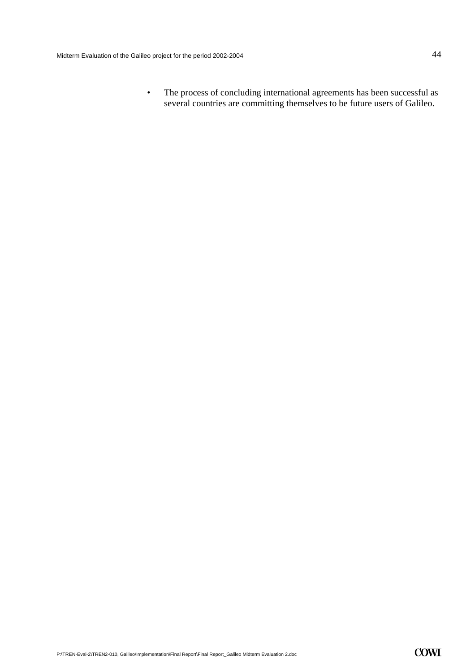• The process of concluding international agreements has been successful as several countries are committing themselves to be future users of Galileo.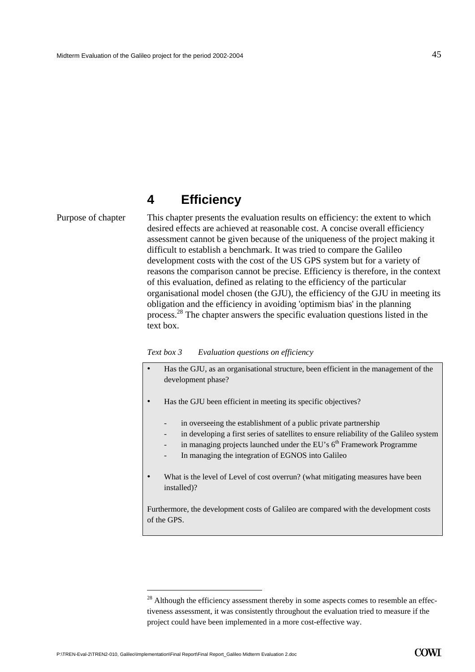# **4 Efficiency**

Purpose of chapter This chapter presents the evaluation results on efficiency: the extent to which desired effects are achieved at reasonable cost. A concise overall efficiency assessment cannot be given because of the uniqueness of the project making it difficult to establish a benchmark. It was tried to compare the Galileo development costs with the cost of the US GPS system but for a variety of reasons the comparison cannot be precise. Efficiency is therefore, in the context of this evaluation, defined as relating to the efficiency of the particular organisational model chosen (the GJU), the efficiency of the GJU in meeting its obligation and the efficiency in avoiding 'optimism bias' in the planning process.[28](#page-46-0) The chapter answers the specific evaluation questions listed in the text box.

#### *Text box 3 Evaluation questions on efficiency*

- Has the GJU, as an organisational structure, been efficient in the management of the development phase?
- Has the GJU been efficient in meeting its specific objectives?
	- in overseeing the establishment of a public private partnership
	- in developing a first series of satellites to ensure reliability of the Galileo system
	- in managing projects launched under the EU's  $6<sup>th</sup>$  Framework Programme
	- In managing the integration of EGNOS into Galileo
- What is the level of Level of cost overrun? (what mitigating measures have been installed)?

Furthermore, the development costs of Galileo are compared with the development costs of the GPS.

<span id="page-46-0"></span><sup>&</sup>lt;sup>28</sup> Although the efficiency assessment thereby in some aspects comes to resemble an effectiveness assessment, it was consistently throughout the evaluation tried to measure if the project could have been implemented in a more cost-effective way.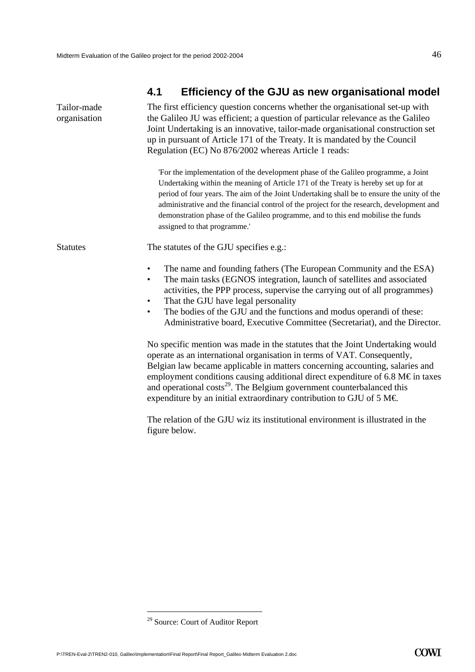# <span id="page-47-0"></span>**4.1 Efficiency of the GJU as new organisational model**

| Tailor-made<br>organisation | The first efficiency question concerns whether the organisational set-up with<br>the Galileo JU was efficient; a question of particular relevance as the Galileo<br>Joint Undertaking is an innovative, tailor-made organisational construction set<br>up in pursuant of Article 171 of the Treaty. It is mandated by the Council<br>Regulation (EC) No 876/2002 whereas Article 1 reads:                                                                                                             |  |  |
|-----------------------------|-------------------------------------------------------------------------------------------------------------------------------------------------------------------------------------------------------------------------------------------------------------------------------------------------------------------------------------------------------------------------------------------------------------------------------------------------------------------------------------------------------|--|--|
|                             | 'For the implementation of the development phase of the Galileo programme, a Joint<br>Undertaking within the meaning of Article 171 of the Treaty is hereby set up for at<br>period of four years. The aim of the Joint Undertaking shall be to ensure the unity of the<br>administrative and the financial control of the project for the research, development and<br>demonstration phase of the Galileo programme, and to this end mobilise the funds<br>assigned to that programme.'              |  |  |
| <b>Statutes</b>             | The statutes of the GJU specifies e.g.:                                                                                                                                                                                                                                                                                                                                                                                                                                                               |  |  |
|                             | The name and founding fathers (The European Community and the ESA)<br>$\bullet$<br>The main tasks (EGNOS integration, launch of satellites and associated<br>$\bullet$<br>activities, the PPP process, supervise the carrying out of all programmes)<br>That the GJU have legal personality<br>$\bullet$<br>The bodies of the GJU and the functions and modus operandi of these:<br>$\bullet$<br>Administrative board, Executive Committee (Secretariat), and the Director.                           |  |  |
|                             | No specific mention was made in the statutes that the Joint Undertaking would<br>operate as an international organisation in terms of VAT. Consequently,<br>Belgian law became applicable in matters concerning accounting, salaries and<br>employment conditions causing additional direct expenditure of 6.8 M $\epsilon$ in taxes<br>and operational costs <sup>29</sup> . The Belgium government counterbalanced this<br>expenditure by an initial extraordinary contribution to GJU of 5 M $\in$ |  |  |
|                             | The relation of the GJU wiz its institutional environment is illustrated in the<br>figure below.                                                                                                                                                                                                                                                                                                                                                                                                      |  |  |

<span id="page-47-1"></span><sup>&</sup>lt;sup>29</sup> Source: Court of Auditor Report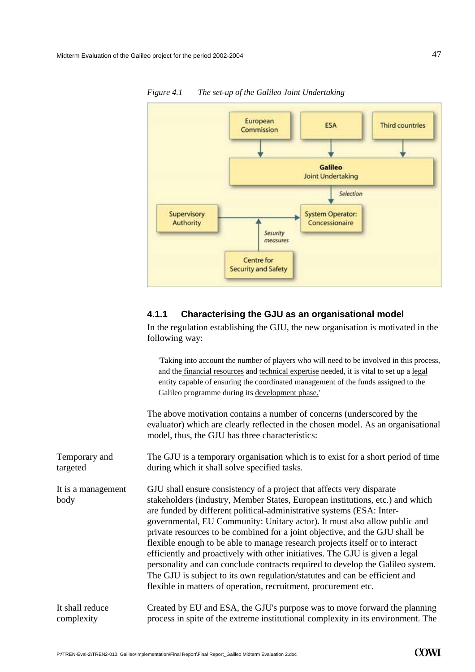

*Figure 4.1 The set-up of the Galileo Joint Undertaking* 

#### **4.1.1 Characterising the GJU as an organisational model**

In the regulation establishing the GJU, the new organisation is motivated in the following way:

'Taking into account the number of players who will need to be involved in this process, and the financial resources and technical expertise needed, it is vital to set up a legal entity capable of ensuring the coordinated management of the funds assigned to the Galileo programme during its development phase.'

The above motivation contains a number of concerns (underscored by the evaluator) which are clearly reflected in the chosen model. As an organisational model, thus, the GJU has three characteristics:

The GJU is a temporary organisation which is to exist for a short period of time during which it shall solve specified tasks. Temporary and targeted

It is a management body

GJU shall ensure consistency of a project that affects very disparate stakeholders (industry, Member States, European institutions, etc.) and which are funded by different political-administrative systems (ESA: Intergovernmental, EU Community: Unitary actor). It must also allow public and private resources to be combined for a joint objective, and the GJU shall be flexible enough to be able to manage research projects itself or to interact efficiently and proactively with other initiatives. The GJU is given a legal personality and can conclude contracts required to develop the Galileo system. The GJU is subject to its own regulation/statutes and can be efficient and flexible in matters of operation, recruitment, procurement etc.

Created by EU and ESA, the GJU's purpose was to move forward the planning process in spite of the extreme institutional complexity in its environment. The It shall reduce complexity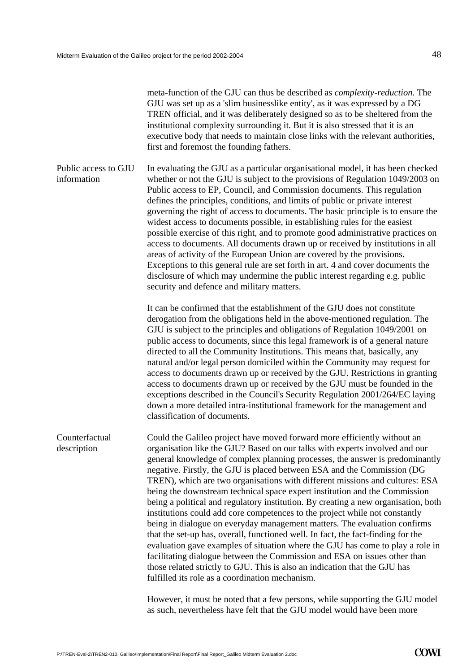meta-function of the GJU can thus be described as *complexity-reduction.* The GJU was set up as a 'slim businesslike entity', as it was expressed by a DG TREN official, and it was deliberately designed so as to be sheltered from the institutional complexity surrounding it. But it is also stressed that it is an executive body that needs to maintain close links with the relevant authorities, first and foremost the founding fathers.

In evaluating the GJU as a particular organisational model, it has been checked whether or not the GJU is subject to the provisions of Regulation 1049/2003 on Public access to EP, Council, and Commission documents. This regulation defines the principles, conditions, and limits of public or private interest governing the right of access to documents. The basic principle is to ensure the widest access to documents possible, in establishing rules for the easiest possible exercise of this right, and to promote good administrative practices on access to documents. All documents drawn up or received by institutions in all areas of activity of the European Union are covered by the provisions. Exceptions to this general rule are set forth in art. 4 and cover documents the disclosure of which may undermine the public interest regarding e.g. public security and defence and military matters. Public access to GJU information

> It can be confirmed that the establishment of the GJU does not constitute derogation from the obligations held in the above-mentioned regulation. The GJU is subject to the principles and obligations of Regulation 1049/2001 on public access to documents, since this legal framework is of a general nature directed to all the Community Institutions. This means that, basically, any natural and/or legal person domiciled within the Community may request for access to documents drawn up or received by the GJU. Restrictions in granting access to documents drawn up or received by the GJU must be founded in the exceptions described in the Council's Security Regulation 2001/264/EC laying down a more detailed intra-institutional framework for the management and classification of documents.

Could the Galileo project have moved forward more efficiently without an organisation like the GJU? Based on our talks with experts involved and our general knowledge of complex planning processes, the answer is predominantly negative. Firstly, the GJU is placed between ESA and the Commission (DG TREN), which are two organisations with different missions and cultures: ESA being the downstream technical space expert institution and the Commission being a political and regulatory institution. By creating a new organisation, both institutions could add core competences to the project while not constantly being in dialogue on everyday management matters. The evaluation confirms that the set-up has, overall, functioned well. In fact, the fact-finding for the evaluation gave examples of situation where the GJU has come to play a role in facilitating dialogue between the Commission and ESA on issues other than those related strictly to GJU. This is also an indication that the GJU has fulfilled its role as a coordination mechanism. Counterfactual description

> However, it must be noted that a few persons, while supporting the GJU model as such, nevertheless have felt that the GJU model would have been more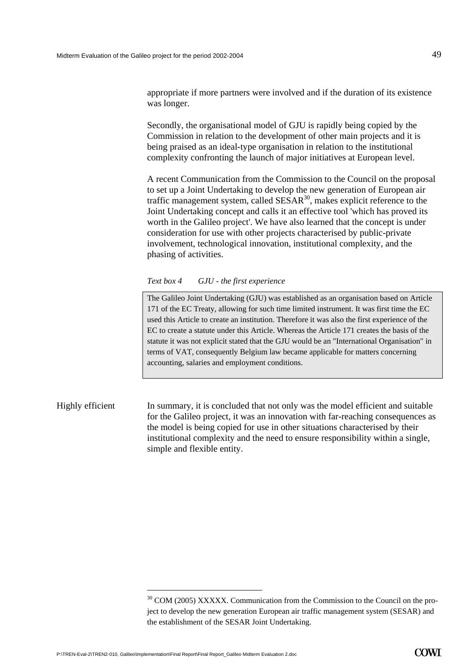appropriate if more partners were involved and if the duration of its existence was longer.

Secondly, the organisational model of GJU is rapidly being copied by the Commission in relation to the development of other main projects and it is being praised as an ideal-type organisation in relation to the institutional complexity confronting the launch of major initiatives at European level.

A recent Communication from the Commission to the Council on the proposal to set up a Joint Undertaking to develop the new generation of European air traffic management system, called  $SESAR<sup>30</sup>$ , makes explicit reference to the Joint Undertaking concept and calls it an effective tool 'which has proved its worth in the Galileo project'. We have also learned that the concept is under consideration for use with other projects characterised by public-private involvement, technological innovation, institutional complexity, and the phasing of activities.

*Text box 4 GJU - the first experience* 

The Galileo Joint Undertaking (GJU) was established as an organisation based on Article 171 of the EC Treaty, allowing for such time limited instrument. It was first time the EC used this Article to create an institution. Therefore it was also the first experience of the EC to create a statute under this Article. Whereas the Article 171 creates the basis of the statute it was not explicit stated that the GJU would be an "International Organisation" in terms of VAT, consequently Belgium law became applicable for matters concerning accounting, salaries and employment conditions.

### Highly efficient In summary, it is concluded that not only was the model efficient and suitable for the Galileo project, it was an innovation with far-reaching consequences as the model is being copied for use in other situations characterised by their institutional complexity and the need to ensure responsibility within a single, simple and flexible entity.

<span id="page-50-0"></span><sup>&</sup>lt;sup>30</sup> COM (2005) XXXXX. Communication from the Commission to the Council on the project to develop the new generation European air traffic management system (SESAR) and the establishment of the SESAR Joint Undertaking.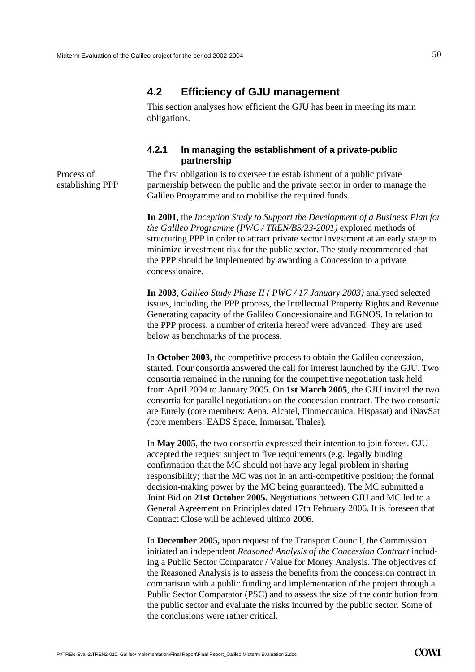### **4.2 Efficiency of GJU management**

This section analyses how efficient the GJU has been in meeting its main obligations.

#### **4.2.1 In managing the establishment of a private-public partnership**

Process of establishing PPP The first obligation is to oversee the establishment of a public private partnership between the public and the private sector in order to manage the Galileo Programme and to mobilise the required funds.

**In 2001**, the *Inception Study to Support the Development of a Business Plan for the Galileo Programme (PWC / TREN/B5/23-2001)* explored methods of structuring PPP in order to attract private sector investment at an early stage to minimize investment risk for the public sector. The study recommended that the PPP should be implemented by awarding a Concession to a private concessionaire.

**In 2003**, *Galileo Study Phase II ( PWC / 17 January 2003)* analysed selected issues, including the PPP process, the Intellectual Property Rights and Revenue Generating capacity of the Galileo Concessionaire and EGNOS. In relation to the PPP process, a number of criteria hereof were advanced. They are used below as benchmarks of the process.

In **October 2003**, the competitive process to obtain the Galileo concession, started. Four consortia answered the call for interest launched by the GJU. Two consortia remained in the running for the competitive negotiation task held from April 2004 to January 2005. On **1st March 2005**, the GJU invited the two consortia for parallel negotiations on the concession contract. The two consortia are Eurely (core members: Aena, Alcatel, Finmeccanica, Hispasat) and iNavSat (core members: EADS Space, Inmarsat, Thales).

In **May 2005**, the two consortia expressed their intention to join forces. GJU accepted the request subject to five requirements (e.g. legally binding confirmation that the MC should not have any legal problem in sharing responsibility; that the MC was not in an anti-competitive position; the formal decision-making power by the MC being guaranteed). The MC submitted a Joint Bid on **21st October 2005.** Negotiations between GJU and MC led to a General Agreement on Principles dated 17th February 2006. It is foreseen that Contract Close will be achieved ultimo 2006.

In **December 2005,** upon request of the Transport Council, the Commission initiated an independent *Reasoned Analysis of the Concession Contract* including a Public Sector Comparator / Value for Money Analysis. The objectives of the Reasoned Analysis is to assess the benefits from the concession contract in comparison with a public funding and implementation of the project through a Public Sector Comparator (PSC) and to assess the size of the contribution from the public sector and evaluate the risks incurred by the public sector. Some of the conclusions were rather critical.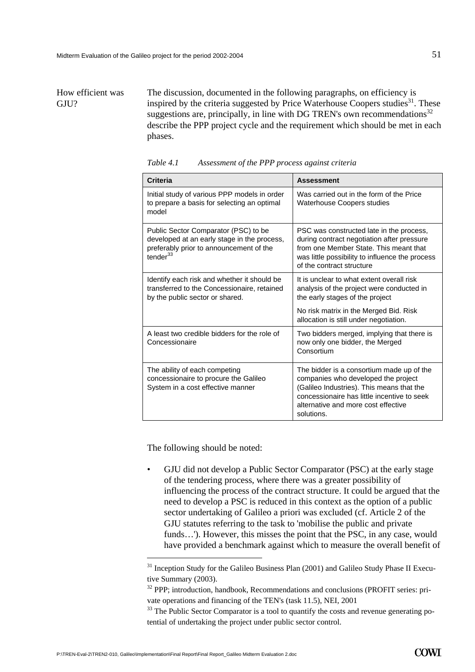## How efficient was GIU?

The discussion, documented in the following paragraphs, on efficiency is inspired by the criteria suggested by Price Waterhouse Coopers studies<sup>31</sup>. These suggestions are, principally, in line with DG TREN's own recommendations $32$ describe the PPP project cycle and the requirement which should be met in each phases.

| <b>Criteria</b>                                                                                                                               | <b>Assessment</b>                                                                                                                                                                                                                 |  |
|-----------------------------------------------------------------------------------------------------------------------------------------------|-----------------------------------------------------------------------------------------------------------------------------------------------------------------------------------------------------------------------------------|--|
| Initial study of various PPP models in order<br>to prepare a basis for selecting an optimal<br>model                                          | Was carried out in the form of the Price<br><b>Waterhouse Coopers studies</b>                                                                                                                                                     |  |
| Public Sector Comparator (PSC) to be<br>developed at an early stage in the process,<br>preferably prior to announcement of the<br>tender $33$ | PSC was constructed late in the process,<br>during contract negotiation after pressure<br>from one Member State. This meant that<br>was little possibility to influence the process<br>of the contract structure                  |  |
| Identify each risk and whether it should be<br>transferred to the Concessionaire, retained<br>by the public sector or shared.                 | It is unclear to what extent overall risk<br>analysis of the project were conducted in<br>the early stages of the project                                                                                                         |  |
|                                                                                                                                               | No risk matrix in the Merged Bid. Risk<br>allocation is still under negotiation.                                                                                                                                                  |  |
| A least two credible bidders for the role of<br>Concessionaire                                                                                | Two bidders merged, implying that there is<br>now only one bidder, the Merged<br>Consortium                                                                                                                                       |  |
| The ability of each competing<br>concessionaire to procure the Galileo<br>System in a cost effective manner                                   | The bidder is a consortium made up of the<br>companies who developed the project<br>(Galileo Industries). This means that the<br>concessionaire has little incentive to seek<br>alternative and more cost effective<br>solutions. |  |

*Table 4.1 Assessment of the PPP process against criteria* 

The following should be noted:

• GJU did not develop a Public Sector Comparator (PSC) at the early stage of the tendering process, where there was a greater possibility of influencing the process of the contract structure. It could be argued that the need to develop a PSC is reduced in this context as the option of a public sector undertaking of Galileo a priori was excluded (cf. Article 2 of the GJU statutes referring to the task to 'mobilise the public and private funds…'). However, this misses the point that the PSC, in any case, would have provided a benchmark against which to measure the overall benefit of

<span id="page-52-0"></span><sup>&</sup>lt;sup>31</sup> Inception Study for the Galileo Business Plan (2001) and Galileo Study Phase II Executive Summary (2003).<br><sup>32</sup> PPP: introduction, handbook, Recommendations and conclusions (PROFIT series: pri-

<span id="page-52-1"></span>vate operations and financing of the TEN's (task 11.5), NEI, 2001

<span id="page-52-2"></span> $33$  The Public Sector Comparator is a tool to quantify the costs and revenue generating potential of undertaking the project under public sector control.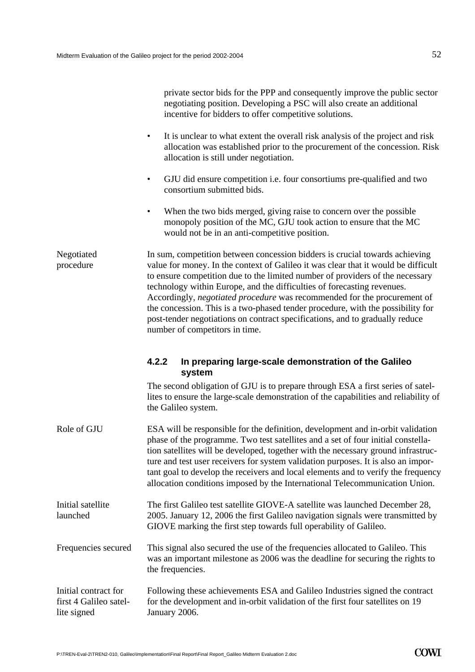|                                                               | private sector bids for the PPP and consequently improve the public sector<br>negotiating position. Developing a PSC will also create an additional<br>incentive for bidders to offer competitive solutions.                                                                                                                                                                                                                                                                                                                                                                                                   |
|---------------------------------------------------------------|----------------------------------------------------------------------------------------------------------------------------------------------------------------------------------------------------------------------------------------------------------------------------------------------------------------------------------------------------------------------------------------------------------------------------------------------------------------------------------------------------------------------------------------------------------------------------------------------------------------|
|                                                               | It is unclear to what extent the overall risk analysis of the project and risk<br>$\bullet$<br>allocation was established prior to the procurement of the concession. Risk<br>allocation is still under negotiation.                                                                                                                                                                                                                                                                                                                                                                                           |
|                                                               | GJU did ensure competition <i>i.e.</i> four consortiums pre-qualified and two<br>$\bullet$<br>consortium submitted bids.                                                                                                                                                                                                                                                                                                                                                                                                                                                                                       |
|                                                               | When the two bids merged, giving raise to concern over the possible<br>$\bullet$<br>monopoly position of the MC, GJU took action to ensure that the MC<br>would not be in an anti-competitive position.                                                                                                                                                                                                                                                                                                                                                                                                        |
| Negotiated<br>procedure                                       | In sum, competition between concession bidders is crucial towards achieving<br>value for money. In the context of Galileo it was clear that it would be difficult<br>to ensure competition due to the limited number of providers of the necessary<br>technology within Europe, and the difficulties of forecasting revenues.<br>Accordingly, negotiated procedure was recommended for the procurement of<br>the concession. This is a two-phased tender procedure, with the possibility for<br>post-tender negotiations on contract specifications, and to gradually reduce<br>number of competitors in time. |
|                                                               | 4.2.2<br>In preparing large-scale demonstration of the Galileo<br>system                                                                                                                                                                                                                                                                                                                                                                                                                                                                                                                                       |
|                                                               | The second obligation of GJU is to prepare through ESA a first series of satel-<br>lites to ensure the large-scale demonstration of the capabilities and reliability of<br>the Galileo system.                                                                                                                                                                                                                                                                                                                                                                                                                 |
| Role of GJU                                                   | ESA will be responsible for the definition, development and in-orbit validation<br>phase of the programme. Two test satellites and a set of four initial constella-<br>tion satellites will be developed, together with the necessary ground infrastruc-<br>ture and test user receivers for system validation purposes. It is also an impor-<br>tant goal to develop the receivers and local elements and to verify the frequency<br>allocation conditions imposed by the International Telecommunication Union.                                                                                              |
| Initial satellite<br>launched                                 | The first Galileo test satellite GIOVE-A satellite was launched December 28,<br>2005. January 12, 2006 the first Galileo navigation signals were transmitted by<br>GIOVE marking the first step towards full operability of Galileo.                                                                                                                                                                                                                                                                                                                                                                           |
| Frequencies secured                                           | This signal also secured the use of the frequencies allocated to Galileo. This<br>was an important milestone as 2006 was the deadline for securing the rights to<br>the frequencies.                                                                                                                                                                                                                                                                                                                                                                                                                           |
| Initial contract for<br>first 4 Galileo satel-<br>lite signed | Following these achievements ESA and Galileo Industries signed the contract<br>for the development and in-orbit validation of the first four satellites on 19<br>January 2006.                                                                                                                                                                                                                                                                                                                                                                                                                                 |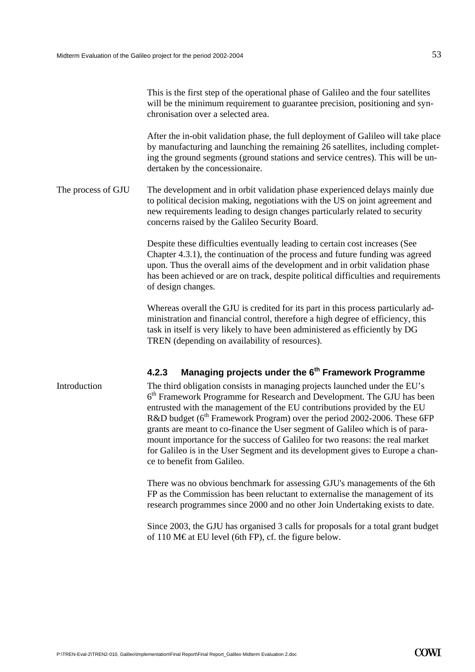|                    | This is the first step of the operational phase of Galileo and the four satellites<br>will be the minimum requirement to guarantee precision, positioning and syn-<br>chronisation over a selected area.                                                                                                                                                                                                                                                                                                                                                                                                             |  |
|--------------------|----------------------------------------------------------------------------------------------------------------------------------------------------------------------------------------------------------------------------------------------------------------------------------------------------------------------------------------------------------------------------------------------------------------------------------------------------------------------------------------------------------------------------------------------------------------------------------------------------------------------|--|
|                    | After the in-obit validation phase, the full deployment of Galileo will take place<br>by manufacturing and launching the remaining 26 satellites, including complet-<br>ing the ground segments (ground stations and service centres). This will be un-<br>dertaken by the concessionaire.                                                                                                                                                                                                                                                                                                                           |  |
| The process of GJU | The development and in orbit validation phase experienced delays mainly due<br>to political decision making, negotiations with the US on joint agreement and<br>new requirements leading to design changes particularly related to security<br>concerns raised by the Galileo Security Board.                                                                                                                                                                                                                                                                                                                        |  |
|                    | Despite these difficulties eventually leading to certain cost increases (See<br>Chapter 4.3.1), the continuation of the process and future funding was agreed<br>upon. Thus the overall aims of the development and in orbit validation phase<br>has been achieved or are on track, despite political difficulties and requirements<br>of design changes.                                                                                                                                                                                                                                                            |  |
|                    | Whereas overall the GJU is credited for its part in this process particularly ad-<br>ministration and financial control, therefore a high degree of efficiency, this<br>task in itself is very likely to have been administered as efficiently by DG<br>TREN (depending on availability of resources).                                                                                                                                                                                                                                                                                                               |  |
|                    | Managing projects under the 6 <sup>th</sup> Framework Programme<br>4.2.3                                                                                                                                                                                                                                                                                                                                                                                                                                                                                                                                             |  |
| Introduction       | The third obligation consists in managing projects launched under the EU's<br>6 <sup>th</sup> Framework Programme for Research and Development. The GJU has been<br>entrusted with the management of the EU contributions provided by the EU<br>R&D budget (6 <sup>th</sup> Framework Program) over the period 2002-2006. These 6FP<br>grants are meant to co-finance the User segment of Galileo which is of para-<br>mount importance for the success of Galileo for two reasons: the real market<br>for Galileo is in the User Segment and its development gives to Europe a chan-<br>ce to benefit from Galileo. |  |
|                    | There was no obvious benchmark for assessing GJU's managements of the 6th<br>FP as the Commission has been reluctant to externalise the management of its<br>research programmes since 2000 and no other Join Undertaking exists to date.                                                                                                                                                                                                                                                                                                                                                                            |  |

Since 2003, the GJU has organised 3 calls for proposals for a total grant budget of 110 M€ at EU level (6th FP), cf. the figure below.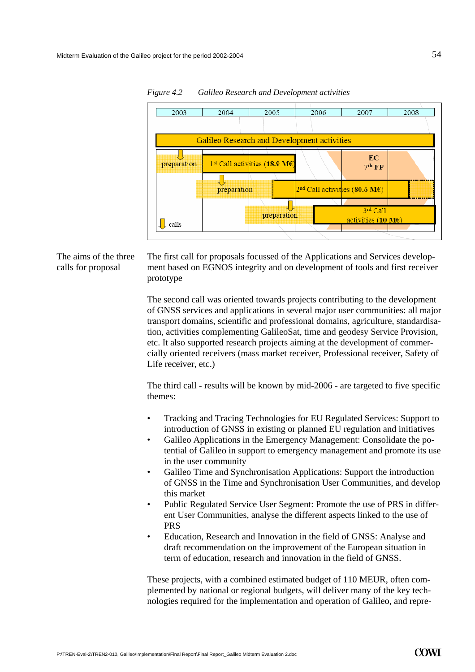

*Figure 4.2 Galileo Research and Development activities* 

The aims of the three calls for proposal

The first call for proposals focussed of the Applications and Services development based on EGNOS integrity and on development of tools and first receiver prototype

The second call was oriented towards projects contributing to the development of GNSS services and applications in several major user communities: all major transport domains, scientific and professional domains, agriculture, standardisation, activities complementing GalileoSat, time and geodesy Service Provision, etc. It also supported research projects aiming at the development of commercially oriented receivers (mass market receiver, Professional receiver, Safety of Life receiver, etc.)

The third call - results will be known by mid-2006 - are targeted to five specific themes:

- Tracking and Tracing Technologies for EU Regulated Services: Support to introduction of GNSS in existing or planned EU regulation and initiatives
- Galileo Applications in the Emergency Management: Consolidate the potential of Galileo in support to emergency management and promote its use in the user community
- Galileo Time and Synchronisation Applications: Support the introduction of GNSS in the Time and Synchronisation User Communities, and develop this market
- Public Regulated Service User Segment: Promote the use of PRS in different User Communities, analyse the different aspects linked to the use of PRS
- Education, Research and Innovation in the field of GNSS: Analyse and draft recommendation on the improvement of the European situation in term of education, research and innovation in the field of GNSS.

These projects, with a combined estimated budget of 110 MEUR, often complemented by national or regional budgets, will deliver many of the key technologies required for the implementation and operation of Galileo, and repre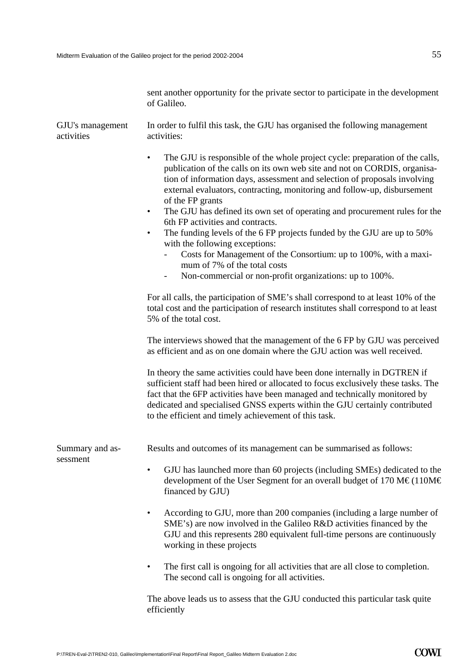sent another opportunity for the private sector to participate in the development of Galileo.

| GJU's management<br>activities | In order to fulfil this task, the GJU has organised the following management<br>activities:                                                                                                                                                                                                                                                                                                                                                                                                                                                                                                                                                                                                                                                                                                   |  |  |  |
|--------------------------------|-----------------------------------------------------------------------------------------------------------------------------------------------------------------------------------------------------------------------------------------------------------------------------------------------------------------------------------------------------------------------------------------------------------------------------------------------------------------------------------------------------------------------------------------------------------------------------------------------------------------------------------------------------------------------------------------------------------------------------------------------------------------------------------------------|--|--|--|
|                                | The GJU is responsible of the whole project cycle: preparation of the calls,<br>$\bullet$<br>publication of the calls on its own web site and not on CORDIS, organisa-<br>tion of information days, assessment and selection of proposals involving<br>external evaluators, contracting, monitoring and follow-up, disbursement<br>of the FP grants<br>The GJU has defined its own set of operating and procurement rules for the<br>$\bullet$<br>6th FP activities and contracts.<br>The funding levels of the 6 FP projects funded by the GJU are up to 50%<br>$\bullet$<br>with the following exceptions:<br>Costs for Management of the Consortium: up to 100%, with a maxi-<br>mum of 7% of the total costs<br>Non-commercial or non-profit organizations: up to 100%.<br>$\blacksquare$ |  |  |  |
|                                | For all calls, the participation of SME's shall correspond to at least 10% of the<br>total cost and the participation of research institutes shall correspond to at least<br>5% of the total cost.                                                                                                                                                                                                                                                                                                                                                                                                                                                                                                                                                                                            |  |  |  |
|                                | The interviews showed that the management of the 6 FP by GJU was perceived<br>as efficient and as on one domain where the GJU action was well received.                                                                                                                                                                                                                                                                                                                                                                                                                                                                                                                                                                                                                                       |  |  |  |
|                                | In theory the same activities could have been done internally in DGTREN if<br>sufficient staff had been hired or allocated to focus exclusively these tasks. The<br>fact that the 6FP activities have been managed and technically monitored by<br>dedicated and specialised GNSS experts within the GJU certainly contributed<br>to the efficient and timely achievement of this task.                                                                                                                                                                                                                                                                                                                                                                                                       |  |  |  |
| Summary and as-<br>sessment    | Results and outcomes of its management can be summarised as follows:                                                                                                                                                                                                                                                                                                                                                                                                                                                                                                                                                                                                                                                                                                                          |  |  |  |
|                                | GJU has launched more than 60 projects (including SMEs) dedicated to the<br>development of the User Segment for an overall budget of 170 M $\in$ (110M $\in$<br>financed by GJU)                                                                                                                                                                                                                                                                                                                                                                                                                                                                                                                                                                                                              |  |  |  |
|                                | According to GJU, more than 200 companies (including a large number of<br>$\bullet$<br>SME's) are now involved in the Galileo R&D activities financed by the<br>GJU and this represents 280 equivalent full-time persons are continuously<br>working in these projects                                                                                                                                                                                                                                                                                                                                                                                                                                                                                                                        |  |  |  |
|                                | The first call is ongoing for all activities that are all close to completion.<br>The second call is ongoing for all activities.                                                                                                                                                                                                                                                                                                                                                                                                                                                                                                                                                                                                                                                              |  |  |  |
|                                | The above leads us to assess that the GJU conducted this particular task quite<br>efficiently                                                                                                                                                                                                                                                                                                                                                                                                                                                                                                                                                                                                                                                                                                 |  |  |  |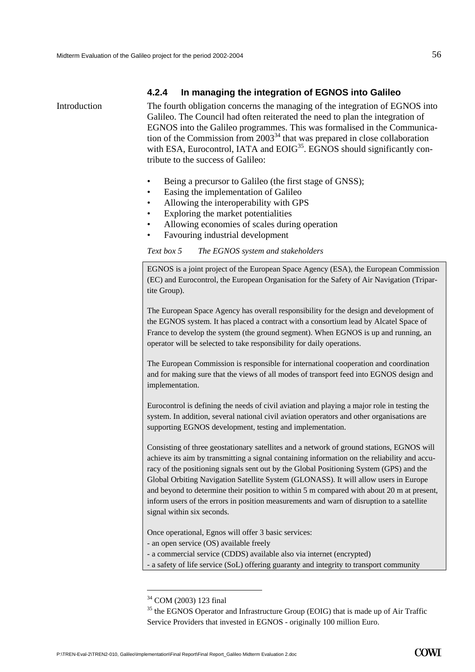#### **4.2.4 In managing the integration of EGNOS into Galileo**

Introduction The fourth obligation concerns the managing of the integration of EGNOS into Galileo. The Council had often reiterated the need to plan the integration of EGNOS into the Galileo programmes. This was formalised in the Communication of the Commission from  $2003<sup>34</sup>$  that was prepared in close collaboration with ESA, Eurocontrol, IATA and  $EOIG<sup>35</sup>$ . EGNOS should significantly contribute to the success of Galileo:

- Being a precursor to Galileo (the first stage of GNSS);
- Easing the implementation of Galileo
- Allowing the interoperability with GPS
- Exploring the market potentialities
- Allowing economies of scales during operation
- Favouring industrial development

*Text box 5 The EGNOS system and stakeholders* 

EGNOS is a joint project of the European Space Agency (ESA), the European Commission (EC) and Eurocontrol, the European Organisation for the Safety of Air Navigation (Tripartite Group).

The European Space Agency has overall responsibility for the design and development of the EGNOS system. It has placed a contract with a consortium lead by Alcatel Space of France to develop the system (the ground segment). When EGNOS is up and running, an operator will be selected to take responsibility for daily operations.

The European Commission is responsible for international cooperation and coordination and for making sure that the views of all modes of transport feed into EGNOS design and implementation.

Eurocontrol is defining the needs of civil aviation and playing a major role in testing the system. In addition, several national civil aviation operators and other organisations are supporting EGNOS development, testing and implementation.

Consisting of three geostationary satellites and a network of ground stations, EGNOS will achieve its aim by transmitting a signal containing information on the reliability and accuracy of the positioning signals sent out by the Global Positioning System (GPS) and the Global Orbiting Navigation Satellite System (GLONASS). It will allow users in Europe and beyond to determine their position to within 5 m compared with about 20 m at present, inform users of the errors in position measurements and warn of disruption to a satellite signal within six seconds.

Once operational, Egnos will offer 3 basic services:

- an open service (OS) available freely

- a commercial service (CDDS) available also via internet (encrypted)
- a safety of life service (SoL) offering guaranty and integrity to transport community

<span id="page-57-0"></span><sup>34</sup> COM (2003) 123 final

<span id="page-57-1"></span><sup>&</sup>lt;sup>35</sup> the EGNOS Operator and Infrastructure Group (EOIG) that is made up of Air Traffic Service Providers that invested in EGNOS - originally 100 million Euro.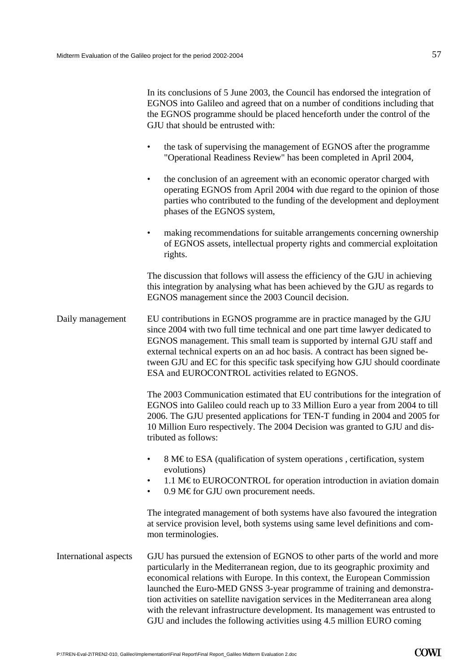|                       | In its conclusions of 5 June 2003, the Council has endorsed the integration of<br>EGNOS into Galileo and agreed that on a number of conditions including that<br>the EGNOS programme should be placed henceforth under the control of the<br>GJU that should be entrusted with:                                                                                                                                                                                                                                                                                      |
|-----------------------|----------------------------------------------------------------------------------------------------------------------------------------------------------------------------------------------------------------------------------------------------------------------------------------------------------------------------------------------------------------------------------------------------------------------------------------------------------------------------------------------------------------------------------------------------------------------|
|                       | the task of supervising the management of EGNOS after the programme<br>$\bullet$<br>"Operational Readiness Review" has been completed in April 2004,                                                                                                                                                                                                                                                                                                                                                                                                                 |
|                       | the conclusion of an agreement with an economic operator charged with<br>$\bullet$<br>operating EGNOS from April 2004 with due regard to the opinion of those<br>parties who contributed to the funding of the development and deployment<br>phases of the EGNOS system,                                                                                                                                                                                                                                                                                             |
|                       | making recommendations for suitable arrangements concerning ownership<br>$\bullet$<br>of EGNOS assets, intellectual property rights and commercial exploitation<br>rights.                                                                                                                                                                                                                                                                                                                                                                                           |
|                       | The discussion that follows will assess the efficiency of the GJU in achieving<br>this integration by analysing what has been achieved by the GJU as regards to<br>EGNOS management since the 2003 Council decision.                                                                                                                                                                                                                                                                                                                                                 |
| Daily management      | EU contributions in EGNOS programme are in practice managed by the GJU<br>since 2004 with two full time technical and one part time lawyer dedicated to<br>EGNOS management. This small team is supported by internal GJU staff and<br>external technical experts on an ad hoc basis. A contract has been signed be-<br>tween GJU and EC for this specific task specifying how GJU should coordinate<br>ESA and EUROCONTROL activities related to EGNOS.                                                                                                             |
|                       | The 2003 Communication estimated that EU contributions for the integration of<br>EGNOS into Galileo could reach up to 33 Million Euro a year from 2004 to till<br>2006. The GJU presented applications for TEN-T funding in 2004 and 2005 for<br>10 Million Euro respectively. The 2004 Decision was granted to GJU and dis-<br>tributed as follows:                                                                                                                                                                                                                 |
|                       | 8 M€to ESA (qualification of system operations, certification, system<br>evolutions)<br>1.1 M $\epsilon$ to EUROCONTROL for operation introduction in aviation domain<br>$\bullet$<br>0.9 M€for GJU own procurement needs.<br>$\bullet$                                                                                                                                                                                                                                                                                                                              |
|                       | The integrated management of both systems have also favoured the integration<br>at service provision level, both systems using same level definitions and com-<br>mon terminologies.                                                                                                                                                                                                                                                                                                                                                                                 |
| International aspects | GJU has pursued the extension of EGNOS to other parts of the world and more<br>particularly in the Mediterranean region, due to its geographic proximity and<br>economical relations with Europe. In this context, the European Commission<br>launched the Euro-MED GNSS 3-year programme of training and demonstra-<br>tion activities on satellite navigation services in the Mediterranean area along<br>with the relevant infrastructure development. Its management was entrusted to<br>GJU and includes the following activities using 4.5 million EURO coming |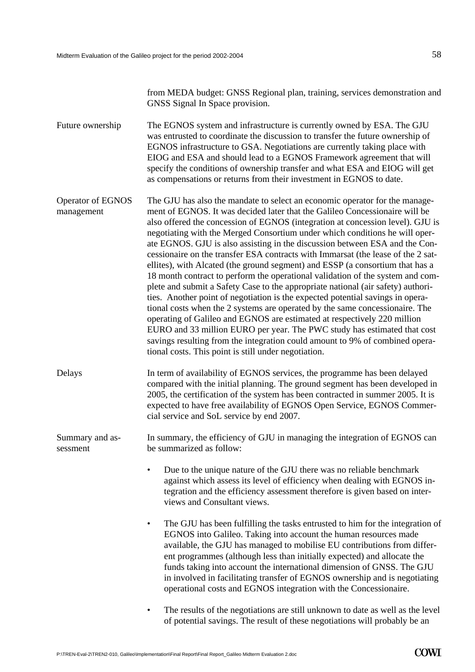from MEDA budget: GNSS Regional plan, training, services demonstration and GNSS Signal In Space provision.

The EGNOS system and infrastructure is currently owned by ESA. The GJU was entrusted to coordinate the discussion to transfer the future ownership of EGNOS infrastructure to GSA. Negotiations are currently taking place with EIOG and ESA and should lead to a EGNOS Framework agreement that will specify the conditions of ownership transfer and what ESA and EIOG will get as compensations or returns from their investment in EGNOS to date. Future ownership

The GJU has also the mandate to select an economic operator for the management of EGNOS. It was decided later that the Galileo Concessionaire will be also offered the concession of EGNOS (integration at concession level). GJU is negotiating with the Merged Consortium under which conditions he will operate EGNOS. GJU is also assisting in the discussion between ESA and the Concessionaire on the transfer ESA contracts with Immarsat (the lease of the 2 satellites), with Alcated (the ground segment) and ESSP (a consortium that has a 18 month contract to perform the operational validation of the system and complete and submit a Safety Case to the appropriate national (air safety) authorities. Another point of negotiation is the expected potential savings in operational costs when the 2 systems are operated by the same concessionaire. The operating of Galileo and EGNOS are estimated at respectively 220 million EURO and 33 million EURO per year. The PWC study has estimated that cost savings resulting from the integration could amount to 9% of combined operational costs. This point is still under negotiation. Operator of EGNOS management

Delays In term of availability of EGNOS services, the programme has been delayed compared with the initial planning. The ground segment has been developed in 2005, the certification of the system has been contracted in summer 2005. It is expected to have free availability of EGNOS Open Service, EGNOS Commercial service and SoL service by end 2007.

In summary, the efficiency of GJU in managing the integration of EGNOS can be summarized as follow: Summary and assessment

- Due to the unique nature of the GJU there was no reliable benchmark against which assess its level of efficiency when dealing with EGNOS integration and the efficiency assessment therefore is given based on interviews and Consultant views.
- The GJU has been fulfilling the tasks entrusted to him for the integration of EGNOS into Galileo. Taking into account the human resources made available, the GJU has managed to mobilise EU contributions from different programmes (although less than initially expected) and allocate the funds taking into account the international dimension of GNSS. The GJU in involved in facilitating transfer of EGNOS ownership and is negotiating operational costs and EGNOS integration with the Concessionaire.
- The results of the negotiations are still unknown to date as well as the level of potential savings. The result of these negotiations will probably be an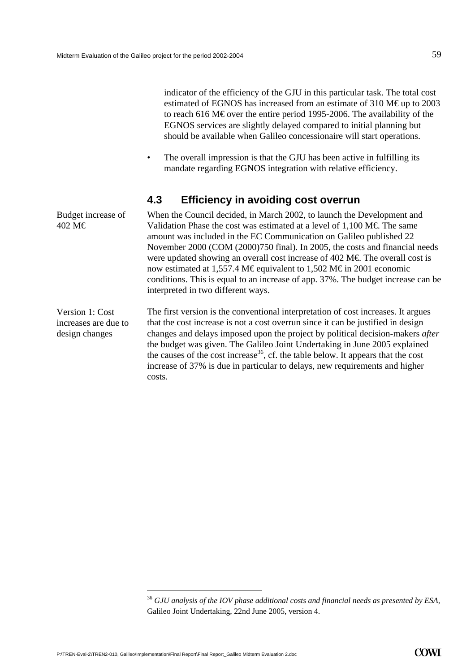Budget increase of

402 M€

indicator of the efficiency of the GJU in this particular task. The total cost estimated of EGNOS has increased from an estimate of 310 M€up to 2003 to reach 616 M€ over the entire period 1995-2006. The availability of the EGNOS services are slightly delayed compared to initial planning but should be available when Galileo concessionaire will start operations.

• The overall impression is that the GJU has been active in fulfilling its mandate regarding EGNOS integration with relative efficiency.

# **4.3 Efficiency in avoiding cost overrun**

When the Council decided, in March 2002, to launch the Development and Validation Phase the cost was estimated at a level of  $1,100 \text{ M} \in \text{The same}$ amount was included in the EC Communication on Galileo published 22 November 2000 (COM (2000)750 final). In 2005, the costs and financial needs were updated showing an overall cost increase of 402 M $\epsilon$ . The overall cost is now estimated at 1,557.4 M€ equivalent to 1,502 M€ in 2001 economic conditions. This is equal to an increase of app. 37%. The budget increase can be interpreted in two different ways.

The first version is the conventional interpretation of cost increases. It argues that the cost increase is not a cost overrun since it can be justified in design changes and delays imposed upon the project by political decision-makers *after* the budget was given. The Galileo Joint Undertaking in June 2005 explained the causes of the cost increase<sup>36</sup>, cf. the table below. It appears that the cost increase of 37% is due in particular to delays, new requirements and higher costs. Version 1: Cost increases are due to design changes

<span id="page-60-0"></span><sup>36</sup> *GJU analysis of the IOV phase additional costs and financial needs as presented by ESA,* Galileo Joint Undertaking, 22nd June 2005, version 4.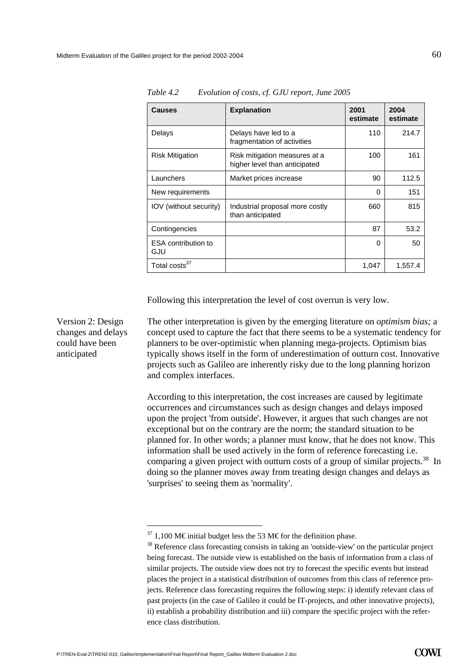| <b>Causes</b>                     | <b>Explanation</b>                                             | 2001<br>estimate | 2004<br>estimate |
|-----------------------------------|----------------------------------------------------------------|------------------|------------------|
| Delays                            | Delays have led to a<br>fragmentation of activities            | 110              | 214.7            |
| <b>Risk Mitigation</b>            | Risk mitigation measures at a<br>higher level than anticipated | 100              | 161              |
| Launchers                         | Market prices increase                                         | 90               | 112.5            |
| New requirements                  |                                                                | $\Omega$         | 151              |
| <b>IOV</b> (without security)     | Industrial proposal more costly<br>than anticipated            | 660              | 815              |
| Contingencies                     |                                                                | 87               | 53.2             |
| <b>ESA</b> contribution to<br>GJU |                                                                | $\Omega$         | 50               |
| Total costs <sup>37</sup>         |                                                                | 1,047            | 1,557.4          |

*Table 4.2 Evolution of costs, cf. GJU report, June 2005* 

Following this interpretation the level of cost overrun is very low.

Version 2: Design changes and delays could have been anticipated

The other interpretation is given by the emerging literature on *optimism bias;* a concept used to capture the fact that there seems to be a systematic tendency for planners to be over-optimistic when planning mega-projects. Optimism bias typically shows itself in the form of underestimation of outturn cost. Innovative projects such as Galileo are inherently risky due to the long planning horizon and complex interfaces.

According to this interpretation, the cost increases are caused by legitimate occurrences and circumstances such as design changes and delays imposed upon the project 'from outside'. However, it argues that such changes are not exceptional but on the contrary are the norm; the standard situation to be planned for. In other words; a planner must know, that he does not know. This information shall be used actively in the form of reference forecasting i.e. comparing a given project with outturn costs of a group of similar projects.<sup>38</sup> In doing so the planner moves away from treating design changes and delays as 'surprises' to seeing them as 'normality'.

l

<span id="page-61-1"></span><span id="page-61-0"></span>

<sup>&</sup>lt;sup>37</sup> 1,100 M€ initial budget less the 53 M€ for the definition phase.<br><sup>38</sup> Reference class forecasting consists in taking an 'outside-view' on the particular project being forecast. The outside view is established on the basis of information from a class of similar projects. The outside view does not try to forecast the specific events but instead places the project in a statistical distribution of outcomes from this class of reference projects. Reference class forecasting requires the following steps: i) identify relevant class of past projects (in the case of Galileo it could be IT-projects, and other innovative projects), ii) establish a probability distribution and iii) compare the specific project with the reference class distribution.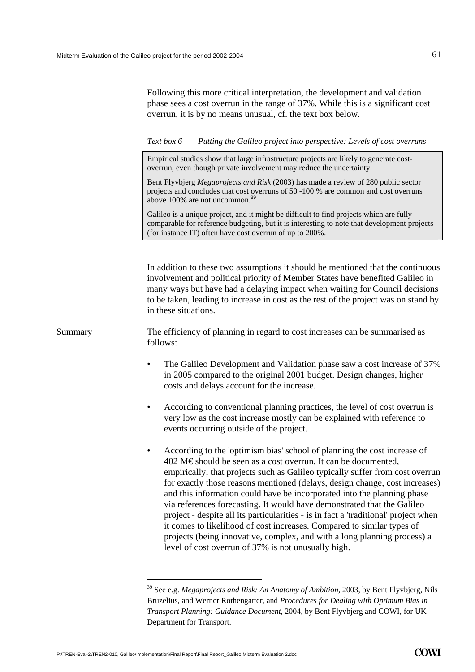Following this more critical interpretation, the development and validation phase sees a cost overrun in the range of 37%. While this is a significant cost overrun, it is by no means unusual, cf. the text box below.

*Text box 6 Putting the Galileo project into perspective: Levels of cost overruns* 

Empirical studies show that large infrastructure projects are likely to generate costoverrun, even though private involvement may reduce the uncertainty.

Bent Flyvbjerg *Megaprojects and Risk* (2003) has made a review of 280 public sector projects and concludes that cost overruns of 50 -100 % are common and cost overruns above 100% are not uncommon.[39](#page-62-0)

Galileo is a unique project, and it might be difficult to find projects which are fully comparable for reference budgeting, but it is interesting to note that development projects (for instance IT) often have cost overrun of up to 200%.

In addition to these two assumptions it should be mentioned that the continuous involvement and political priority of Member States have benefited Galileo in many ways but have had a delaying impact when waiting for Council decisions to be taken, leading to increase in cost as the rest of the project was on stand by in these situations.

Summary The efficiency of planning in regard to cost increases can be summarised as follows:

- The Galileo Development and Validation phase saw a cost increase of 37% in 2005 compared to the original 2001 budget. Design changes, higher costs and delays account for the increase.
- According to conventional planning practices, the level of cost overrun is very low as the cost increase mostly can be explained with reference to events occurring outside of the project.
- According to the 'optimism bias' school of planning the cost increase of 402 M€ should be seen as a cost overrun. It can be documented, empirically, that projects such as Galileo typically suffer from cost overrun for exactly those reasons mentioned (delays, design change, cost increases) and this information could have be incorporated into the planning phase via references forecasting. It would have demonstrated that the Galileo project - despite all its particularities - is in fact a 'traditional' project when it comes to likelihood of cost increases. Compared to similar types of projects (being innovative, complex, and with a long planning process) a level of cost overrun of 37% is not unusually high.

<span id="page-62-0"></span><sup>39</sup> See e.g. *Megaprojects and Risk: An Anatomy of Ambition*, 2003, by Bent Flyvbjerg, Nils Bruzelius, and Werner Rothengatter, and *Procedures for Dealing with Optimum Bias in Transport Planning: Guidance Document*, 2004, by Bent Flyvbjerg and COWI, for UK Department for Transport.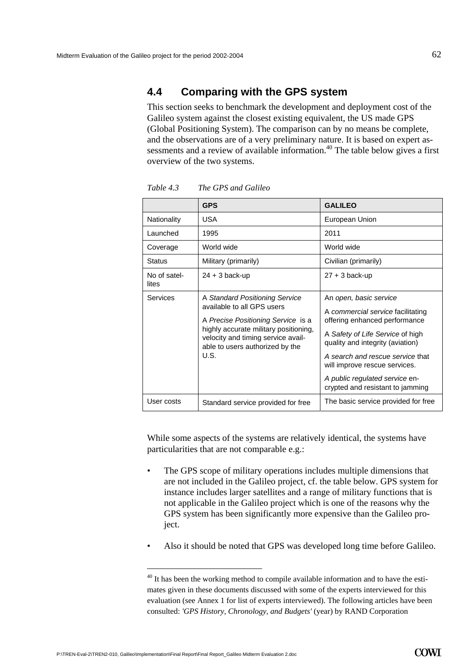### **4.4 Comparing with the GPS system**

This section seeks to benchmark the development and deployment cost of the Galileo system against the closest existing equivalent, the US made GPS (Global Positioning System). The comparison can by no means be complete, and the observations are of a very preliminary nature. It is based on expert assessments and a review of available information.<sup>40</sup> The table below gives a first overview of the two systems.

|                       | <b>GPS</b>                                                                                                                                                                                                                   | <b>GALILEO</b>                                                                                                                                                                                                                                                                                                  |
|-----------------------|------------------------------------------------------------------------------------------------------------------------------------------------------------------------------------------------------------------------------|-----------------------------------------------------------------------------------------------------------------------------------------------------------------------------------------------------------------------------------------------------------------------------------------------------------------|
| Nationality           | <b>USA</b>                                                                                                                                                                                                                   | European Union                                                                                                                                                                                                                                                                                                  |
| Launched              | 1995                                                                                                                                                                                                                         | 2011                                                                                                                                                                                                                                                                                                            |
| Coverage              | World wide                                                                                                                                                                                                                   | World wide                                                                                                                                                                                                                                                                                                      |
| <b>Status</b>         | Military (primarily)                                                                                                                                                                                                         | Civilian (primarily)                                                                                                                                                                                                                                                                                            |
| No of satel-<br>lites | $24 + 3$ back-up                                                                                                                                                                                                             | $27 + 3$ back-up                                                                                                                                                                                                                                                                                                |
| <b>Services</b>       | A Standard Positioning Service<br>available to all GPS users<br>A Precise Positioning Service is a<br>highly accurate military positioning,<br>velocity and timing service avail-<br>able to users authorized by the<br>U.S. | An open, basic service<br>A commercial service facilitating<br>offering enhanced performance<br>A Safety of Life Service of high<br>quality and integrity (aviation)<br>A search and rescue service that<br>will improve rescue services.<br>A public regulated service en-<br>crypted and resistant to jamming |
| User costs            | Standard service provided for free                                                                                                                                                                                           | The basic service provided for free                                                                                                                                                                                                                                                                             |

*Table 4.3 The GPS and Galileo* 

While some aspects of the systems are relatively identical, the systems have particularities that are not comparable e.g.:

- The GPS scope of military operations includes multiple dimensions that are not included in the Galileo project, cf. the table below. GPS system for instance includes larger satellites and a range of military functions that is not applicable in the Galileo project which is one of the reasons why the GPS system has been significantly more expensive than the Galileo project.
- Also it should be noted that GPS was developed long time before Galileo.

<span id="page-63-0"></span><sup>&</sup>lt;sup>40</sup> It has been the working method to compile available information and to have the estimates given in these documents discussed with some of the experts interviewed for this evaluation (see Annex 1 for list of experts interviewed). The following articles have been consulted: *'GPS History, Chronology, and Budgets'* (year) by RAND Corporation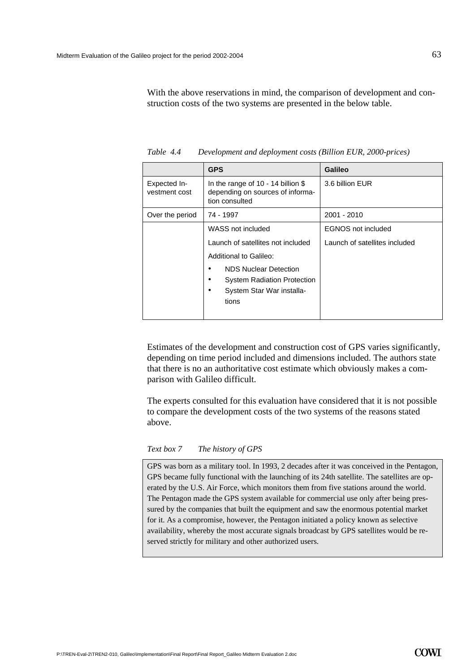With the above reservations in mind, the comparison of development and construction costs of the two systems are presented in the below table.

|                               | <b>GPS</b>                                                                                               | <b>Galileo</b>                |
|-------------------------------|----------------------------------------------------------------------------------------------------------|-------------------------------|
| Expected In-<br>vestment cost | In the range of 10 - 14 billion $$$<br>depending on sources of informa-<br>tion consulted                | 3.6 billion EUR               |
| Over the period               | 74 - 1997                                                                                                | 2001 - 2010                   |
|                               | WASS not included                                                                                        | <b>EGNOS</b> not included     |
|                               | Launch of satellites not included                                                                        | Launch of satellites included |
|                               | Additional to Galileo:                                                                                   |                               |
|                               | <b>NDS Nuclear Detection</b><br><b>System Radiation Protection</b><br>System Star War installa-<br>tions |                               |

*Table 4.4 Development and deployment costs (Billion EUR, 2000-prices)*

Estimates of the development and construction cost of GPS varies significantly, depending on time period included and dimensions included. The authors state that there is no an authoritative cost estimate which obviously makes a comparison with Galileo difficult.

The experts consulted for this evaluation have considered that it is not possible to compare the development costs of the two systems of the reasons stated above.

#### *Text box 7 The history of GPS*

GPS was born as a military tool. In 1993, 2 decades after it was conceived in the Pentagon, GPS became fully functional with the launching of its 24th satellite. The satellites are operated by the U.S. Air Force, which monitors them from five stations around the world. The Pentagon made the GPS system available for commercial use only after being pressured by the companies that built the equipment and saw the enormous potential market for it. As a compromise, however, the Pentagon initiated a policy known as selective availability, whereby the most accurate signals broadcast by GPS satellites would be reserved strictly for military and other authorized users.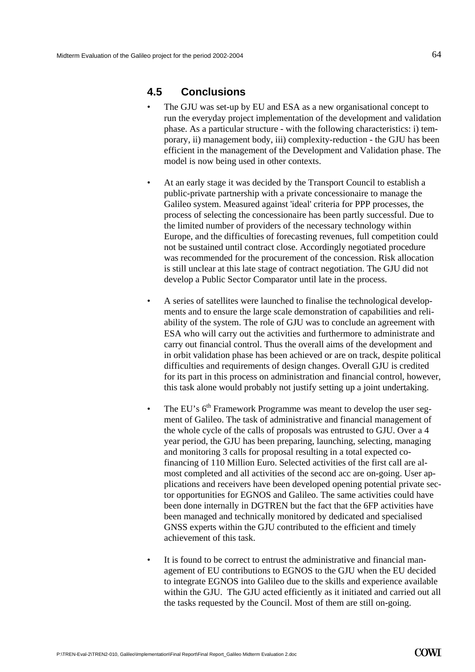### **4.5 Conclusions**

- The GJU was set-up by EU and ESA as a new organisational concept to run the everyday project implementation of the development and validation phase. As a particular structure - with the following characteristics: i) temporary, ii) management body, iii) complexity-reduction - the GJU has been efficient in the management of the Development and Validation phase. The model is now being used in other contexts.
- At an early stage it was decided by the Transport Council to establish a public-private partnership with a private concessionaire to manage the Galileo system. Measured against 'ideal' criteria for PPP processes, the process of selecting the concessionaire has been partly successful. Due to the limited number of providers of the necessary technology within Europe, and the difficulties of forecasting revenues, full competition could not be sustained until contract close. Accordingly negotiated procedure was recommended for the procurement of the concession. Risk allocation is still unclear at this late stage of contract negotiation. The GJU did not develop a Public Sector Comparator until late in the process.
- A series of satellites were launched to finalise the technological developments and to ensure the large scale demonstration of capabilities and reliability of the system. The role of GJU was to conclude an agreement with ESA who will carry out the activities and furthermore to administrate and carry out financial control. Thus the overall aims of the development and in orbit validation phase has been achieved or are on track, despite political difficulties and requirements of design changes. Overall GJU is credited for its part in this process on administration and financial control, however, this task alone would probably not justify setting up a joint undertaking.
- The EU's  $6<sup>th</sup>$  Framework Programme was meant to develop the user segment of Galileo. The task of administrative and financial management of the whole cycle of the calls of proposals was entrusted to GJU. Over a 4 year period, the GJU has been preparing, launching, selecting, managing and monitoring 3 calls for proposal resulting in a total expected cofinancing of 110 Million Euro. Selected activities of the first call are almost completed and all activities of the second acc are on-going. User applications and receivers have been developed opening potential private sector opportunities for EGNOS and Galileo. The same activities could have been done internally in DGTREN but the fact that the 6FP activities have been managed and technically monitored by dedicated and specialised GNSS experts within the GJU contributed to the efficient and timely achievement of this task.
- It is found to be correct to entrust the administrative and financial management of EU contributions to EGNOS to the GJU when the EU decided to integrate EGNOS into Galileo due to the skills and experience available within the GJU. The GJU acted efficiently as it initiated and carried out all the tasks requested by the Council. Most of them are still on-going.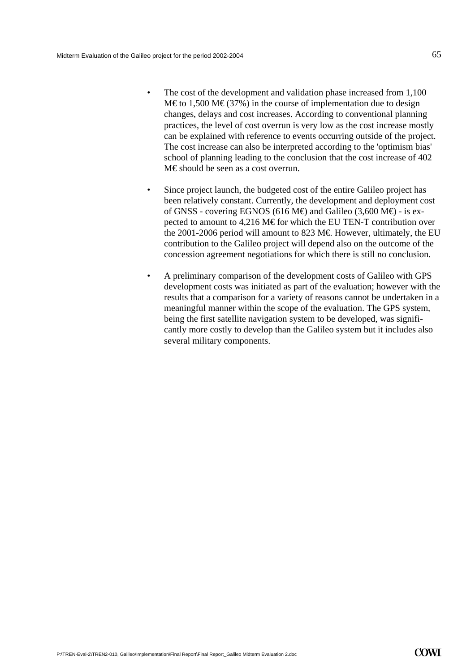- The cost of the development and validation phase increased from 1,100 M€ to 1,500 M€ (37%) in the course of implementation due to design changes, delays and cost increases. According to conventional planning practices, the level of cost overrun is very low as the cost increase mostly can be explained with reference to events occurring outside of the project. The cost increase can also be interpreted according to the 'optimism bias' school of planning leading to the conclusion that the cost increase of 402 M€ should be seen as a cost overrun.
- Since project launch, the budgeted cost of the entire Galileo project has been relatively constant. Currently, the development and deployment cost of GNSS - covering EGNOS (616 M $\oplus$  and Galileo (3,600 M $\oplus$  - is expected to amount to 4,216 M€ for which the EU TEN-T contribution over the 2001-2006 period will amount to 823 M€. However, ultimately, the EU contribution to the Galileo project will depend also on the outcome of the concession agreement negotiations for which there is still no conclusion.
- A preliminary comparison of the development costs of Galileo with GPS development costs was initiated as part of the evaluation; however with the results that a comparison for a variety of reasons cannot be undertaken in a meaningful manner within the scope of the evaluation. The GPS system, being the first satellite navigation system to be developed, was significantly more costly to develop than the Galileo system but it includes also several military components.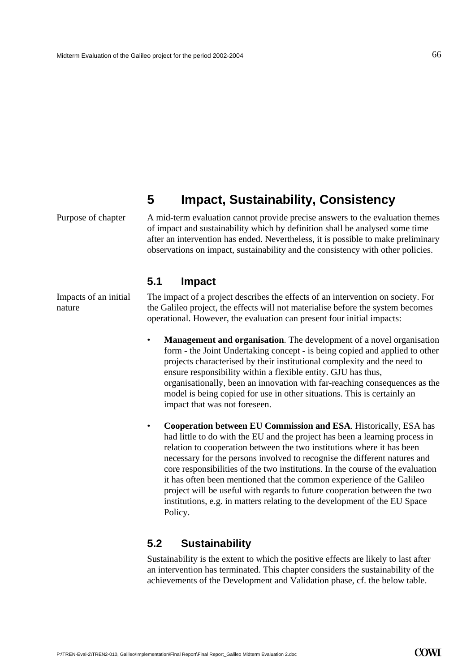# **5 Impact, Sustainability, Consistency**

Purpose of chapter

A mid-term evaluation cannot provide precise answers to the evaluation themes of impact and sustainability which by definition shall be analysed some time after an intervention has ended. Nevertheless, it is possible to make preliminary observations on impact, sustainability and the consistency with other policies.

### **5.1 Impact**

Impacts of an initial nature

The impact of a project describes the effects of an intervention on society. For the Galileo project, the effects will not materialise before the system becomes operational. However, the evaluation can present four initial impacts:

- **Management and organisation**. The development of a novel organisation form - the Joint Undertaking concept - is being copied and applied to other projects characterised by their institutional complexity and the need to ensure responsibility within a flexible entity. GJU has thus, organisationally, been an innovation with far-reaching consequences as the model is being copied for use in other situations. This is certainly an impact that was not foreseen.
- **Cooperation between EU Commission and ESA**. Historically, ESA has had little to do with the EU and the project has been a learning process in relation to cooperation between the two institutions where it has been necessary for the persons involved to recognise the different natures and core responsibilities of the two institutions. In the course of the evaluation it has often been mentioned that the common experience of the Galileo project will be useful with regards to future cooperation between the two institutions, e.g. in matters relating to the development of the EU Space Policy.

## **5.2 Sustainability**

Sustainability is the extent to which the positive effects are likely to last after an intervention has terminated. This chapter considers the sustainability of the achievements of the Development and Validation phase, cf. the below table.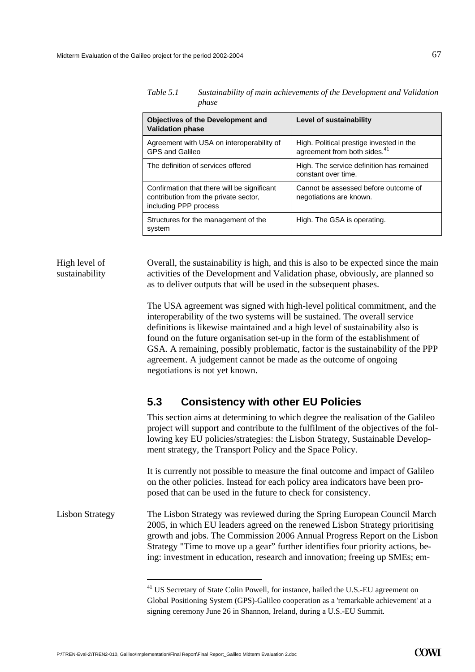| Table 5.1 | Sustainability of main achievements of the Development and Validation |
|-----------|-----------------------------------------------------------------------|
|           | phase                                                                 |

| <b>Objectives of the Development and</b><br><b>Validation phase</b>                                           | Level of sustainability                                                              |
|---------------------------------------------------------------------------------------------------------------|--------------------------------------------------------------------------------------|
| Agreement with USA on interoperability of<br><b>GPS and Galileo</b>                                           | High. Political prestige invested in the<br>agreement from both sides. <sup>41</sup> |
| The definition of services offered                                                                            | High. The service definition has remained<br>constant over time.                     |
| Confirmation that there will be significant<br>contribution from the private sector,<br>including PPP process | Cannot be assessed before outcome of<br>negotiations are known.                      |
| Structures for the management of the<br>system                                                                | High. The GSA is operating.                                                          |

#### High level of sustainability

Overall, the sustainability is high, and this is also to be expected since the main activities of the Development and Validation phase, obviously, are planned so as to deliver outputs that will be used in the subsequent phases.

The USA agreement was signed with high-level political commitment, and the interoperability of the two systems will be sustained. The overall service definitions is likewise maintained and a high level of sustainability also is found on the future organisation set-up in the form of the establishment of GSA. A remaining, possibly problematic, factor is the sustainability of the PPP agreement. A judgement cannot be made as the outcome of ongoing negotiations is not yet known.

# **5.3 Consistency with other EU Policies**

This section aims at determining to which degree the realisation of the Galileo project will support and contribute to the fulfilment of the objectives of the following key EU policies/strategies: the Lisbon Strategy, Sustainable Development strategy, the Transport Policy and the Space Policy.

It is currently not possible to measure the final outcome and impact of Galileo on the other policies. Instead for each policy area indicators have been proposed that can be used in the future to check for consistency.

The Lisbon Strategy was reviewed during the Spring European Council March 2005, in which EU leaders agreed on the renewed Lisbon Strategy prioritising growth and jobs. The Commission 2006 Annual Progress Report on the Lisbon Strategy "Time to move up a gear" further identifies four priority actions, being: investment in education, research and innovation; freeing up SMEs; em-Lisbon Strategy

<span id="page-68-0"></span><sup>&</sup>lt;sup>41</sup> US Secretary of State Colin Powell, for instance, hailed the U.S.-EU agreement on Global Positioning System (GPS)-Galileo cooperation as a 'remarkable achievement' at a signing ceremony June 26 in Shannon, Ireland, during a U.S.-EU Summit.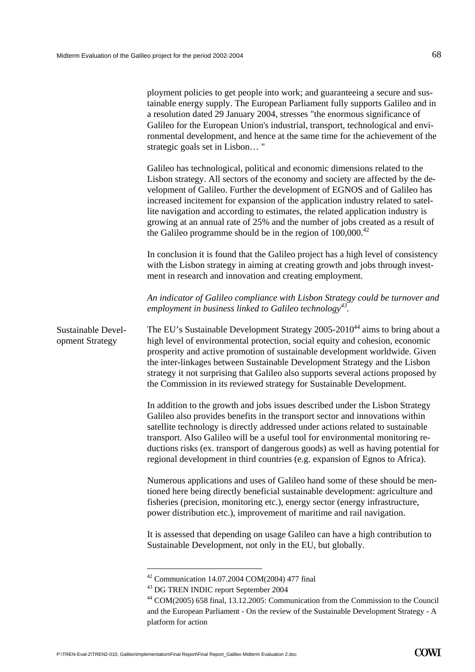|                                       | ployment policies to get people into work; and guaranteeing a secure and sus-<br>tainable energy supply. The European Parliament fully supports Galileo and in<br>a resolution dated 29 January 2004, stresses "the enormous significance of<br>Galileo for the European Union's industrial, transport, technological and envi-<br>ronmental development, and hence at the same time for the achievement of the<br>strategic goals set in Lisbon"                                                                                                                                  |
|---------------------------------------|------------------------------------------------------------------------------------------------------------------------------------------------------------------------------------------------------------------------------------------------------------------------------------------------------------------------------------------------------------------------------------------------------------------------------------------------------------------------------------------------------------------------------------------------------------------------------------|
|                                       | Galileo has technological, political and economic dimensions related to the<br>Lisbon strategy. All sectors of the economy and society are affected by the de-<br>velopment of Galileo. Further the development of EGNOS and of Galileo has<br>increased incitement for expansion of the application industry related to satel-<br>lite navigation and according to estimates, the related application industry is<br>growing at an annual rate of 25% and the number of jobs created as a result of<br>the Galileo programme should be in the region of $100,000$ . <sup>42</sup> |
|                                       | In conclusion it is found that the Galileo project has a high level of consistency<br>with the Lisbon strategy in aiming at creating growth and jobs through invest-<br>ment in research and innovation and creating employment.                                                                                                                                                                                                                                                                                                                                                   |
|                                       | An indicator of Galileo compliance with Lisbon Strategy could be turnover and<br>employment in business linked to Galileo technology <sup>43</sup> .                                                                                                                                                                                                                                                                                                                                                                                                                               |
| Sustainable Devel-<br>opment Strategy | The EU's Sustainable Development Strategy 2005-2010 <sup>44</sup> aims to bring about a<br>high level of environmental protection, social equity and cohesion, economic<br>prosperity and active promotion of sustainable development worldwide. Given<br>the inter-linkages between Sustainable Development Strategy and the Lisbon<br>strategy it not surprising that Galileo also supports several actions proposed by<br>the Commission in its reviewed strategy for Sustainable Development.                                                                                  |
|                                       | In addition to the growth and jobs issues described under the Lisbon Strategy<br>Galileo also provides benefits in the transport sector and innovations within<br>satellite technology is directly addressed under actions related to sustainable<br>transport. Also Galileo will be a useful tool for environmental monitoring re-<br>ductions risks (ex. transport of dangerous goods) as well as having potential for<br>regional development in third countries (e.g. expansion of Egnos to Africa).                                                                           |
|                                       | Numerous applications and uses of Galileo hand some of these should be men-<br>tioned here being directly beneficial sustainable development: agriculture and<br>fisheries (precision, monitoring etc.), energy sector (energy infrastructure,<br>power distribution etc.), improvement of maritime and rail navigation.                                                                                                                                                                                                                                                           |
|                                       | It is assessed that depending on usage Galileo can have a high contribution to<br>Sustainable Development, not only in the EU, but globally.                                                                                                                                                                                                                                                                                                                                                                                                                                       |
|                                       | <sup>42</sup> Communication 14.07.2004 COM(2004) 477 final<br><sup>43</sup> DG TREN INDIC report September 2004<br><sup>44</sup> COM(2005) 658 final, 13.12.2005: Communication from the Commission to the Council                                                                                                                                                                                                                                                                                                                                                                 |

<span id="page-69-2"></span><span id="page-69-1"></span><span id="page-69-0"></span>and the European Parliament - On the review of the Sustainable Development Strategy - A platform for action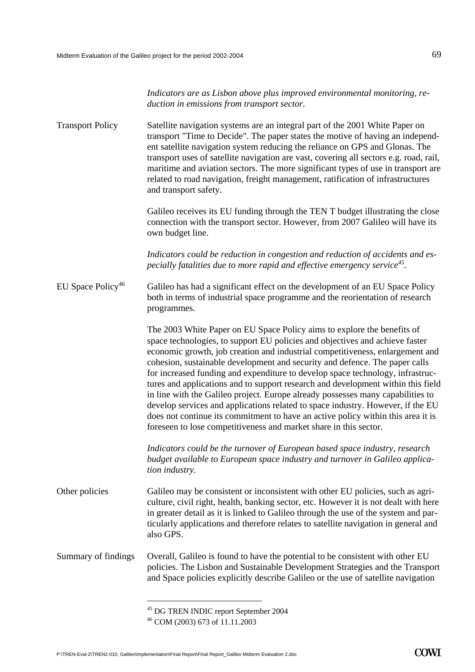|                               | Indicators are as Lisbon above plus improved environmental monitoring, re-<br>duction in emissions from transport sector.                                                                                                                                                                                                                                                                                                                                                                                                                                                                                                                                                                                                                                                                                                    |
|-------------------------------|------------------------------------------------------------------------------------------------------------------------------------------------------------------------------------------------------------------------------------------------------------------------------------------------------------------------------------------------------------------------------------------------------------------------------------------------------------------------------------------------------------------------------------------------------------------------------------------------------------------------------------------------------------------------------------------------------------------------------------------------------------------------------------------------------------------------------|
| <b>Transport Policy</b>       | Satellite navigation systems are an integral part of the 2001 White Paper on<br>transport "Time to Decide". The paper states the motive of having an independ-<br>ent satellite navigation system reducing the reliance on GPS and Glonas. The<br>transport uses of satellite navigation are vast, covering all sectors e.g. road, rail,<br>maritime and aviation sectors. The more significant types of use in transport are<br>related to road navigation, freight management, ratification of infrastructures<br>and transport safety.                                                                                                                                                                                                                                                                                    |
|                               | Galileo receives its EU funding through the TEN T budget illustrating the close<br>connection with the transport sector. However, from 2007 Galileo will have its<br>own budget line.                                                                                                                                                                                                                                                                                                                                                                                                                                                                                                                                                                                                                                        |
|                               | Indicators could be reduction in congestion and reduction of accidents and es-<br>pecially fatalities due to more rapid and effective emergency service <sup>45</sup> .                                                                                                                                                                                                                                                                                                                                                                                                                                                                                                                                                                                                                                                      |
| EU Space Policy <sup>46</sup> | Galileo has had a significant effect on the development of an EU Space Policy<br>both in terms of industrial space programme and the reorientation of research<br>programmes.                                                                                                                                                                                                                                                                                                                                                                                                                                                                                                                                                                                                                                                |
|                               | The 2003 White Paper on EU Space Policy aims to explore the benefits of<br>space technologies, to support EU policies and objectives and achieve faster<br>economic growth, job creation and industrial competitiveness, enlargement and<br>cohesion, sustainable development and security and defence. The paper calls<br>for increased funding and expenditure to develop space technology, infrastruc-<br>tures and applications and to support research and development within this field<br>in line with the Galileo project. Europe already possesses many capabilities to<br>develop services and applications related to space industry. However, if the EU<br>does not continue its commitment to have an active policy within this area it is<br>foreseen to lose competitiveness and market share in this sector. |
|                               | Indicators could be the turnover of European based space industry, research<br>budget available to European space industry and turnover in Galileo applica-<br>tion industry.                                                                                                                                                                                                                                                                                                                                                                                                                                                                                                                                                                                                                                                |
| Other policies                | Galileo may be consistent or inconsistent with other EU policies, such as agri-<br>culture, civil right, health, banking sector, etc. However it is not dealt with here<br>in greater detail as it is linked to Galileo through the use of the system and par-<br>ticularly applications and therefore relates to satellite navigation in general and<br>also GPS.                                                                                                                                                                                                                                                                                                                                                                                                                                                           |
| Summary of findings           | Overall, Galileo is found to have the potential to be consistent with other EU<br>policies. The Lisbon and Sustainable Development Strategies and the Transport<br>and Space policies explicitly describe Galileo or the use of satellite navigation                                                                                                                                                                                                                                                                                                                                                                                                                                                                                                                                                                         |
|                               |                                                                                                                                                                                                                                                                                                                                                                                                                                                                                                                                                                                                                                                                                                                                                                                                                              |

<span id="page-70-0"></span> $^{45}$  DG TREN INDIC report September 2004<br> $^{46}$  COM (2003) 673 of 11.11.2003

<span id="page-70-1"></span>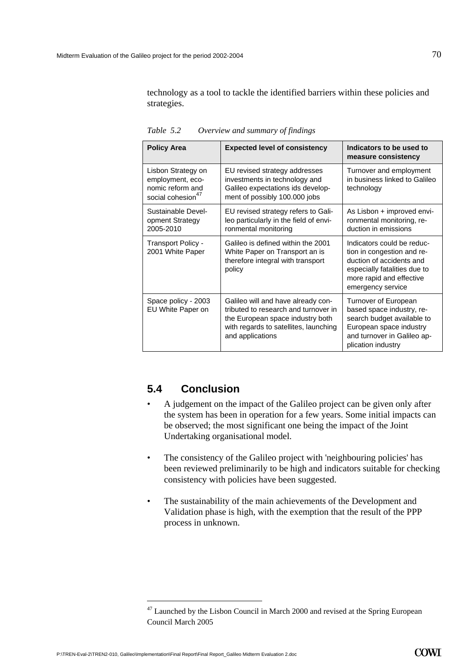technology as a tool to tackle the identified barriers within these policies and strategies.

| <b>Policy Area</b>                                                                          | <b>Expected level of consistency</b>                                                                                                                                        | Indicators to be used to<br>measure consistency                                                                                                                       |
|---------------------------------------------------------------------------------------------|-----------------------------------------------------------------------------------------------------------------------------------------------------------------------------|-----------------------------------------------------------------------------------------------------------------------------------------------------------------------|
| Lisbon Strategy on<br>employment, eco-<br>nomic reform and<br>social cohesion <sup>47</sup> | EU revised strategy addresses<br>investments in technology and<br>Galileo expectations ids develop-<br>ment of possibly 100.000 jobs                                        | Turnover and employment<br>in business linked to Galileo<br>technology                                                                                                |
| Sustainable Devel-<br>opment Strategy<br>2005-2010                                          | EU revised strategy refers to Gali-<br>leo particularly in the field of envi-<br>ronmental monitoring                                                                       | As Lisbon + improved envi-<br>ronmental monitoring, re-<br>duction in emissions                                                                                       |
| Transport Policy -<br>2001 White Paper                                                      | Galileo is defined within the 2001<br>White Paper on Transport an is<br>therefore integral with transport<br>policy                                                         | Indicators could be reduc-<br>tion in congestion and re-<br>duction of accidents and<br>especially fatalities due to<br>more rapid and effective<br>emergency service |
| Space policy - 2003<br>EU White Paper on                                                    | Galileo will and have already con-<br>tributed to research and turnover in<br>the European space industry both<br>with regards to satellites, launching<br>and applications | Turnover of European<br>based space industry, re-<br>search budget available to<br>European space industry<br>and turnover in Galileo ap-<br>plication industry       |

*Table 5.2 Overview and summary of findings* 

## **5.4 Conclusion**

- A judgement on the impact of the Galileo project can be given only after the system has been in operation for a few years. Some initial impacts can be observed; the most significant one being the impact of the Joint Undertaking organisational model.
- The consistency of the Galileo project with 'neighbouring policies' has been reviewed preliminarily to be high and indicators suitable for checking consistency with policies have been suggested.
- The sustainability of the main achievements of the Development and Validation phase is high, with the exemption that the result of the PPP process in unknown.

<span id="page-71-0"></span> $47$  Launched by the Lisbon Council in March 2000 and revised at the Spring European Council March 2005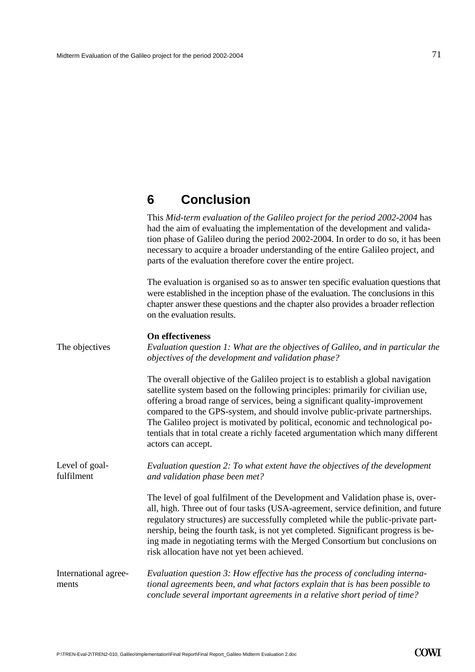## **6 Conclusion**

This *Mid-term evaluation of the Galileo project for the period 2002-2004* has had the aim of evaluating the implementation of the development and validation phase of Galileo during the period 2002-2004. In order to do so, it has been necessary to acquire a broader understanding of the entire Galileo project, and parts of the evaluation therefore cover the entire project.

The evaluation is organised so as to answer ten specific evaluation questions that were established in the inception phase of the evaluation. The conclusions in this chapter answer these questions and the chapter also provides a broader reflection on the evaluation results.

|                               | On effectiveness                                                                                                                                                                                                                                                                                                                                                                                                                                                                                                              |  |  |
|-------------------------------|-------------------------------------------------------------------------------------------------------------------------------------------------------------------------------------------------------------------------------------------------------------------------------------------------------------------------------------------------------------------------------------------------------------------------------------------------------------------------------------------------------------------------------|--|--|
| The objectives                | Evaluation question 1: What are the objectives of Galileo, and in particular the<br>objectives of the development and validation phase?                                                                                                                                                                                                                                                                                                                                                                                       |  |  |
|                               | The overall objective of the Galileo project is to establish a global navigation<br>satellite system based on the following principles: primarily for civilian use,<br>offering a broad range of services, being a significant quality-improvement<br>compared to the GPS-system, and should involve public-private partnerships.<br>The Galileo project is motivated by political, economic and technological po-<br>tentials that in total create a richly faceted argumentation which many different<br>actors can accept. |  |  |
| Level of goal-<br>fulfilment  | Evaluation question 2: To what extent have the objectives of the development<br>and validation phase been met?                                                                                                                                                                                                                                                                                                                                                                                                                |  |  |
|                               | The level of goal fulfilment of the Development and Validation phase is, over-<br>all, high. Three out of four tasks (USA-agreement, service definition, and future<br>regulatory structures) are successfully completed while the public-private part-<br>nership, being the fourth task, is not yet completed. Significant progress is be-<br>ing made in negotiating terms with the Merged Consortium but conclusions on<br>risk allocation have not yet been achieved.                                                    |  |  |
| International agree-<br>ments | Evaluation question 3: How effective has the process of concluding interna-<br>tional agreements been, and what factors explain that is has been possible to<br>conclude several important agreements in a relative short period of time?                                                                                                                                                                                                                                                                                     |  |  |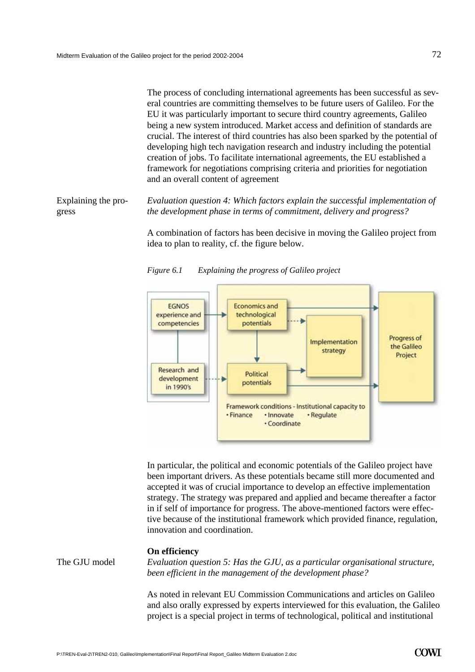The process of concluding international agreements has been successful as several countries are committing themselves to be future users of Galileo. For the EU it was particularly important to secure third country agreements, Galileo being a new system introduced. Market access and definition of standards are crucial. The interest of third countries has also been sparked by the potential of developing high tech navigation research and industry including the potential creation of jobs. To facilitate international agreements, the EU established a framework for negotiations comprising criteria and priorities for negotiation and an overall content of agreement

*Evaluation question 4: Which factors explain the successful implementation of the development phase in terms of commitment, delivery and progress?*  Explaining the progress

> A combination of factors has been decisive in moving the Galileo project from idea to plan to reality, cf. the figure below.



*Figure 6.1 Explaining the progress of Galileo project* 

In particular, the political and economic potentials of the Galileo project have been important drivers. As these potentials became still more documented and accepted it was of crucial importance to develop an effective implementation strategy. The strategy was prepared and applied and became thereafter a factor in if self of importance for progress. The above-mentioned factors were effective because of the institutional framework which provided finance, regulation, innovation and coordination.

### **On efficiency**

The GJU model *Evaluation question 5: Has the GJU, as a particular organisational structure, been efficient in the management of the development phase?*

> As noted in relevant EU Commission Communications and articles on Galileo and also orally expressed by experts interviewed for this evaluation, the Galileo project is a special project in terms of technological, political and institutional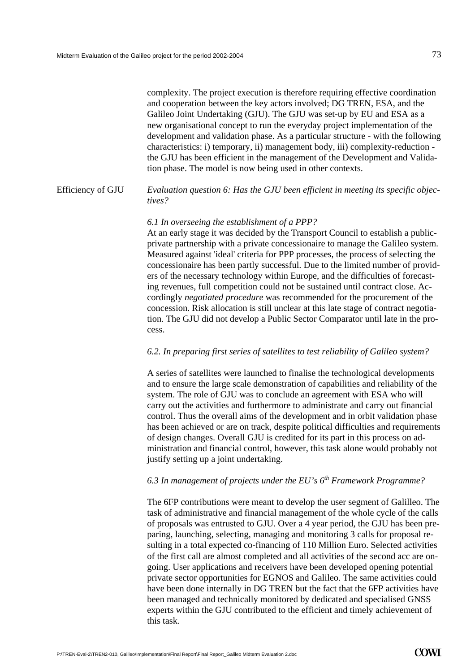complexity. The project execution is therefore requiring effective coordination and cooperation between the key actors involved; DG TREN, ESA, and the Galileo Joint Undertaking (GJU). The GJU was set-up by EU and ESA as a new organisational concept to run the everyday project implementation of the development and validation phase. As a particular structure - with the following characteristics: i) temporary, ii) management body, iii) complexity-reduction the GJU has been efficient in the management of the Development and Validation phase. The model is now being used in other contexts.

#### *Evaluation question 6: Has the GJU been efficient in meeting its specific objectives?* Efficiency of GJU

## *6.1 In overseeing the establishment of a PPP?*

At an early stage it was decided by the Transport Council to establish a publicprivate partnership with a private concessionaire to manage the Galileo system. Measured against 'ideal' criteria for PPP processes, the process of selecting the concessionaire has been partly successful. Due to the limited number of providers of the necessary technology within Europe, and the difficulties of forecasting revenues, full competition could not be sustained until contract close. Accordingly *negotiated procedure* was recommended for the procurement of the concession. Risk allocation is still unclear at this late stage of contract negotiation. The GJU did not develop a Public Sector Comparator until late in the process.

## *6.2. In preparing first series of satellites to test reliability of Galileo system?*

A series of satellites were launched to finalise the technological developments and to ensure the large scale demonstration of capabilities and reliability of the system. The role of GJU was to conclude an agreement with ESA who will carry out the activities and furthermore to administrate and carry out financial control. Thus the overall aims of the development and in orbit validation phase has been achieved or are on track, despite political difficulties and requirements of design changes. Overall GJU is credited for its part in this process on administration and financial control, however, this task alone would probably not justify setting up a joint undertaking.

## *6.3 In management of projects under the EU's 6th Framework Programme?*

The 6FP contributions were meant to develop the user segment of Galilleo. The task of administrative and financial management of the whole cycle of the calls of proposals was entrusted to GJU. Over a 4 year period, the GJU has been preparing, launching, selecting, managing and monitoring 3 calls for proposal resulting in a total expected co-financing of 110 Million Euro. Selected activities of the first call are almost completed and all activities of the second acc are ongoing. User applications and receivers have been developed opening potential private sector opportunities for EGNOS and Galileo. The same activities could have been done internally in DG TREN but the fact that the 6FP activities have been managed and technically monitored by dedicated and specialised GNSS experts within the GJU contributed to the efficient and timely achievement of this task.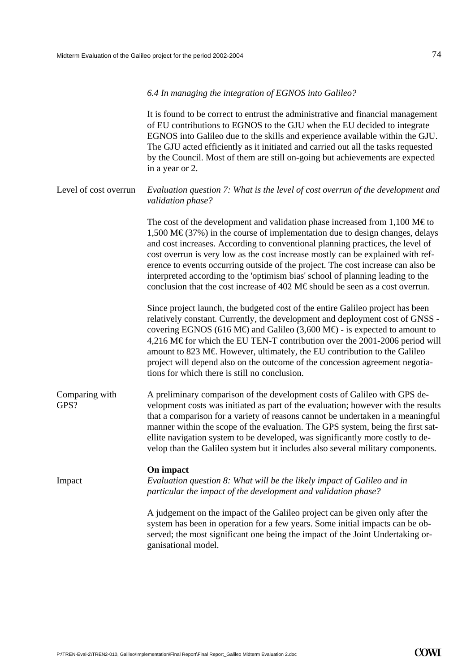### *6.4 In managing the integration of EGNOS into Galileo?*

It is found to be correct to entrust the administrative and financial management of EU contributions to EGNOS to the GJU when the EU decided to integrate EGNOS into Galileo due to the skills and experience available within the GJU. The GJU acted efficiently as it initiated and carried out all the tasks requested by the Council. Most of them are still on-going but achievements are expected in a year or 2.

#### *Evaluation question 7: What is the level of cost overrun of the development and validation phase?*  Level of cost overrun

The cost of the development and validation phase increased from  $1,100 \text{ M}\text{Eto}$  $1,500 \text{ M} \in (37\%)$  in the course of implementation due to design changes, delays and cost increases. According to conventional planning practices, the level of cost overrun is very low as the cost increase mostly can be explained with reference to events occurring outside of the project. The cost increase can also be interpreted according to the 'optimism bias' school of planning leading to the conclusion that the cost increase of 402 M€ should be seen as a cost overrun.

Since project launch, the budgeted cost of the entire Galileo project has been relatively constant. Currently, the development and deployment cost of GNSS covering EGNOS (616 M $\oplus$  and Galileo (3,600 M $\oplus$  - is expected to amount to 4,216 M€ for which the EU TEN-T contribution over the 2001-2006 period will amount to 823 M $\epsilon$ . However, ultimately, the EU contribution to the Galileo project will depend also on the outcome of the concession agreement negotiations for which there is still no conclusion.

A preliminary comparison of the development costs of Galileo with GPS development costs was initiated as part of the evaluation; however with the results that a comparison for a variety of reasons cannot be undertaken in a meaningful manner within the scope of the evaluation. The GPS system, being the first satellite navigation system to be developed, was significantly more costly to develop than the Galileo system but it includes also several military components. Comparing with GPS?

### **On impact**

Impact *Evaluation question 8: What will be the likely impact of Galileo and in particular the impact of the development and validation phase?* 

> A judgement on the impact of the Galileo project can be given only after the system has been in operation for a few years. Some initial impacts can be observed; the most significant one being the impact of the Joint Undertaking organisational model.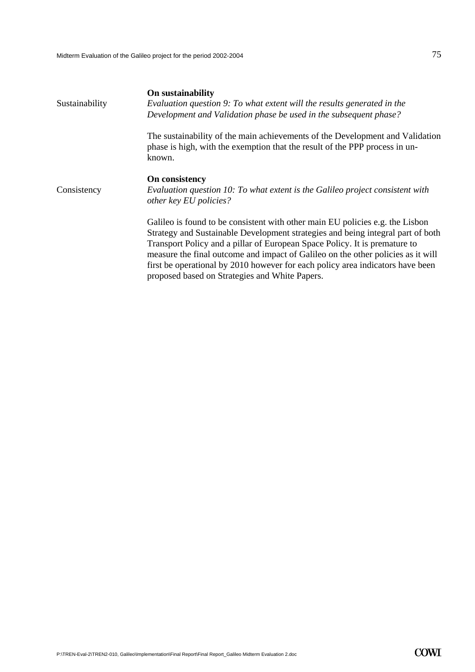| Sustainability | On sustainability<br>Evaluation question 9: To what extent will the results generated in the<br>Development and Validation phase be used in the subsequent phase?                                                                                                                                                                                                                                                                                                      |  |  |
|----------------|------------------------------------------------------------------------------------------------------------------------------------------------------------------------------------------------------------------------------------------------------------------------------------------------------------------------------------------------------------------------------------------------------------------------------------------------------------------------|--|--|
|                | The sustainability of the main achievements of the Development and Validation<br>phase is high, with the exemption that the result of the PPP process in un-<br>known.                                                                                                                                                                                                                                                                                                 |  |  |
| Consistency    | On consistency<br>Evaluation question 10: To what extent is the Galileo project consistent with<br>other key EU policies?                                                                                                                                                                                                                                                                                                                                              |  |  |
|                | Galileo is found to be consistent with other main EU policies e.g. the Lisbon<br>Strategy and Sustainable Development strategies and being integral part of both<br>Transport Policy and a pillar of European Space Policy. It is premature to<br>measure the final outcome and impact of Galileo on the other policies as it will<br>first be operational by 2010 however for each policy area indicators have been<br>proposed based on Strategies and White Papers. |  |  |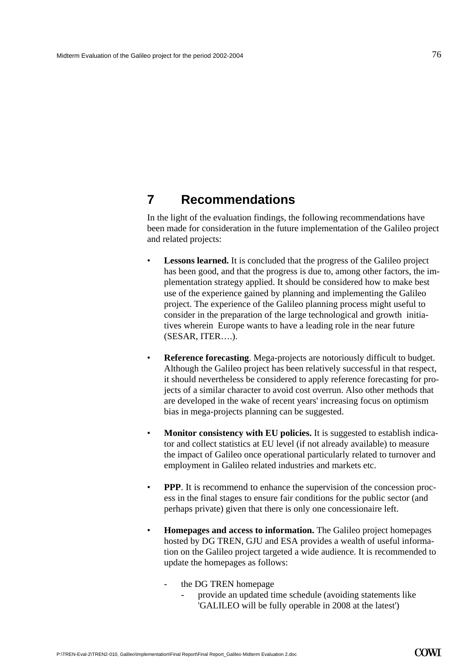## **7 Recommendations**

In the light of the evaluation findings, the following recommendations have been made for consideration in the future implementation of the Galileo project and related projects:

- **Lessons learned.** It is concluded that the progress of the Galileo project has been good, and that the progress is due to, among other factors, the implementation strategy applied. It should be considered how to make best use of the experience gained by planning and implementing the Galileo project. The experience of the Galileo planning process might useful to consider in the preparation of the large technological and growth initiatives wherein Europe wants to have a leading role in the near future (SESAR, ITER….).
- **Reference forecasting**. Mega-projects are notoriously difficult to budget. Although the Galileo project has been relatively successful in that respect, it should nevertheless be considered to apply reference forecasting for projects of a similar character to avoid cost overrun. Also other methods that are developed in the wake of recent years' increasing focus on optimism bias in mega-projects planning can be suggested.
- **Monitor consistency with EU policies.** It is suggested to establish indicator and collect statistics at EU level (if not already available) to measure the impact of Galileo once operational particularly related to turnover and employment in Galileo related industries and markets etc.
- **PPP**. It is recommend to enhance the supervision of the concession process in the final stages to ensure fair conditions for the public sector (and perhaps private) given that there is only one concessionaire left.
- **Homepages and access to information.** The Galileo project homepages hosted by DG TREN, GJU and ESA provides a wealth of useful information on the Galileo project targeted a wide audience. It is recommended to update the homepages as follows:
	- the DG TREN homepage
		- provide an updated time schedule (avoiding statements like 'GALILEO will be fully operable in 2008 at the latest')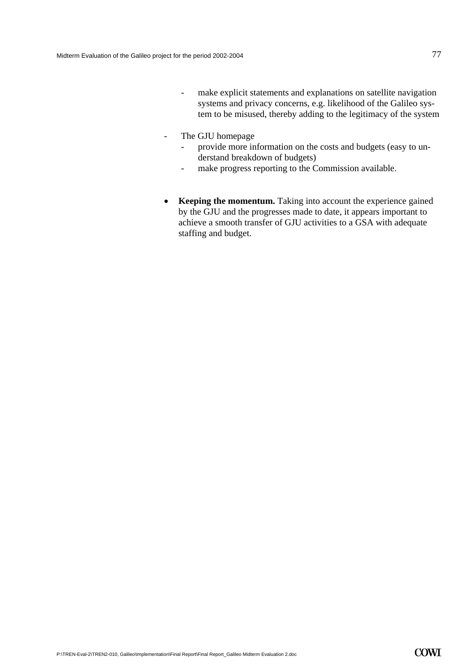- make explicit statements and explanations on satellite navigation systems and privacy concerns, e.g. likelihood of the Galileo system to be misused, thereby adding to the legitimacy of the system
- The GJU homepage
	- provide more information on the costs and budgets (easy to understand breakdown of budgets)
	- make progress reporting to the Commission available.
- **Keeping the momentum.** Taking into account the experience gained by the GJU and the progresses made to date, it appears important to achieve a smooth transfer of GJU activities to a GSA with adequate staffing and budget.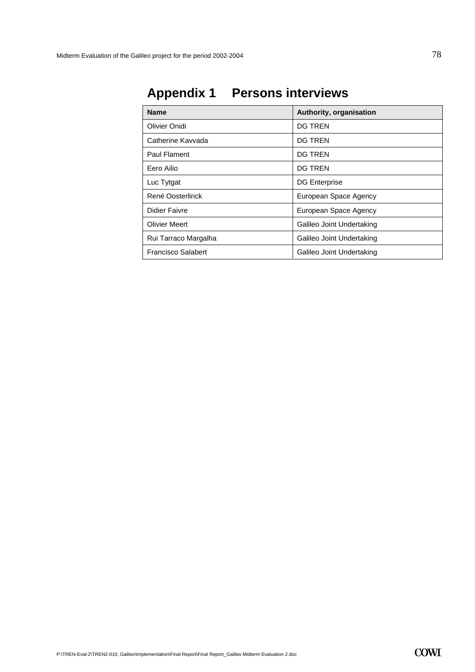| <b>Name</b>               | Authority, organisation   |
|---------------------------|---------------------------|
| Olivier Onidi             | <b>DG TREN</b>            |
| Catherine Kavvada         | DG TREN                   |
| Paul Flament              | <b>DG TREN</b>            |
| Eero Ailio                | <b>DG TREN</b>            |
| Luc Tytgat                | <b>DG Enterprise</b>      |
| René Oosterlinck          | European Space Agency     |
| Didier Faivre             | European Space Agency     |
| <b>Olivier Meert</b>      | Galileo Joint Undertaking |
| Rui Tarraco Margalha      | Galileo Joint Undertaking |
| <b>Francisco Salabert</b> | Galileo Joint Undertaking |

# **Appendix 1 Persons interviews**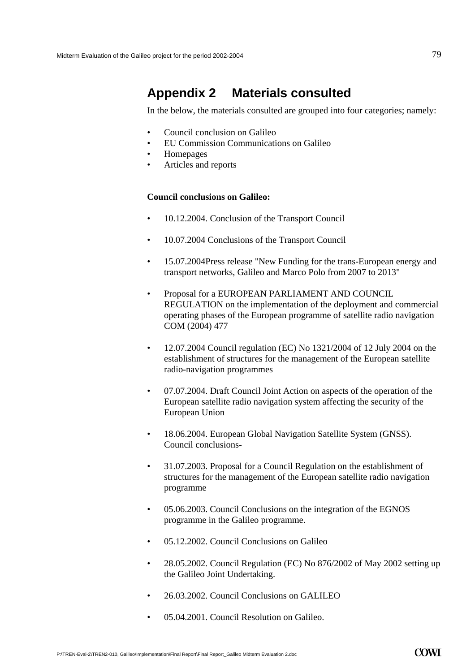## **Appendix 2 Materials consulted**

In the below, the materials consulted are grouped into four categories; namely:

- Council conclusion on Galileo
- EU Commission Communications on Galileo
- Homepages
- Articles and reports

## **Council conclusions on Galileo:**

- 10.12.2004. Conclusion of the Transport Council
- 10.07.2004 Conclusions of the Transport Council
- 15.07.2004Press release "New Funding for the trans-European energy and transport networks, Galileo and Marco Polo from 2007 to 2013"
- Proposal for a EUROPEAN PARLIAMENT AND COUNCIL REGULATION on the implementation of the deployment and commercial operating phases of the European programme of satellite radio navigation COM (2004) 477
- 12.07.2004 Council regulation (EC) No  $1321/2004$  of 12 July 2004 on the establishment of structures for the management of the European satellite radio-navigation programmes
- 07.07.2004. Draft Council Joint Action on aspects of the operation of the European satellite radio navigation system affecting the security of the European Union
- 18.06.2004. European Global Navigation Satellite System (GNSS). Council conclusions-
- 31.07.2003. Proposal for a Council Regulation on the establishment of structures for the management of the European satellite radio navigation programme
- 05.06.2003. Council Conclusions on the integration of the EGNOS programme in the Galileo programme.
- 05.12.2002. Council Conclusions on Galileo
- 28.05.2002. Council Regulation (EC) No 876/2002 of May 2002 setting up the Galileo Joint Undertaking.
- 26.03.2002. Council Conclusions on GALILEO
- 05.04.2001. Council Resolution on Galileo.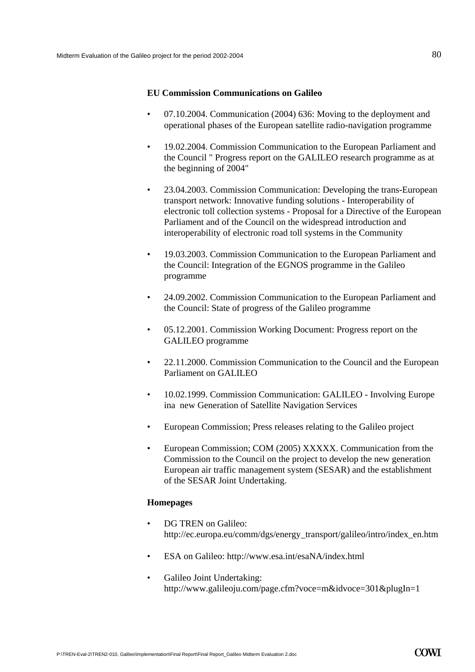## **EU Commission Communications on Galileo**

- 07.10.2004. Communication (2004) 636: Moving to the deployment and operational phases of the European satellite radio-navigation programme
- 19.02.2004. Commission Communication to the European Parliament and the Council " Progress report on the GALILEO research programme as at the beginning of 2004"
- 23.04.2003. Commission Communication: Developing the trans-European transport network: Innovative funding solutions - Interoperability of electronic toll collection systems - Proposal for a Directive of the European Parliament and of the Council on the widespread introduction and interoperability of electronic road toll systems in the Community
- 19.03.2003. Commission Communication to the European Parliament and the Council: Integration of the EGNOS programme in the Galileo programme
- 24.09.2002. Commission Communication to the European Parliament and the Council: State of progress of the Galileo programme
- 05.12.2001. Commission Working Document: Progress report on the GALILEO programme
- 22.11.2000. Commission Communication to the Council and the European Parliament on GALILEO
- 10.02.1999. Commission Communication: GALILEO Involving Europe ina new Generation of Satellite Navigation Services
- European Commission; Press releases relating to the Galileo project
- European Commission; COM (2005) XXXXX. Communication from the Commission to the Council on the project to develop the new generation European air traffic management system (SESAR) and the establishment of the SESAR Joint Undertaking.

## **Homepages**

- DG TREN on Galileo: http://ec.europa.eu/comm/dgs/energy\_transport/galileo/intro/index\_en.htm
- ESA on Galileo: http://www.esa.int/esaNA/index.html
- Galileo Joint Undertaking: http://www.galileoju.com/page.cfm?voce=m&idvoce=301&plugIn=1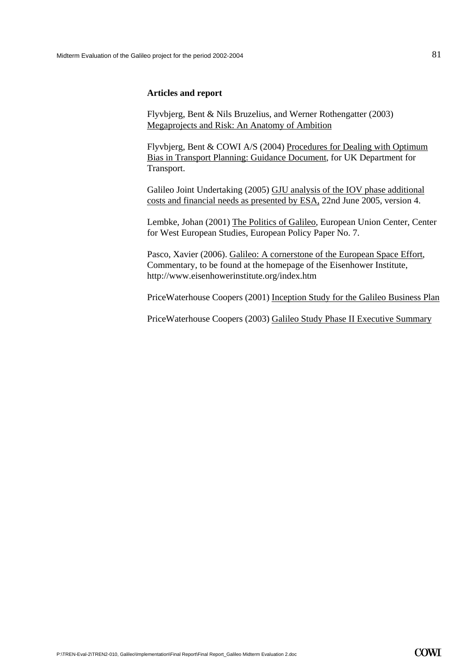## **Articles and report**

Flyvbjerg, Bent & Nils Bruzelius, and Werner Rothengatter (2003) Megaprojects and Risk: An Anatomy of Ambition

Flyvbjerg, Bent & COWI A/S (2004) Procedures for Dealing with Optimum Bias in Transport Planning: Guidance Document, for UK Department for Transport.

Galileo Joint Undertaking (2005) GJU analysis of the IOV phase additional costs and financial needs as presented by ESA, 22nd June 2005, version 4.

Lembke, Johan (2001) The Politics of Galileo, European Union Center, Center for West European Studies, European Policy Paper No. 7.

Pasco, Xavier (2006). Galileo: A cornerstone of the European Space Effort, Commentary, to be found at the homepage of the Eisenhower Institute, http://www.eisenhowerinstitute.org/index.htm

PriceWaterhouse Coopers (2001) Inception Study for the Galileo Business Plan

PriceWaterhouse Coopers (2003) Galileo Study Phase II Executive Summary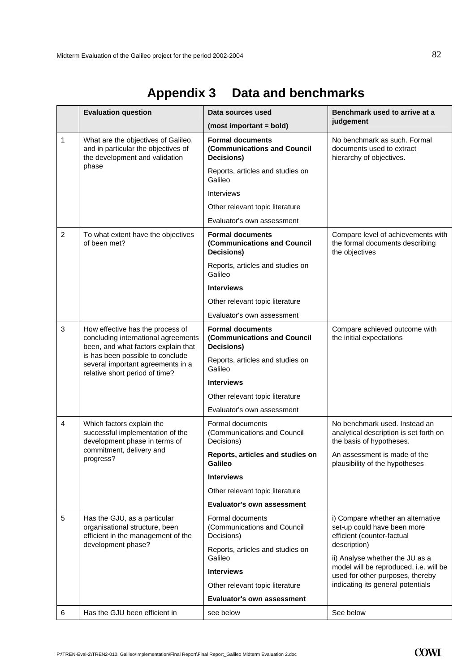|                | <b>Evaluation question</b>                                                                                                                                                                                                | Data sources used                                                    | Benchmark used to arrive at a<br>judgement                                                                                                                                                                                                                           |
|----------------|---------------------------------------------------------------------------------------------------------------------------------------------------------------------------------------------------------------------------|----------------------------------------------------------------------|----------------------------------------------------------------------------------------------------------------------------------------------------------------------------------------------------------------------------------------------------------------------|
|                |                                                                                                                                                                                                                           | (most important = bold)                                              |                                                                                                                                                                                                                                                                      |
| $\mathbf{1}$   | What are the objectives of Galileo,<br>and in particular the objectives of<br>the development and validation<br>phase                                                                                                     | <b>Formal documents</b><br>(Communications and Council<br>Decisions) | No benchmark as such. Formal<br>documents used to extract<br>hierarchy of objectives.                                                                                                                                                                                |
|                |                                                                                                                                                                                                                           | Reports, articles and studies on<br>Galileo                          |                                                                                                                                                                                                                                                                      |
|                |                                                                                                                                                                                                                           | <b>Interviews</b>                                                    |                                                                                                                                                                                                                                                                      |
|                |                                                                                                                                                                                                                           | Other relevant topic literature                                      |                                                                                                                                                                                                                                                                      |
|                |                                                                                                                                                                                                                           | Evaluator's own assessment                                           |                                                                                                                                                                                                                                                                      |
| $\overline{2}$ | To what extent have the objectives<br>of been met?                                                                                                                                                                        | <b>Formal documents</b><br>(Communications and Council<br>Decisions) | Compare level of achievements with<br>the formal documents describing<br>the objectives                                                                                                                                                                              |
|                |                                                                                                                                                                                                                           | Reports, articles and studies on<br>Galileo                          |                                                                                                                                                                                                                                                                      |
|                |                                                                                                                                                                                                                           | <b>Interviews</b>                                                    |                                                                                                                                                                                                                                                                      |
|                |                                                                                                                                                                                                                           | Other relevant topic literature                                      |                                                                                                                                                                                                                                                                      |
|                |                                                                                                                                                                                                                           | Evaluator's own assessment                                           |                                                                                                                                                                                                                                                                      |
| 3              | How effective has the process of<br>concluding international agreements<br>been, and what factors explain that<br>is has been possible to conclude<br>several important agreements in a<br>relative short period of time? | <b>Formal documents</b><br>(Communications and Council<br>Decisions) | Compare achieved outcome with<br>the initial expectations                                                                                                                                                                                                            |
|                |                                                                                                                                                                                                                           | Reports, articles and studies on<br>Galileo                          |                                                                                                                                                                                                                                                                      |
|                |                                                                                                                                                                                                                           | <b>Interviews</b>                                                    |                                                                                                                                                                                                                                                                      |
|                |                                                                                                                                                                                                                           | Other relevant topic literature                                      |                                                                                                                                                                                                                                                                      |
|                |                                                                                                                                                                                                                           | Evaluator's own assessment                                           |                                                                                                                                                                                                                                                                      |
| $\overline{4}$ | Which factors explain the<br>successful implementation of the<br>development phase in terms of<br>commitment, delivery and<br>progress?                                                                                   | Formal documents<br>(Communications and Council<br>Decisions)        | No benchmark used. Instead an<br>analytical description is set forth on<br>the basis of hypotheses.                                                                                                                                                                  |
|                |                                                                                                                                                                                                                           | Reports, articles and studies on<br>Galileo                          | An assessment is made of the<br>plausibility of the hypotheses                                                                                                                                                                                                       |
|                |                                                                                                                                                                                                                           | <b>Interviews</b>                                                    |                                                                                                                                                                                                                                                                      |
|                |                                                                                                                                                                                                                           | Other relevant topic literature                                      |                                                                                                                                                                                                                                                                      |
|                |                                                                                                                                                                                                                           | <b>Evaluator's own assessment</b>                                    |                                                                                                                                                                                                                                                                      |
| 5              | Has the GJU, as a particular<br>organisational structure, been<br>efficient in the management of the<br>development phase?                                                                                                | Formal documents<br>(Communications and Council<br>Decisions)        | i) Compare whether an alternative<br>set-up could have been more<br>efficient (counter-factual<br>description)<br>ii) Analyse whether the JU as a<br>model will be reproduced, i.e. will be<br>used for other purposes, thereby<br>indicating its general potentials |
|                |                                                                                                                                                                                                                           | Reports, articles and studies on<br>Galileo                          |                                                                                                                                                                                                                                                                      |
|                |                                                                                                                                                                                                                           | <b>Interviews</b>                                                    |                                                                                                                                                                                                                                                                      |
|                |                                                                                                                                                                                                                           | Other relevant topic literature                                      |                                                                                                                                                                                                                                                                      |
|                |                                                                                                                                                                                                                           | <b>Evaluator's own assessment</b>                                    |                                                                                                                                                                                                                                                                      |
| 6              | Has the GJU been efficient in                                                                                                                                                                                             | see below                                                            | See below                                                                                                                                                                                                                                                            |

# **Appendix 3 Data and benchmarks**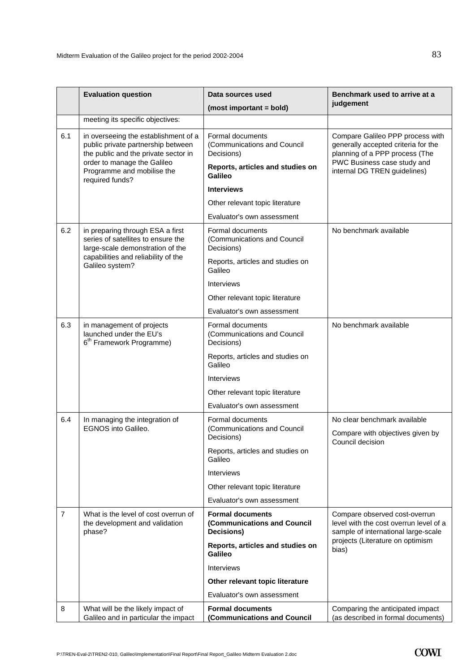|                | <b>Evaluation question</b>                                                                                                                                                                         | Data sources used                                                    | Benchmark used to arrive at a                                                                                                                                            |
|----------------|----------------------------------------------------------------------------------------------------------------------------------------------------------------------------------------------------|----------------------------------------------------------------------|--------------------------------------------------------------------------------------------------------------------------------------------------------------------------|
|                |                                                                                                                                                                                                    | (most important = bold)                                              | judgement                                                                                                                                                                |
|                | meeting its specific objectives:                                                                                                                                                                   |                                                                      |                                                                                                                                                                          |
| 6.1            | in overseeing the establishment of a<br>public private partnership between<br>the public and the private sector in<br>order to manage the Galileo<br>Programme and mobilise the<br>required funds? | Formal documents<br>(Communications and Council<br>Decisions)        | Compare Galileo PPP process with<br>generally accepted criteria for the<br>planning of a PPP process (The<br>PWC Business case study and<br>internal DG TREN guidelines) |
|                |                                                                                                                                                                                                    | Reports, articles and studies on<br>Galileo                          |                                                                                                                                                                          |
|                |                                                                                                                                                                                                    | <b>Interviews</b>                                                    |                                                                                                                                                                          |
|                |                                                                                                                                                                                                    | Other relevant topic literature                                      |                                                                                                                                                                          |
|                |                                                                                                                                                                                                    | Evaluator's own assessment                                           |                                                                                                                                                                          |
| 6.2            | in preparing through ESA a first<br>series of satellites to ensure the<br>large-scale demonstration of the<br>capabilities and reliability of the<br>Galileo system?                               | Formal documents<br>(Communications and Council<br>Decisions)        | No benchmark available                                                                                                                                                   |
|                |                                                                                                                                                                                                    | Reports, articles and studies on<br>Galileo                          |                                                                                                                                                                          |
|                |                                                                                                                                                                                                    | <b>Interviews</b>                                                    |                                                                                                                                                                          |
|                |                                                                                                                                                                                                    | Other relevant topic literature                                      |                                                                                                                                                                          |
|                |                                                                                                                                                                                                    | Evaluator's own assessment                                           |                                                                                                                                                                          |
| 6.3            | in management of projects<br>launched under the EU's<br>6 <sup>th</sup> Framework Programme)                                                                                                       | Formal documents<br>(Communications and Council<br>Decisions)        | No benchmark available                                                                                                                                                   |
|                |                                                                                                                                                                                                    | Reports, articles and studies on<br>Galileo                          |                                                                                                                                                                          |
|                |                                                                                                                                                                                                    | Interviews                                                           |                                                                                                                                                                          |
|                |                                                                                                                                                                                                    | Other relevant topic literature                                      |                                                                                                                                                                          |
|                |                                                                                                                                                                                                    | Evaluator's own assessment                                           |                                                                                                                                                                          |
| 6.4            | In managing the integration of<br><b>EGNOS into Galileo.</b>                                                                                                                                       | Formal documents<br>(Communications and Council<br>Decisions)        | No clear benchmark available<br>Compare with objectives given by                                                                                                         |
|                |                                                                                                                                                                                                    | Reports, articles and studies on<br>Galileo                          | Council decision                                                                                                                                                         |
|                |                                                                                                                                                                                                    | Interviews                                                           |                                                                                                                                                                          |
|                |                                                                                                                                                                                                    | Other relevant topic literature                                      |                                                                                                                                                                          |
|                |                                                                                                                                                                                                    | Evaluator's own assessment                                           |                                                                                                                                                                          |
| $\overline{7}$ | What is the level of cost overrun of<br>the development and validation<br>phase?                                                                                                                   | <b>Formal documents</b><br>(Communications and Council<br>Decisions) | Compare observed cost-overrun<br>level with the cost overrun level of a<br>sample of international large-scale<br>projects (Literature on optimism<br>bias)              |
|                |                                                                                                                                                                                                    | Reports, articles and studies on<br>Galileo                          |                                                                                                                                                                          |
|                |                                                                                                                                                                                                    | <b>Interviews</b>                                                    |                                                                                                                                                                          |
|                |                                                                                                                                                                                                    | Other relevant topic literature                                      |                                                                                                                                                                          |
|                |                                                                                                                                                                                                    | Evaluator's own assessment                                           |                                                                                                                                                                          |
| 8              | What will be the likely impact of<br>Galileo and in particular the impact                                                                                                                          | <b>Formal documents</b><br>(Communications and Council               | Comparing the anticipated impact<br>(as described in formal documents)                                                                                                   |